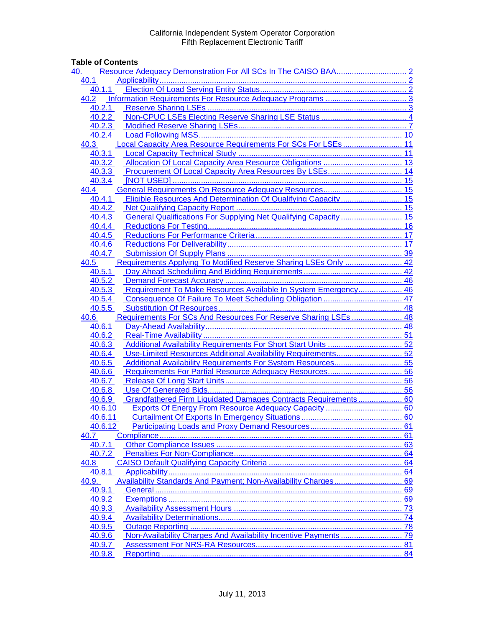## **Table of Contents**

| 40.                                                                        |  |
|----------------------------------------------------------------------------|--|
| 40.1                                                                       |  |
| 40.1.1                                                                     |  |
| 40.2                                                                       |  |
| 40.2.1                                                                     |  |
| 40.2.2                                                                     |  |
| 40.2.3                                                                     |  |
| 40.2.4                                                                     |  |
| Local Capacity Area Resource Requirements For SCs For LSEs 11<br>40.3      |  |
| 40.3.1                                                                     |  |
| 40.3.2                                                                     |  |
| 40.3.3                                                                     |  |
| 40.3.4                                                                     |  |
| 40.4                                                                       |  |
| Eligible Resources And Determination Of Qualifying Capacity 15<br>40.4.1   |  |
| 40.4.2                                                                     |  |
| General Qualifications For Supplying Net Qualifying Capacity  15<br>40.4.3 |  |
| 40.4.4                                                                     |  |
| 40.4.5                                                                     |  |
| 40.4.6                                                                     |  |
| 40.4.7                                                                     |  |
| Requirements Applying To Modified Reserve Sharing LSEs Only  42<br>40.5    |  |
| 40.5.1                                                                     |  |
| 40.5.2                                                                     |  |
| Requirement To Make Resources Available In System Emergency 46<br>40.5.3   |  |
| 40.5.4                                                                     |  |
| 40.5.5                                                                     |  |
| Requirements For SCs And Resources For Reserve Sharing LSEs  48<br>40.6    |  |
| 40.6.1                                                                     |  |
| 40.6.2                                                                     |  |
| 40.6.3                                                                     |  |
| Use-Limited Resources Additional Availability Requirements 52<br>40.6.4    |  |
| Additional Availability Requirements For System Resources 55<br>40.6.5     |  |
| 40.6.6                                                                     |  |
| 40.6.7                                                                     |  |
| 40.6.8<br>Grandfathered Firm Liquidated Damages Contracts Requirements 60  |  |
| 40.6.9<br>40.6.10                                                          |  |
| 40.6.11                                                                    |  |
| 40.6.12                                                                    |  |
| 40.7                                                                       |  |
| 40.7.1                                                                     |  |
| 40.7.2                                                                     |  |
| 40.8                                                                       |  |
| 40.8.1                                                                     |  |
| 40.9.                                                                      |  |
| 40.9.1                                                                     |  |
| 40.9.2                                                                     |  |
| 40.9.3                                                                     |  |
| 40.9.4                                                                     |  |
| 40.9.5                                                                     |  |
|                                                                            |  |
|                                                                            |  |
| 40.9.6<br>40.9.7                                                           |  |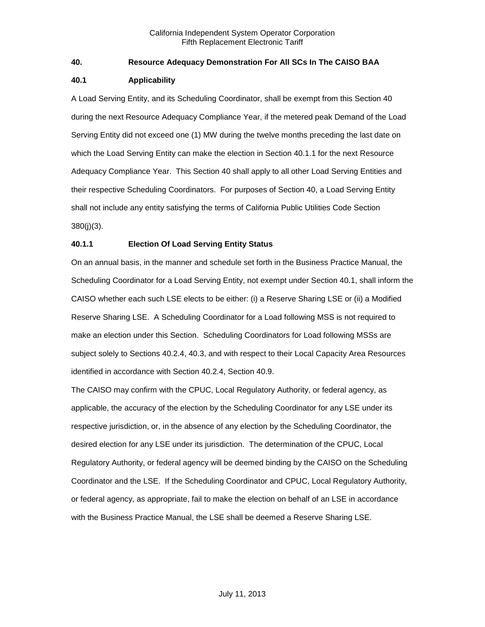## <span id="page-1-0"></span>**40. Resource Adequacy Demonstration For All SCs In The CAISO BAA**

#### <span id="page-1-1"></span>**40.1 Applicability**

A Load Serving Entity, and its Scheduling Coordinator, shall be exempt from this Section 40 during the next Resource Adequacy Compliance Year, if the metered peak Demand of the Load Serving Entity did not exceed one (1) MW during the twelve months preceding the last date on which the Load Serving Entity can make the election in Section 40.1.1 for the next Resource Adequacy Compliance Year. This Section 40 shall apply to all other Load Serving Entities and their respective Scheduling Coordinators. For purposes of Section 40, a Load Serving Entity shall not include any entity satisfying the terms of California Public Utilities Code Section 380(j)(3).

## <span id="page-1-2"></span>**40.1.1 Election Of Load Serving Entity Status**

On an annual basis, in the manner and schedule set forth in the Business Practice Manual, the Scheduling Coordinator for a Load Serving Entity, not exempt under Section 40.1, shall inform the CAISO whether each such LSE elects to be either: (i) a Reserve Sharing LSE or (ii) a Modified Reserve Sharing LSE. A Scheduling Coordinator for a Load following MSS is not required to make an election under this Section. Scheduling Coordinators for Load following MSSs are subject solely to Sections 40.2.4, 40.3, and with respect to their Local Capacity Area Resources identified in accordance with Section 40.2.4, Section 40.9.

The CAISO may confirm with the CPUC, Local Regulatory Authority, or federal agency, as applicable, the accuracy of the election by the Scheduling Coordinator for any LSE under its respective jurisdiction, or, in the absence of any election by the Scheduling Coordinator, the desired election for any LSE under its jurisdiction. The determination of the CPUC, Local Regulatory Authority, or federal agency will be deemed binding by the CAISO on the Scheduling Coordinator and the LSE. If the Scheduling Coordinator and CPUC, Local Regulatory Authority, or federal agency, as appropriate, fail to make the election on behalf of an LSE in accordance with the Business Practice Manual, the LSE shall be deemed a Reserve Sharing LSE.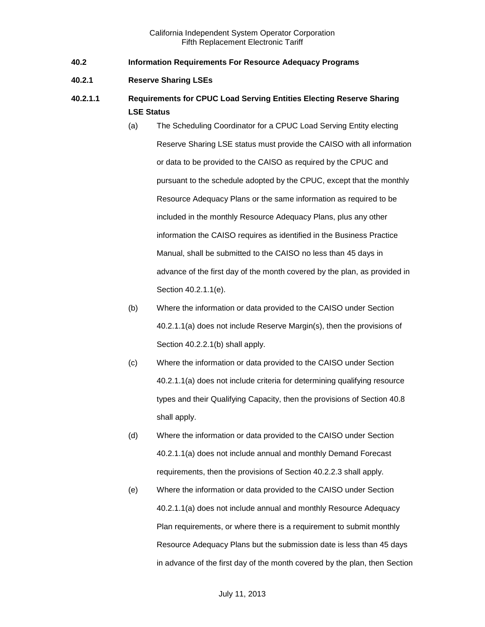- <span id="page-2-0"></span>**40.2 Information Requirements For Resource Adequacy Programs**
- <span id="page-2-1"></span>**40.2.1 Reserve Sharing LSEs**
- **40.2.1.1 Requirements for CPUC Load Serving Entities Electing Reserve Sharing LSE Status**
	- (a) The Scheduling Coordinator for a CPUC Load Serving Entity electing Reserve Sharing LSE status must provide the CAISO with all information or data to be provided to the CAISO as required by the CPUC and pursuant to the schedule adopted by the CPUC, except that the monthly Resource Adequacy Plans or the same information as required to be included in the monthly Resource Adequacy Plans, plus any other information the CAISO requires as identified in the Business Practice Manual, shall be submitted to the CAISO no less than 45 days in advance of the first day of the month covered by the plan, as provided in Section 40.2.1.1(e).
	- (b) Where the information or data provided to the CAISO under Section 40.2.1.1(a) does not include Reserve Margin(s), then the provisions of Section 40.2.2.1(b) shall apply.
	- (c) Where the information or data provided to the CAISO under Section 40.2.1.1(a) does not include criteria for determining qualifying resource types and their Qualifying Capacity, then the provisions of Section 40.8 shall apply.
	- (d) Where the information or data provided to the CAISO under Section 40.2.1.1(a) does not include annual and monthly Demand Forecast requirements, then the provisions of Section 40.2.2.3 shall apply.
	- (e) Where the information or data provided to the CAISO under Section 40.2.1.1(a) does not include annual and monthly Resource Adequacy Plan requirements, or where there is a requirement to submit monthly Resource Adequacy Plans but the submission date is less than 45 days in advance of the first day of the month covered by the plan, then Section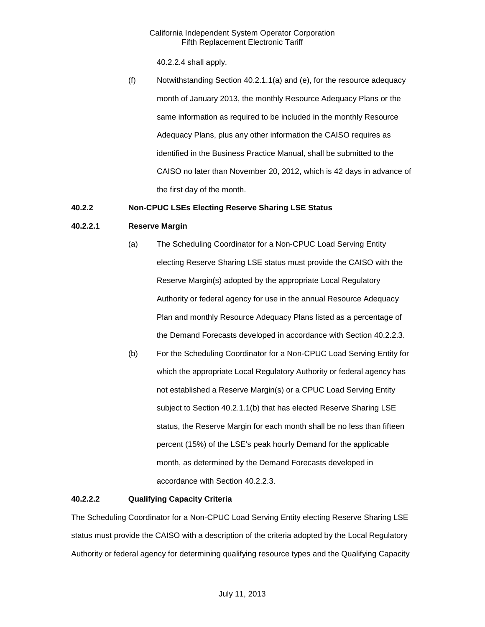40.2.2.4 shall apply.

(f) Notwithstanding Section 40.2.1.1(a) and (e), for the resource adequacy month of January 2013, the monthly Resource Adequacy Plans or the same information as required to be included in the monthly Resource Adequacy Plans, plus any other information the CAISO requires as identified in the Business Practice Manual, shall be submitted to the CAISO no later than November 20, 2012, which is 42 days in advance of the first day of the month.

## <span id="page-3-0"></span>**40.2.2 Non-CPUC LSEs Electing Reserve Sharing LSE Status**

## **40.2.2.1 Reserve Margin**

- (a) The Scheduling Coordinator for a Non-CPUC Load Serving Entity electing Reserve Sharing LSE status must provide the CAISO with the Reserve Margin(s) adopted by the appropriate Local Regulatory Authority or federal agency for use in the annual Resource Adequacy Plan and monthly Resource Adequacy Plans listed as a percentage of the Demand Forecasts developed in accordance with Section 40.2.2.3.
- (b) For the Scheduling Coordinator for a Non-CPUC Load Serving Entity for which the appropriate Local Regulatory Authority or federal agency has not established a Reserve Margin(s) or a CPUC Load Serving Entity subject to Section 40.2.1.1(b) that has elected Reserve Sharing LSE status, the Reserve Margin for each month shall be no less than fifteen percent (15%) of the LSE's peak hourly Demand for the applicable month, as determined by the Demand Forecasts developed in accordance with Section 40.2.2.3.

## **40.2.2.2 Qualifying Capacity Criteria**

The Scheduling Coordinator for a Non-CPUC Load Serving Entity electing Reserve Sharing LSE status must provide the CAISO with a description of the criteria adopted by the Local Regulatory Authority or federal agency for determining qualifying resource types and the Qualifying Capacity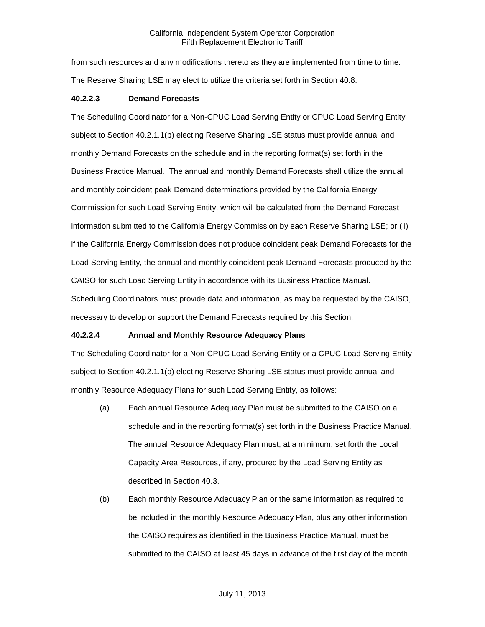from such resources and any modifications thereto as they are implemented from time to time. The Reserve Sharing LSE may elect to utilize the criteria set forth in Section 40.8.

#### **40.2.2.3 Demand Forecasts**

The Scheduling Coordinator for a Non-CPUC Load Serving Entity or CPUC Load Serving Entity subject to Section 40.2.1.1(b) electing Reserve Sharing LSE status must provide annual and monthly Demand Forecasts on the schedule and in the reporting format(s) set forth in the Business Practice Manual. The annual and monthly Demand Forecasts shall utilize the annual and monthly coincident peak Demand determinations provided by the California Energy Commission for such Load Serving Entity, which will be calculated from the Demand Forecast information submitted to the California Energy Commission by each Reserve Sharing LSE; or (ii) if the California Energy Commission does not produce coincident peak Demand Forecasts for the Load Serving Entity, the annual and monthly coincident peak Demand Forecasts produced by the CAISO for such Load Serving Entity in accordance with its Business Practice Manual. Scheduling Coordinators must provide data and information, as may be requested by the CAISO, necessary to develop or support the Demand Forecasts required by this Section.

## **40.2.2.4 Annual and Monthly Resource Adequacy Plans**

The Scheduling Coordinator for a Non-CPUC Load Serving Entity or a CPUC Load Serving Entity subject to Section 40.2.1.1(b) electing Reserve Sharing LSE status must provide annual and monthly Resource Adequacy Plans for such Load Serving Entity, as follows:

- (a) Each annual Resource Adequacy Plan must be submitted to the CAISO on a schedule and in the reporting format(s) set forth in the Business Practice Manual. The annual Resource Adequacy Plan must, at a minimum, set forth the Local Capacity Area Resources, if any, procured by the Load Serving Entity as described in Section 40.3.
- (b) Each monthly Resource Adequacy Plan or the same information as required to be included in the monthly Resource Adequacy Plan, plus any other information the CAISO requires as identified in the Business Practice Manual, must be submitted to the CAISO at least 45 days in advance of the first day of the month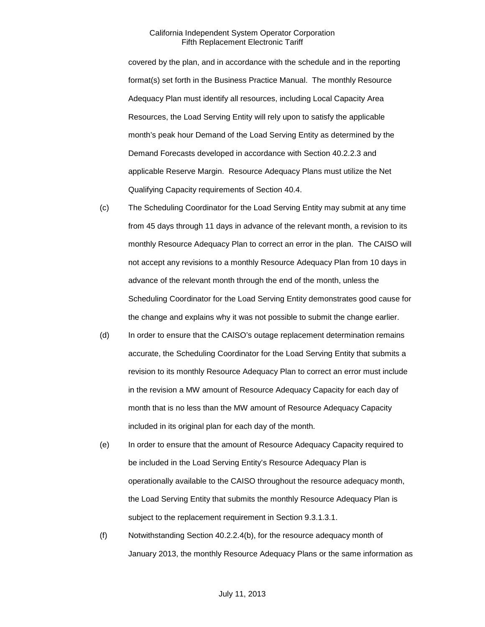covered by the plan, and in accordance with the schedule and in the reporting format(s) set forth in the Business Practice Manual. The monthly Resource Adequacy Plan must identify all resources, including Local Capacity Area Resources, the Load Serving Entity will rely upon to satisfy the applicable month's peak hour Demand of the Load Serving Entity as determined by the Demand Forecasts developed in accordance with Section 40.2.2.3 and applicable Reserve Margin. Resource Adequacy Plans must utilize the Net Qualifying Capacity requirements of Section 40.4.

- (c) The Scheduling Coordinator for the Load Serving Entity may submit at any time from 45 days through 11 days in advance of the relevant month, a revision to its monthly Resource Adequacy Plan to correct an error in the plan. The CAISO will not accept any revisions to a monthly Resource Adequacy Plan from 10 days in advance of the relevant month through the end of the month, unless the Scheduling Coordinator for the Load Serving Entity demonstrates good cause for the change and explains why it was not possible to submit the change earlier.
- (d) In order to ensure that the CAISO's outage replacement determination remains accurate, the Scheduling Coordinator for the Load Serving Entity that submits a revision to its monthly Resource Adequacy Plan to correct an error must include in the revision a MW amount of Resource Adequacy Capacity for each day of month that is no less than the MW amount of Resource Adequacy Capacity included in its original plan for each day of the month.
- (e) In order to ensure that the amount of Resource Adequacy Capacity required to be included in the Load Serving Entity's Resource Adequacy Plan is operationally available to the CAISO throughout the resource adequacy month, the Load Serving Entity that submits the monthly Resource Adequacy Plan is subject to the replacement requirement in Section 9.3.1.3.1.
- (f) Notwithstanding Section 40.2.2.4(b), for the resource adequacy month of January 2013, the monthly Resource Adequacy Plans or the same information as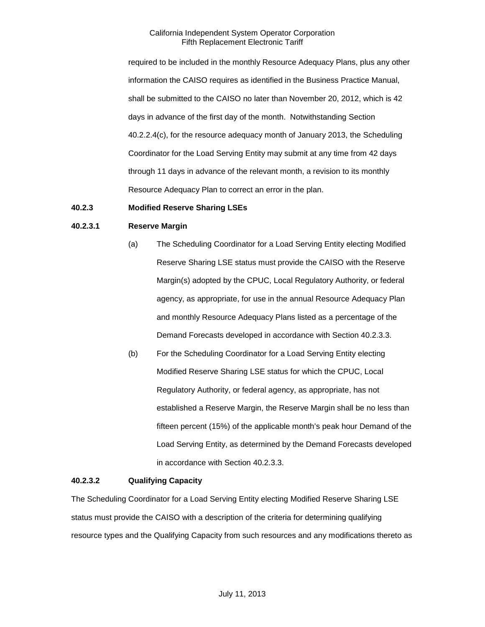required to be included in the monthly Resource Adequacy Plans, plus any other information the CAISO requires as identified in the Business Practice Manual, shall be submitted to the CAISO no later than November 20, 2012, which is 42 days in advance of the first day of the month. Notwithstanding Section 40.2.2.4(c), for the resource adequacy month of January 2013, the Scheduling Coordinator for the Load Serving Entity may submit at any time from 42 days through 11 days in advance of the relevant month, a revision to its monthly Resource Adequacy Plan to correct an error in the plan.

## <span id="page-6-0"></span>**40.2.3 Modified Reserve Sharing LSEs**

#### **40.2.3.1 Reserve Margin**

- (a) The Scheduling Coordinator for a Load Serving Entity electing Modified Reserve Sharing LSE status must provide the CAISO with the Reserve Margin(s) adopted by the CPUC, Local Regulatory Authority, or federal agency, as appropriate, for use in the annual Resource Adequacy Plan and monthly Resource Adequacy Plans listed as a percentage of the Demand Forecasts developed in accordance with Section 40.2.3.3.
- (b) For the Scheduling Coordinator for a Load Serving Entity electing Modified Reserve Sharing LSE status for which the CPUC, Local Regulatory Authority, or federal agency, as appropriate, has not established a Reserve Margin, the Reserve Margin shall be no less than fifteen percent (15%) of the applicable month's peak hour Demand of the Load Serving Entity, as determined by the Demand Forecasts developed in accordance with Section 40.2.3.3.

#### **40.2.3.2 Qualifying Capacity**

The Scheduling Coordinator for a Load Serving Entity electing Modified Reserve Sharing LSE status must provide the CAISO with a description of the criteria for determining qualifying resource types and the Qualifying Capacity from such resources and any modifications thereto as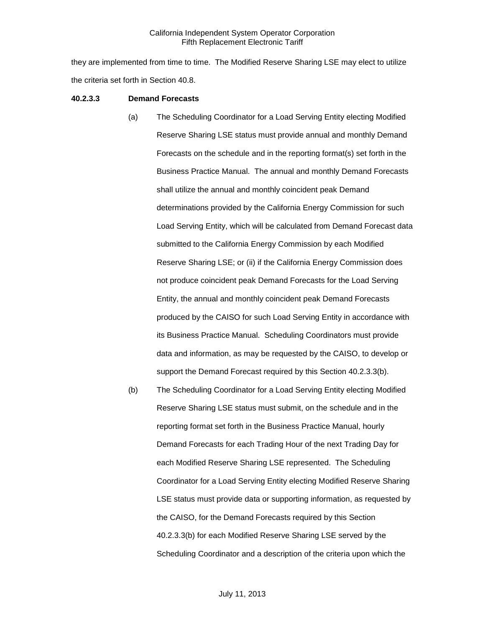they are implemented from time to time. The Modified Reserve Sharing LSE may elect to utilize the criteria set forth in Section 40.8.

#### **40.2.3.3 Demand Forecasts**

- (a) The Scheduling Coordinator for a Load Serving Entity electing Modified Reserve Sharing LSE status must provide annual and monthly Demand Forecasts on the schedule and in the reporting format(s) set forth in the Business Practice Manual. The annual and monthly Demand Forecasts shall utilize the annual and monthly coincident peak Demand determinations provided by the California Energy Commission for such Load Serving Entity, which will be calculated from Demand Forecast data submitted to the California Energy Commission by each Modified Reserve Sharing LSE; or (ii) if the California Energy Commission does not produce coincident peak Demand Forecasts for the Load Serving Entity, the annual and monthly coincident peak Demand Forecasts produced by the CAISO for such Load Serving Entity in accordance with its Business Practice Manual. Scheduling Coordinators must provide data and information, as may be requested by the CAISO, to develop or support the Demand Forecast required by this Section 40.2.3.3(b).
- (b) The Scheduling Coordinator for a Load Serving Entity electing Modified Reserve Sharing LSE status must submit, on the schedule and in the reporting format set forth in the Business Practice Manual, hourly Demand Forecasts for each Trading Hour of the next Trading Day for each Modified Reserve Sharing LSE represented. The Scheduling Coordinator for a Load Serving Entity electing Modified Reserve Sharing LSE status must provide data or supporting information, as requested by the CAISO, for the Demand Forecasts required by this Section 40.2.3.3(b) for each Modified Reserve Sharing LSE served by the Scheduling Coordinator and a description of the criteria upon which the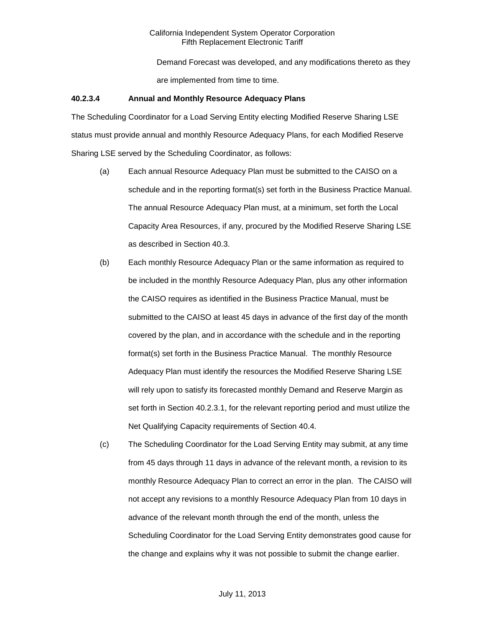Demand Forecast was developed, and any modifications thereto as they are implemented from time to time.

#### **40.2.3.4 Annual and Monthly Resource Adequacy Plans**

The Scheduling Coordinator for a Load Serving Entity electing Modified Reserve Sharing LSE status must provide annual and monthly Resource Adequacy Plans, for each Modified Reserve Sharing LSE served by the Scheduling Coordinator, as follows:

- (a) Each annual Resource Adequacy Plan must be submitted to the CAISO on a schedule and in the reporting format(s) set forth in the Business Practice Manual. The annual Resource Adequacy Plan must, at a minimum, set forth the Local Capacity Area Resources, if any, procured by the Modified Reserve Sharing LSE as described in Section 40.3.
- (b) Each monthly Resource Adequacy Plan or the same information as required to be included in the monthly Resource Adequacy Plan, plus any other information the CAISO requires as identified in the Business Practice Manual, must be submitted to the CAISO at least 45 days in advance of the first day of the month covered by the plan, and in accordance with the schedule and in the reporting format(s) set forth in the Business Practice Manual. The monthly Resource Adequacy Plan must identify the resources the Modified Reserve Sharing LSE will rely upon to satisfy its forecasted monthly Demand and Reserve Margin as set forth in Section 40.2.3.1, for the relevant reporting period and must utilize the Net Qualifying Capacity requirements of Section 40.4.
- (c) The Scheduling Coordinator for the Load Serving Entity may submit, at any time from 45 days through 11 days in advance of the relevant month, a revision to its monthly Resource Adequacy Plan to correct an error in the plan. The CAISO will not accept any revisions to a monthly Resource Adequacy Plan from 10 days in advance of the relevant month through the end of the month, unless the Scheduling Coordinator for the Load Serving Entity demonstrates good cause for the change and explains why it was not possible to submit the change earlier.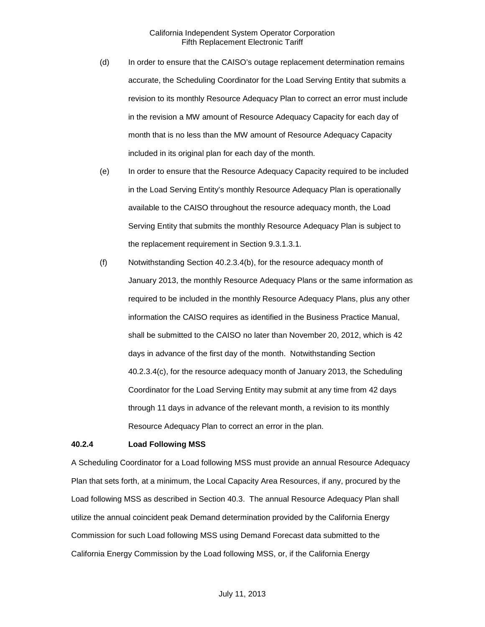- (d) In order to ensure that the CAISO's outage replacement determination remains accurate, the Scheduling Coordinator for the Load Serving Entity that submits a revision to its monthly Resource Adequacy Plan to correct an error must include in the revision a MW amount of Resource Adequacy Capacity for each day of month that is no less than the MW amount of Resource Adequacy Capacity included in its original plan for each day of the month.
- (e) In order to ensure that the Resource Adequacy Capacity required to be included in the Load Serving Entity's monthly Resource Adequacy Plan is operationally available to the CAISO throughout the resource adequacy month, the Load Serving Entity that submits the monthly Resource Adequacy Plan is subject to the replacement requirement in Section 9.3.1.3.1.
- (f) Notwithstanding Section 40.2.3.4(b), for the resource adequacy month of January 2013, the monthly Resource Adequacy Plans or the same information as required to be included in the monthly Resource Adequacy Plans, plus any other information the CAISO requires as identified in the Business Practice Manual, shall be submitted to the CAISO no later than November 20, 2012, which is 42 days in advance of the first day of the month. Notwithstanding Section 40.2.3.4(c), for the resource adequacy month of January 2013, the Scheduling Coordinator for the Load Serving Entity may submit at any time from 42 days through 11 days in advance of the relevant month, a revision to its monthly Resource Adequacy Plan to correct an error in the plan.

#### <span id="page-9-0"></span>**40.2.4 Load Following MSS**

A Scheduling Coordinator for a Load following MSS must provide an annual Resource Adequacy Plan that sets forth, at a minimum, the Local Capacity Area Resources, if any, procured by the Load following MSS as described in Section 40.3. The annual Resource Adequacy Plan shall utilize the annual coincident peak Demand determination provided by the California Energy Commission for such Load following MSS using Demand Forecast data submitted to the California Energy Commission by the Load following MSS, or, if the California Energy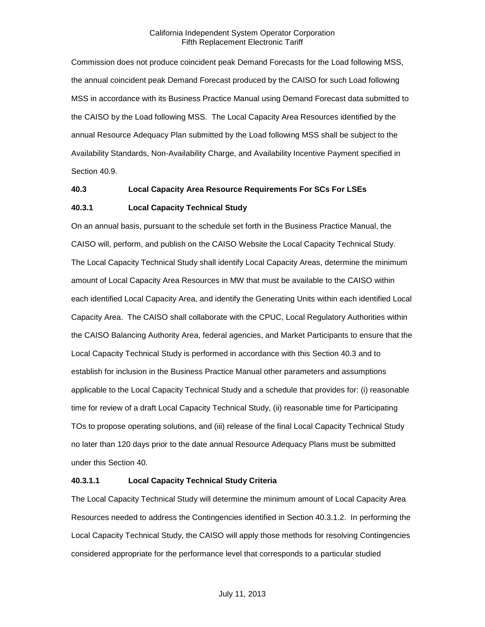Commission does not produce coincident peak Demand Forecasts for the Load following MSS, the annual coincident peak Demand Forecast produced by the CAISO for such Load following MSS in accordance with its Business Practice Manual using Demand Forecast data submitted to the CAISO by the Load following MSS. The Local Capacity Area Resources identified by the annual Resource Adequacy Plan submitted by the Load following MSS shall be subject to the Availability Standards, Non-Availability Charge, and Availability Incentive Payment specified in Section 40.9.

## <span id="page-10-0"></span>**40.3 Local Capacity Area Resource Requirements For SCs For LSEs**

## <span id="page-10-1"></span>**40.3.1 Local Capacity Technical Study**

On an annual basis, pursuant to the schedule set forth in the Business Practice Manual, the CAISO will, perform, and publish on the CAISO Website the Local Capacity Technical Study. The Local Capacity Technical Study shall identify Local Capacity Areas, determine the minimum amount of Local Capacity Area Resources in MW that must be available to the CAISO within each identified Local Capacity Area, and identify the Generating Units within each identified Local Capacity Area. The CAISO shall collaborate with the CPUC, Local Regulatory Authorities within the CAISO Balancing Authority Area, federal agencies, and Market Participants to ensure that the Local Capacity Technical Study is performed in accordance with this Section 40.3 and to establish for inclusion in the Business Practice Manual other parameters and assumptions applicable to the Local Capacity Technical Study and a schedule that provides for: (i) reasonable time for review of a draft Local Capacity Technical Study, (ii) reasonable time for Participating TOs to propose operating solutions, and (iii) release of the final Local Capacity Technical Study no later than 120 days prior to the date annual Resource Adequacy Plans must be submitted under this Section 40.

## **40.3.1.1 Local Capacity Technical Study Criteria**

The Local Capacity Technical Study will determine the minimum amount of Local Capacity Area Resources needed to address the Contingencies identified in Section 40.3.1.2. In performing the Local Capacity Technical Study, the CAISO will apply those methods for resolving Contingencies considered appropriate for the performance level that corresponds to a particular studied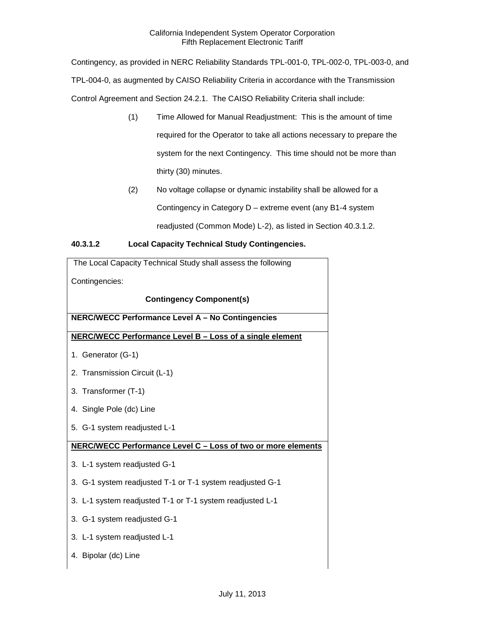Contingency, as provided in NERC Reliability Standards TPL-001-0, TPL-002-0, TPL-003-0, and TPL-004-0, as augmented by CAISO Reliability Criteria in accordance with the Transmission Control Agreement and Section 24.2.1. The CAISO Reliability Criteria shall include:

- (1) Time Allowed for Manual Readjustment: This is the amount of time required for the Operator to take all actions necessary to prepare the system for the next Contingency. This time should not be more than thirty (30) minutes.
- (2) No voltage collapse or dynamic instability shall be allowed for a Contingency in Category D – extreme event (any B1-4 system readjusted (Common Mode) L-2), as listed in Section 40.3.1.2.

## **40.3.1.2 Local Capacity Technical Study Contingencies.**

| The Local Capacity Technical Study shall assess the following |
|---------------------------------------------------------------|
| Contingencies:                                                |
| <b>Contingency Component(s)</b>                               |
| NERC/WECC Performance Level A - No Contingencies              |
| NERC/WECC Performance Level B - Loss of a single element      |
| 1. Generator (G-1)                                            |
| 2. Transmission Circuit (L-1)                                 |
| 3. Transformer (T-1)                                          |
| 4. Single Pole (dc) Line                                      |
| 5. G-1 system readjusted L-1                                  |
| NERC/WECC Performance Level C - Loss of two or more elements  |
| 3. L-1 system readjusted G-1                                  |
| 3. G-1 system readjusted T-1 or T-1 system readjusted G-1     |
| 3. L-1 system readjusted T-1 or T-1 system readjusted L-1     |
| 3. G-1 system readjusted G-1                                  |
| 3. L-1 system readjusted L-1                                  |
| 4. Bipolar (dc) Line                                          |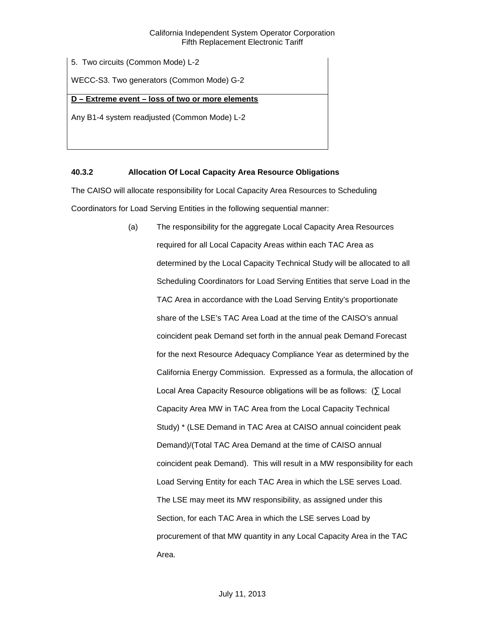5. Two circuits (Common Mode) L-2

WECC-S3. Two generators (Common Mode) G-2

## **D – Extreme event – loss of two or more elements**

Any B1-4 system readjusted (Common Mode) L-2

## <span id="page-12-0"></span>**40.3.2 Allocation Of Local Capacity Area Resource Obligations**

The CAISO will allocate responsibility for Local Capacity Area Resources to Scheduling Coordinators for Load Serving Entities in the following sequential manner:

> (a) The responsibility for the aggregate Local Capacity Area Resources required for all Local Capacity Areas within each TAC Area as determined by the Local Capacity Technical Study will be allocated to all Scheduling Coordinators for Load Serving Entities that serve Load in the TAC Area in accordance with the Load Serving Entity's proportionate share of the LSE's TAC Area Load at the time of the CAISO's annual coincident peak Demand set forth in the annual peak Demand Forecast for the next Resource Adequacy Compliance Year as determined by the California Energy Commission. Expressed as a formula, the allocation of Local Area Capacity Resource obligations will be as follows: (∑ Local Capacity Area MW in TAC Area from the Local Capacity Technical Study) \* (LSE Demand in TAC Area at CAISO annual coincident peak Demand)/(Total TAC Area Demand at the time of CAISO annual coincident peak Demand). This will result in a MW responsibility for each Load Serving Entity for each TAC Area in which the LSE serves Load. The LSE may meet its MW responsibility, as assigned under this Section, for each TAC Area in which the LSE serves Load by procurement of that MW quantity in any Local Capacity Area in the TAC Area.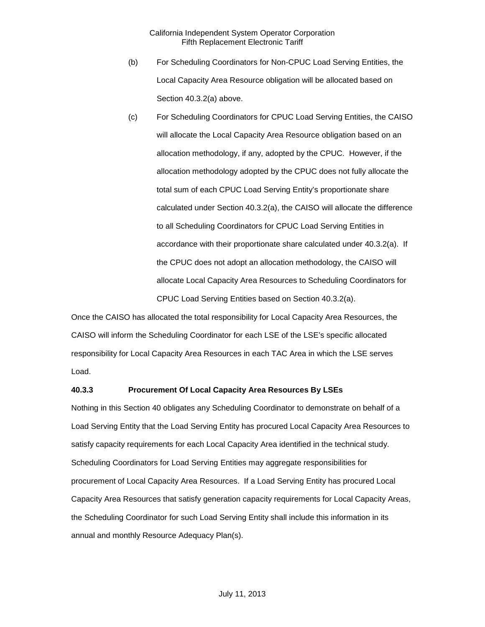- (b) For Scheduling Coordinators for Non-CPUC Load Serving Entities, the Local Capacity Area Resource obligation will be allocated based on Section 40.3.2(a) above.
- (c) For Scheduling Coordinators for CPUC Load Serving Entities, the CAISO will allocate the Local Capacity Area Resource obligation based on an allocation methodology, if any, adopted by the CPUC. However, if the allocation methodology adopted by the CPUC does not fully allocate the total sum of each CPUC Load Serving Entity's proportionate share calculated under Section 40.3.2(a), the CAISO will allocate the difference to all Scheduling Coordinators for CPUC Load Serving Entities in accordance with their proportionate share calculated under 40.3.2(a). If the CPUC does not adopt an allocation methodology, the CAISO will allocate Local Capacity Area Resources to Scheduling Coordinators for CPUC Load Serving Entities based on Section 40.3.2(a).

Once the CAISO has allocated the total responsibility for Local Capacity Area Resources, the CAISO will inform the Scheduling Coordinator for each LSE of the LSE's specific allocated responsibility for Local Capacity Area Resources in each TAC Area in which the LSE serves Load.

#### <span id="page-13-0"></span>**40.3.3 Procurement Of Local Capacity Area Resources By LSEs**

Nothing in this Section 40 obligates any Scheduling Coordinator to demonstrate on behalf of a Load Serving Entity that the Load Serving Entity has procured Local Capacity Area Resources to satisfy capacity requirements for each Local Capacity Area identified in the technical study. Scheduling Coordinators for Load Serving Entities may aggregate responsibilities for procurement of Local Capacity Area Resources. If a Load Serving Entity has procured Local Capacity Area Resources that satisfy generation capacity requirements for Local Capacity Areas, the Scheduling Coordinator for such Load Serving Entity shall include this information in its annual and monthly Resource Adequacy Plan(s).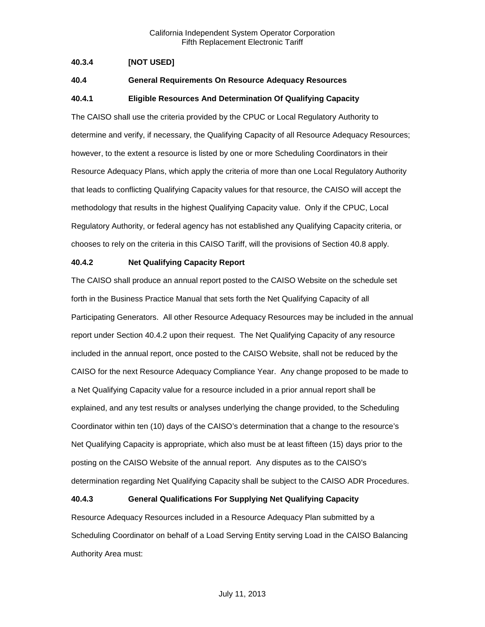## <span id="page-14-0"></span>**40.3.4 [NOT USED]**

## <span id="page-14-1"></span>**40.4 General Requirements On Resource Adequacy Resources**

## <span id="page-14-2"></span>**40.4.1 Eligible Resources And Determination Of Qualifying Capacity**

The CAISO shall use the criteria provided by the CPUC or Local Regulatory Authority to determine and verify, if necessary, the Qualifying Capacity of all Resource Adequacy Resources; however, to the extent a resource is listed by one or more Scheduling Coordinators in their Resource Adequacy Plans, which apply the criteria of more than one Local Regulatory Authority that leads to conflicting Qualifying Capacity values for that resource, the CAISO will accept the methodology that results in the highest Qualifying Capacity value. Only if the CPUC, Local Regulatory Authority, or federal agency has not established any Qualifying Capacity criteria, or chooses to rely on the criteria in this CAISO Tariff, will the provisions of Section 40.8 apply.

#### <span id="page-14-3"></span>**40.4.2 Net Qualifying Capacity Report**

The CAISO shall produce an annual report posted to the CAISO Website on the schedule set forth in the Business Practice Manual that sets forth the Net Qualifying Capacity of all Participating Generators. All other Resource Adequacy Resources may be included in the annual report under Section 40.4.2 upon their request. The Net Qualifying Capacity of any resource included in the annual report, once posted to the CAISO Website, shall not be reduced by the CAISO for the next Resource Adequacy Compliance Year. Any change proposed to be made to a Net Qualifying Capacity value for a resource included in a prior annual report shall be explained, and any test results or analyses underlying the change provided, to the Scheduling Coordinator within ten (10) days of the CAISO's determination that a change to the resource's Net Qualifying Capacity is appropriate, which also must be at least fifteen (15) days prior to the posting on the CAISO Website of the annual report. Any disputes as to the CAISO's determination regarding Net Qualifying Capacity shall be subject to the CAISO ADR Procedures.

## <span id="page-14-4"></span>**40.4.3 General Qualifications For Supplying Net Qualifying Capacity**

Resource Adequacy Resources included in a Resource Adequacy Plan submitted by a Scheduling Coordinator on behalf of a Load Serving Entity serving Load in the CAISO Balancing Authority Area must: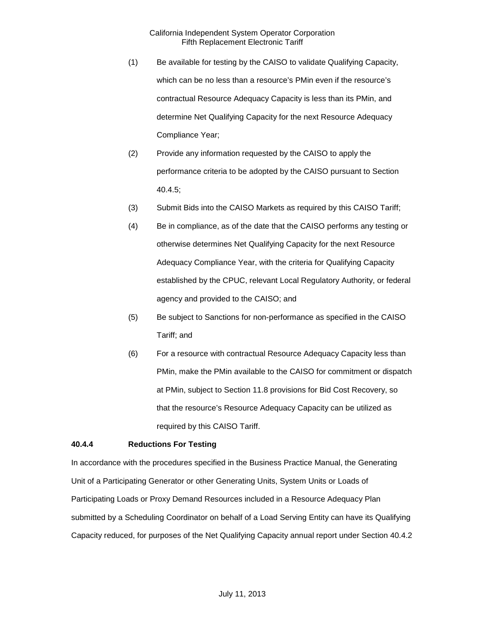- (1) Be available for testing by the CAISO to validate Qualifying Capacity, which can be no less than a resource's PMin even if the resource's contractual Resource Adequacy Capacity is less than its PMin, and determine Net Qualifying Capacity for the next Resource Adequacy Compliance Year;
- (2) Provide any information requested by the CAISO to apply the performance criteria to be adopted by the CAISO pursuant to Section 40.4.5;
- (3) Submit Bids into the CAISO Markets as required by this CAISO Tariff;
- (4) Be in compliance, as of the date that the CAISO performs any testing or otherwise determines Net Qualifying Capacity for the next Resource Adequacy Compliance Year, with the criteria for Qualifying Capacity established by the CPUC, relevant Local Regulatory Authority, or federal agency and provided to the CAISO; and
- (5) Be subject to Sanctions for non-performance as specified in the CAISO Tariff; and
- (6) For a resource with contractual Resource Adequacy Capacity less than PMin, make the PMin available to the CAISO for commitment or dispatch at PMin, subject to Section 11.8 provisions for Bid Cost Recovery, so that the resource's Resource Adequacy Capacity can be utilized as required by this CAISO Tariff.

## <span id="page-15-0"></span>**40.4.4 Reductions For Testing**

In accordance with the procedures specified in the Business Practice Manual, the Generating Unit of a Participating Generator or other Generating Units, System Units or Loads of Participating Loads or Proxy Demand Resources included in a Resource Adequacy Plan submitted by a Scheduling Coordinator on behalf of a Load Serving Entity can have its Qualifying Capacity reduced, for purposes of the Net Qualifying Capacity annual report under Section 40.4.2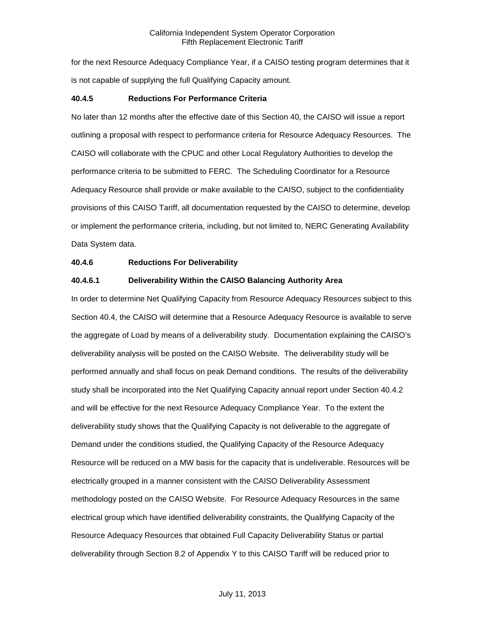for the next Resource Adequacy Compliance Year, if a CAISO testing program determines that it is not capable of supplying the full Qualifying Capacity amount.

#### <span id="page-16-0"></span>**40.4.5 Reductions For Performance Criteria**

No later than 12 months after the effective date of this Section 40, the CAISO will issue a report outlining a proposal with respect to performance criteria for Resource Adequacy Resources. The CAISO will collaborate with the CPUC and other Local Regulatory Authorities to develop the performance criteria to be submitted to FERC. The Scheduling Coordinator for a Resource Adequacy Resource shall provide or make available to the CAISO, subject to the confidentiality provisions of this CAISO Tariff, all documentation requested by the CAISO to determine, develop or implement the performance criteria, including, but not limited to, NERC Generating Availability Data System data.

#### <span id="page-16-1"></span>**40.4.6 Reductions For Deliverability**

## **40.4.6.1 Deliverability Within the CAISO Balancing Authority Area**

In order to determine Net Qualifying Capacity from Resource Adequacy Resources subject to this Section 40.4, the CAISO will determine that a Resource Adequacy Resource is available to serve the aggregate of Load by means of a deliverability study. Documentation explaining the CAISO's deliverability analysis will be posted on the CAISO Website. The deliverability study will be performed annually and shall focus on peak Demand conditions. The results of the deliverability study shall be incorporated into the Net Qualifying Capacity annual report under Section 40.4.2 and will be effective for the next Resource Adequacy Compliance Year. To the extent the deliverability study shows that the Qualifying Capacity is not deliverable to the aggregate of Demand under the conditions studied, the Qualifying Capacity of the Resource Adequacy Resource will be reduced on a MW basis for the capacity that is undeliverable. Resources will be electrically grouped in a manner consistent with the CAISO Deliverability Assessment methodology posted on the CAISO Website. For Resource Adequacy Resources in the same electrical group which have identified deliverability constraints, the Qualifying Capacity of the Resource Adequacy Resources that obtained Full Capacity Deliverability Status or partial deliverability through Section 8.2 of Appendix Y to this CAISO Tariff will be reduced prior to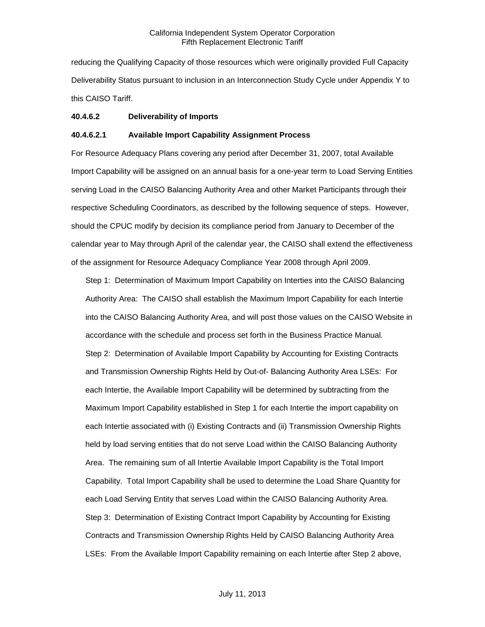reducing the Qualifying Capacity of those resources which were originally provided Full Capacity Deliverability Status pursuant to inclusion in an Interconnection Study Cycle under Appendix Y to this CAISO Tariff.

#### **40.4.6.2 Deliverability of Imports**

#### **40.4.6.2.1 Available Import Capability Assignment Process**

For Resource Adequacy Plans covering any period after December 31, 2007, total Available Import Capability will be assigned on an annual basis for a one-year term to Load Serving Entities serving Load in the CAISO Balancing Authority Area and other Market Participants through their respective Scheduling Coordinators, as described by the following sequence of steps. However, should the CPUC modify by decision its compliance period from January to December of the calendar year to May through April of the calendar year, the CAISO shall extend the effectiveness of the assignment for Resource Adequacy Compliance Year 2008 through April 2009.

Step 1: Determination of Maximum Import Capability on Interties into the CAISO Balancing Authority Area: The CAISO shall establish the Maximum Import Capability for each Intertie into the CAISO Balancing Authority Area, and will post those values on the CAISO Website in accordance with the schedule and process set forth in the Business Practice Manual. Step 2: Determination of Available Import Capability by Accounting for Existing Contracts and Transmission Ownership Rights Held by Out-of- Balancing Authority Area LSEs: For each Intertie, the Available Import Capability will be determined by subtracting from the Maximum Import Capability established in Step 1 for each Intertie the import capability on each Intertie associated with (i) Existing Contracts and (ii) Transmission Ownership Rights held by load serving entities that do not serve Load within the CAISO Balancing Authority Area. The remaining sum of all Intertie Available Import Capability is the Total Import Capability. Total Import Capability shall be used to determine the Load Share Quantity for each Load Serving Entity that serves Load within the CAISO Balancing Authority Area. Step 3: Determination of Existing Contract Import Capability by Accounting for Existing Contracts and Transmission Ownership Rights Held by CAISO Balancing Authority Area LSEs: From the Available Import Capability remaining on each Intertie after Step 2 above,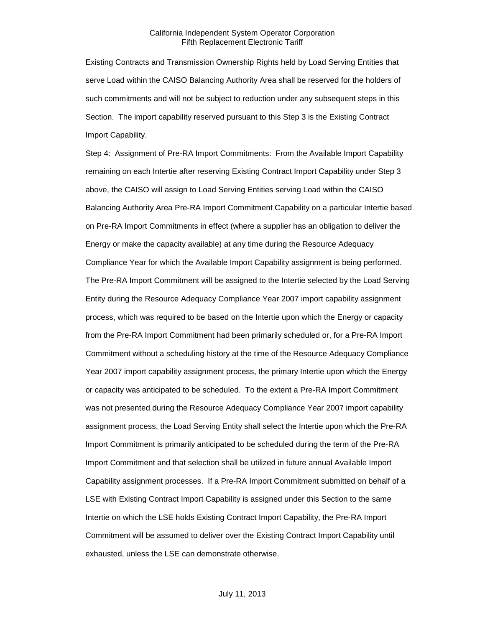Existing Contracts and Transmission Ownership Rights held by Load Serving Entities that serve Load within the CAISO Balancing Authority Area shall be reserved for the holders of such commitments and will not be subject to reduction under any subsequent steps in this Section. The import capability reserved pursuant to this Step 3 is the Existing Contract Import Capability.

Step 4: Assignment of Pre-RA Import Commitments: From the Available Import Capability remaining on each Intertie after reserving Existing Contract Import Capability under Step 3 above, the CAISO will assign to Load Serving Entities serving Load within the CAISO Balancing Authority Area Pre-RA Import Commitment Capability on a particular Intertie based on Pre-RA Import Commitments in effect (where a supplier has an obligation to deliver the Energy or make the capacity available) at any time during the Resource Adequacy Compliance Year for which the Available Import Capability assignment is being performed. The Pre-RA Import Commitment will be assigned to the Intertie selected by the Load Serving Entity during the Resource Adequacy Compliance Year 2007 import capability assignment process, which was required to be based on the Intertie upon which the Energy or capacity from the Pre-RA Import Commitment had been primarily scheduled or, for a Pre-RA Import Commitment without a scheduling history at the time of the Resource Adequacy Compliance Year 2007 import capability assignment process, the primary Intertie upon which the Energy or capacity was anticipated to be scheduled. To the extent a Pre-RA Import Commitment was not presented during the Resource Adequacy Compliance Year 2007 import capability assignment process, the Load Serving Entity shall select the Intertie upon which the Pre-RA Import Commitment is primarily anticipated to be scheduled during the term of the Pre-RA Import Commitment and that selection shall be utilized in future annual Available Import Capability assignment processes. If a Pre-RA Import Commitment submitted on behalf of a LSE with Existing Contract Import Capability is assigned under this Section to the same Intertie on which the LSE holds Existing Contract Import Capability, the Pre-RA Import Commitment will be assumed to deliver over the Existing Contract Import Capability until exhausted, unless the LSE can demonstrate otherwise.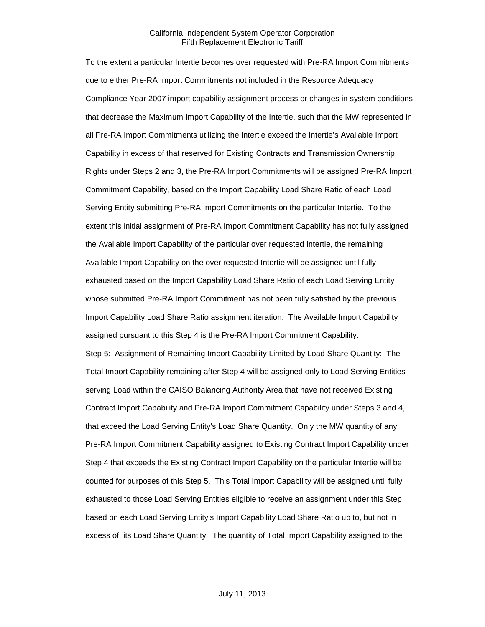To the extent a particular Intertie becomes over requested with Pre-RA Import Commitments due to either Pre-RA Import Commitments not included in the Resource Adequacy Compliance Year 2007 import capability assignment process or changes in system conditions that decrease the Maximum Import Capability of the Intertie, such that the MW represented in all Pre-RA Import Commitments utilizing the Intertie exceed the Intertie's Available Import Capability in excess of that reserved for Existing Contracts and Transmission Ownership Rights under Steps 2 and 3, the Pre-RA Import Commitments will be assigned Pre-RA Import Commitment Capability, based on the Import Capability Load Share Ratio of each Load Serving Entity submitting Pre-RA Import Commitments on the particular Intertie. To the extent this initial assignment of Pre-RA Import Commitment Capability has not fully assigned the Available Import Capability of the particular over requested Intertie, the remaining Available Import Capability on the over requested Intertie will be assigned until fully exhausted based on the Import Capability Load Share Ratio of each Load Serving Entity whose submitted Pre-RA Import Commitment has not been fully satisfied by the previous Import Capability Load Share Ratio assignment iteration. The Available Import Capability assigned pursuant to this Step 4 is the Pre-RA Import Commitment Capability. Step 5: Assignment of Remaining Import Capability Limited by Load Share Quantity: The Total Import Capability remaining after Step 4 will be assigned only to Load Serving Entities serving Load within the CAISO Balancing Authority Area that have not received Existing Contract Import Capability and Pre-RA Import Commitment Capability under Steps 3 and 4, that exceed the Load Serving Entity's Load Share Quantity. Only the MW quantity of any Pre-RA Import Commitment Capability assigned to Existing Contract Import Capability under Step 4 that exceeds the Existing Contract Import Capability on the particular Intertie will be counted for purposes of this Step 5. This Total Import Capability will be assigned until fully exhausted to those Load Serving Entities eligible to receive an assignment under this Step based on each Load Serving Entity's Import Capability Load Share Ratio up to, but not in excess of, its Load Share Quantity. The quantity of Total Import Capability assigned to the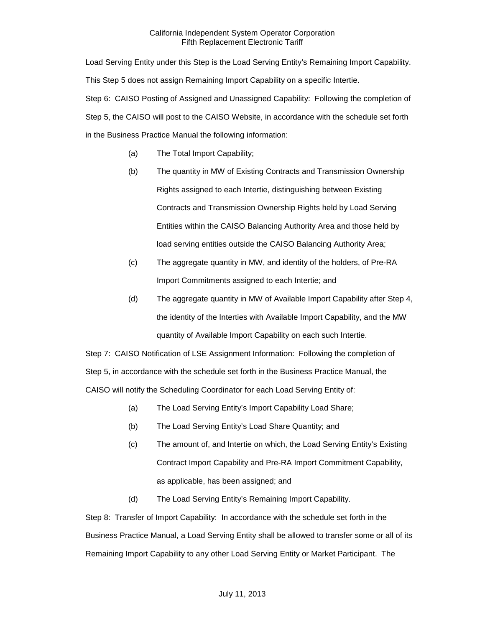Load Serving Entity under this Step is the Load Serving Entity's Remaining Import Capability. This Step 5 does not assign Remaining Import Capability on a specific Intertie. Step 6: CAISO Posting of Assigned and Unassigned Capability: Following the completion of Step 5, the CAISO will post to the CAISO Website, in accordance with the schedule set forth in the Business Practice Manual the following information:

- (a) The Total Import Capability;
- (b) The quantity in MW of Existing Contracts and Transmission Ownership Rights assigned to each Intertie, distinguishing between Existing Contracts and Transmission Ownership Rights held by Load Serving Entities within the CAISO Balancing Authority Area and those held by load serving entities outside the CAISO Balancing Authority Area;
- (c) The aggregate quantity in MW, and identity of the holders, of Pre-RA Import Commitments assigned to each Intertie; and
- (d) The aggregate quantity in MW of Available Import Capability after Step 4, the identity of the Interties with Available Import Capability, and the MW quantity of Available Import Capability on each such Intertie.

Step 7: CAISO Notification of LSE Assignment Information: Following the completion of Step 5, in accordance with the schedule set forth in the Business Practice Manual, the CAISO will notify the Scheduling Coordinator for each Load Serving Entity of:

- (a) The Load Serving Entity's Import Capability Load Share;
- (b) The Load Serving Entity's Load Share Quantity; and
- (c) The amount of, and Intertie on which, the Load Serving Entity's Existing Contract Import Capability and Pre-RA Import Commitment Capability, as applicable, has been assigned; and
- (d) The Load Serving Entity's Remaining Import Capability.

Step 8: Transfer of Import Capability: In accordance with the schedule set forth in the Business Practice Manual, a Load Serving Entity shall be allowed to transfer some or all of its Remaining Import Capability to any other Load Serving Entity or Market Participant. The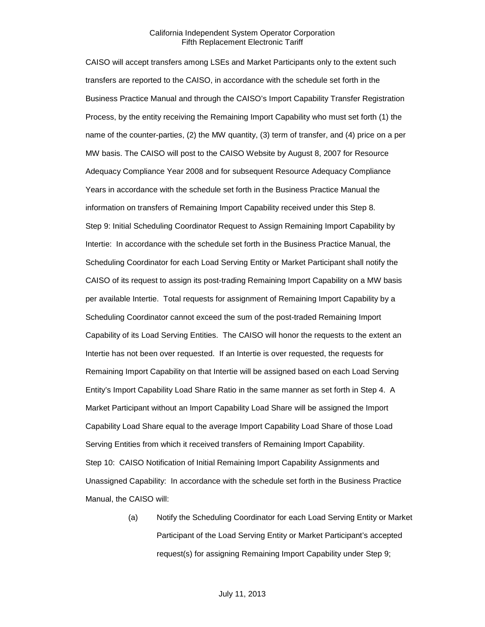CAISO will accept transfers among LSEs and Market Participants only to the extent such transfers are reported to the CAISO, in accordance with the schedule set forth in the Business Practice Manual and through the CAISO's Import Capability Transfer Registration Process, by the entity receiving the Remaining Import Capability who must set forth (1) the name of the counter-parties, (2) the MW quantity, (3) term of transfer, and (4) price on a per MW basis. The CAISO will post to the CAISO Website by August 8, 2007 for Resource Adequacy Compliance Year 2008 and for subsequent Resource Adequacy Compliance Years in accordance with the schedule set forth in the Business Practice Manual the information on transfers of Remaining Import Capability received under this Step 8. Step 9: Initial Scheduling Coordinator Request to Assign Remaining Import Capability by Intertie: In accordance with the schedule set forth in the Business Practice Manual, the Scheduling Coordinator for each Load Serving Entity or Market Participant shall notify the CAISO of its request to assign its post-trading Remaining Import Capability on a MW basis per available Intertie. Total requests for assignment of Remaining Import Capability by a Scheduling Coordinator cannot exceed the sum of the post-traded Remaining Import Capability of its Load Serving Entities. The CAISO will honor the requests to the extent an Intertie has not been over requested. If an Intertie is over requested, the requests for Remaining Import Capability on that Intertie will be assigned based on each Load Serving Entity's Import Capability Load Share Ratio in the same manner as set forth in Step 4. A Market Participant without an Import Capability Load Share will be assigned the Import Capability Load Share equal to the average Import Capability Load Share of those Load Serving Entities from which it received transfers of Remaining Import Capability. Step 10: CAISO Notification of Initial Remaining Import Capability Assignments and Unassigned Capability: In accordance with the schedule set forth in the Business Practice Manual, the CAISO will:

> (a) Notify the Scheduling Coordinator for each Load Serving Entity or Market Participant of the Load Serving Entity or Market Participant's accepted request(s) for assigning Remaining Import Capability under Step 9;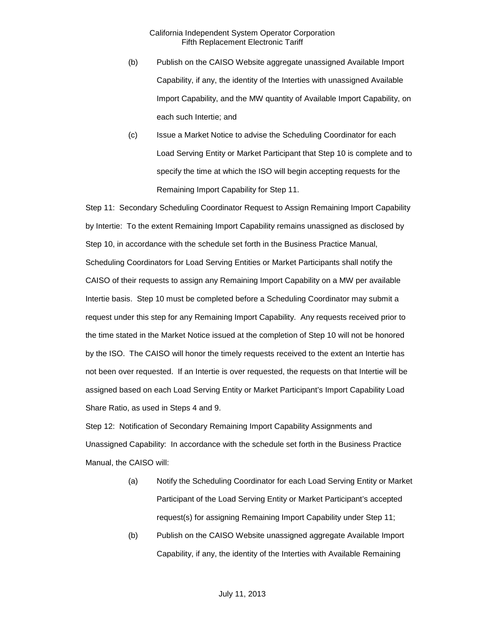- (b) Publish on the CAISO Website aggregate unassigned Available Import Capability, if any, the identity of the Interties with unassigned Available Import Capability, and the MW quantity of Available Import Capability, on each such Intertie; and
- (c) Issue a Market Notice to advise the Scheduling Coordinator for each Load Serving Entity or Market Participant that Step 10 is complete and to specify the time at which the ISO will begin accepting requests for the Remaining Import Capability for Step 11.

Step 11: Secondary Scheduling Coordinator Request to Assign Remaining Import Capability by Intertie: To the extent Remaining Import Capability remains unassigned as disclosed by Step 10, in accordance with the schedule set forth in the Business Practice Manual, Scheduling Coordinators for Load Serving Entities or Market Participants shall notify the CAISO of their requests to assign any Remaining Import Capability on a MW per available Intertie basis. Step 10 must be completed before a Scheduling Coordinator may submit a request under this step for any Remaining Import Capability. Any requests received prior to the time stated in the Market Notice issued at the completion of Step 10 will not be honored by the ISO. The CAISO will honor the timely requests received to the extent an Intertie has not been over requested. If an Intertie is over requested, the requests on that Intertie will be assigned based on each Load Serving Entity or Market Participant's Import Capability Load Share Ratio, as used in Steps 4 and 9.

Step 12: Notification of Secondary Remaining Import Capability Assignments and Unassigned Capability: In accordance with the schedule set forth in the Business Practice Manual, the CAISO will:

- (a) Notify the Scheduling Coordinator for each Load Serving Entity or Market Participant of the Load Serving Entity or Market Participant's accepted request(s) for assigning Remaining Import Capability under Step 11;
- (b) Publish on the CAISO Website unassigned aggregate Available Import Capability, if any, the identity of the Interties with Available Remaining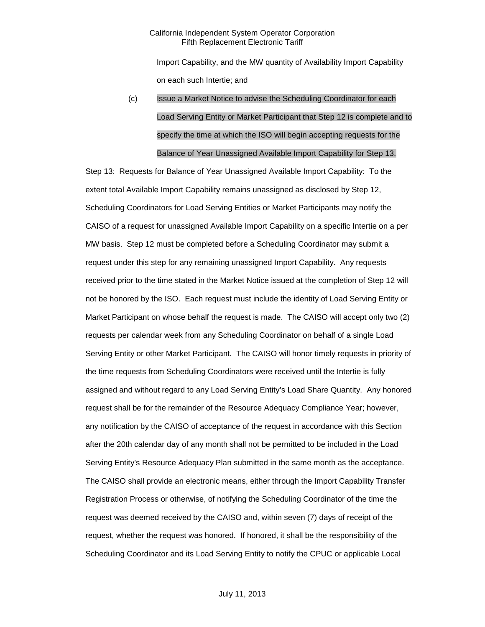Import Capability, and the MW quantity of Availability Import Capability on each such Intertie; and

# (c) Issue a Market Notice to advise the Scheduling Coordinator for each Load Serving Entity or Market Participant that Step 12 is complete and to specify the time at which the ISO will begin accepting requests for the Balance of Year Unassigned Available Import Capability for Step 13.

Step 13: Requests for Balance of Year Unassigned Available Import Capability: To the extent total Available Import Capability remains unassigned as disclosed by Step 12, Scheduling Coordinators for Load Serving Entities or Market Participants may notify the CAISO of a request for unassigned Available Import Capability on a specific Intertie on a per MW basis. Step 12 must be completed before a Scheduling Coordinator may submit a request under this step for any remaining unassigned Import Capability. Any requests received prior to the time stated in the Market Notice issued at the completion of Step 12 will not be honored by the ISO. Each request must include the identity of Load Serving Entity or Market Participant on whose behalf the request is made. The CAISO will accept only two (2) requests per calendar week from any Scheduling Coordinator on behalf of a single Load Serving Entity or other Market Participant. The CAISO will honor timely requests in priority of the time requests from Scheduling Coordinators were received until the Intertie is fully assigned and without regard to any Load Serving Entity's Load Share Quantity. Any honored request shall be for the remainder of the Resource Adequacy Compliance Year; however, any notification by the CAISO of acceptance of the request in accordance with this Section after the 20th calendar day of any month shall not be permitted to be included in the Load Serving Entity's Resource Adequacy Plan submitted in the same month as the acceptance. The CAISO shall provide an electronic means, either through the Import Capability Transfer Registration Process or otherwise, of notifying the Scheduling Coordinator of the time the request was deemed received by the CAISO and, within seven (7) days of receipt of the request, whether the request was honored. If honored, it shall be the responsibility of the Scheduling Coordinator and its Load Serving Entity to notify the CPUC or applicable Local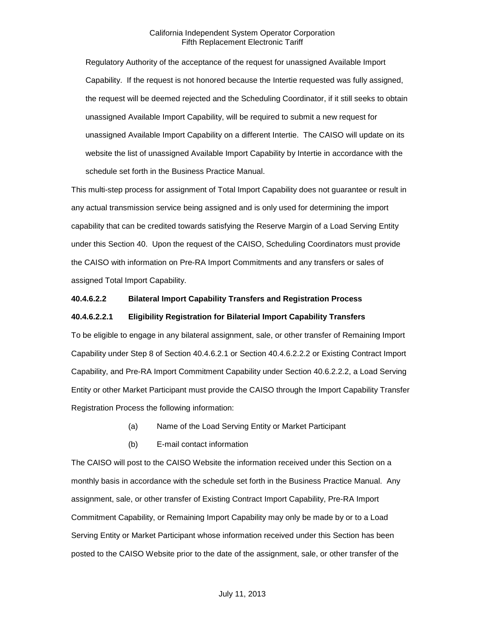Regulatory Authority of the acceptance of the request for unassigned Available Import Capability. If the request is not honored because the Intertie requested was fully assigned, the request will be deemed rejected and the Scheduling Coordinator, if it still seeks to obtain unassigned Available Import Capability, will be required to submit a new request for unassigned Available Import Capability on a different Intertie. The CAISO will update on its website the list of unassigned Available Import Capability by Intertie in accordance with the schedule set forth in the Business Practice Manual.

This multi-step process for assignment of Total Import Capability does not guarantee or result in any actual transmission service being assigned and is only used for determining the import capability that can be credited towards satisfying the Reserve Margin of a Load Serving Entity under this Section 40. Upon the request of the CAISO, Scheduling Coordinators must provide the CAISO with information on Pre-RA Import Commitments and any transfers or sales of assigned Total Import Capability.

## **40.4.6.2.2 Bilateral Import Capability Transfers and Registration Process**

#### **40.4.6.2.2.1 Eligibility Registration for Bilaterial Import Capability Transfers**

To be eligible to engage in any bilateral assignment, sale, or other transfer of Remaining Import Capability under Step 8 of Section 40.4.6.2.1 or Section 40.4.6.2.2.2 or Existing Contract Import Capability, and Pre-RA Import Commitment Capability under Section 40.6.2.2.2, a Load Serving Entity or other Market Participant must provide the CAISO through the Import Capability Transfer Registration Process the following information:

- (a) Name of the Load Serving Entity or Market Participant
- (b) E-mail contact information

The CAISO will post to the CAISO Website the information received under this Section on a monthly basis in accordance with the schedule set forth in the Business Practice Manual. Any assignment, sale, or other transfer of Existing Contract Import Capability, Pre-RA Import Commitment Capability, or Remaining Import Capability may only be made by or to a Load Serving Entity or Market Participant whose information received under this Section has been posted to the CAISO Website prior to the date of the assignment, sale, or other transfer of the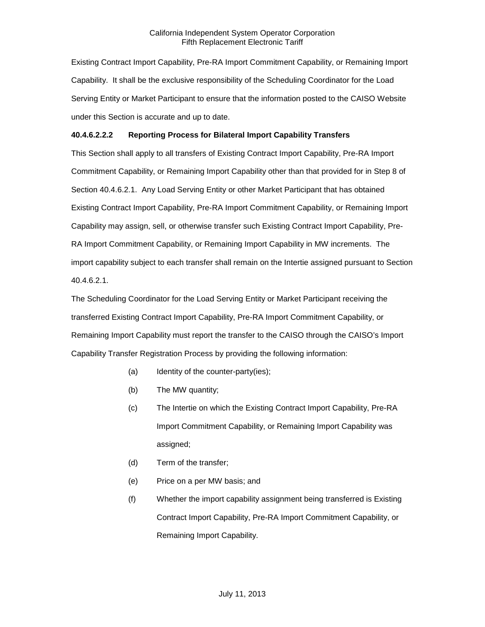Existing Contract Import Capability, Pre-RA Import Commitment Capability, or Remaining Import Capability. It shall be the exclusive responsibility of the Scheduling Coordinator for the Load Serving Entity or Market Participant to ensure that the information posted to the CAISO Website under this Section is accurate and up to date.

## **40.4.6.2.2.2 Reporting Process for Bilateral Import Capability Transfers**

This Section shall apply to all transfers of Existing Contract Import Capability, Pre-RA Import Commitment Capability, or Remaining Import Capability other than that provided for in Step 8 of Section 40.4.6.2.1. Any Load Serving Entity or other Market Participant that has obtained Existing Contract Import Capability, Pre-RA Import Commitment Capability, or Remaining Import Capability may assign, sell, or otherwise transfer such Existing Contract Import Capability, Pre-RA Import Commitment Capability, or Remaining Import Capability in MW increments. The import capability subject to each transfer shall remain on the Intertie assigned pursuant to Section 40.4.6.2.1.

The Scheduling Coordinator for the Load Serving Entity or Market Participant receiving the transferred Existing Contract Import Capability, Pre-RA Import Commitment Capability, or Remaining Import Capability must report the transfer to the CAISO through the CAISO's Import Capability Transfer Registration Process by providing the following information:

- (a) Identity of the counter-party(ies);
- (b) The MW quantity;
- (c) The Intertie on which the Existing Contract Import Capability, Pre-RA Import Commitment Capability, or Remaining Import Capability was assigned;
- (d) Term of the transfer;
- (e) Price on a per MW basis; and
- (f) Whether the import capability assignment being transferred is Existing Contract Import Capability, Pre-RA Import Commitment Capability, or Remaining Import Capability.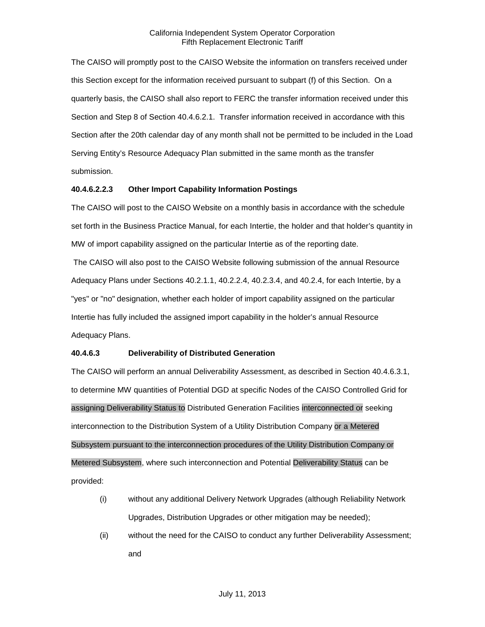The CAISO will promptly post to the CAISO Website the information on transfers received under this Section except for the information received pursuant to subpart (f) of this Section. On a quarterly basis, the CAISO shall also report to FERC the transfer information received under this Section and Step 8 of Section 40.4.6.2.1. Transfer information received in accordance with this Section after the 20th calendar day of any month shall not be permitted to be included in the Load Serving Entity's Resource Adequacy Plan submitted in the same month as the transfer submission.

## **40.4.6.2.2.3 Other Import Capability Information Postings**

The CAISO will post to the CAISO Website on a monthly basis in accordance with the schedule set forth in the Business Practice Manual, for each Intertie, the holder and that holder's quantity in MW of import capability assigned on the particular Intertie as of the reporting date.

The CAISO will also post to the CAISO Website following submission of the annual Resource Adequacy Plans under Sections 40.2.1.1, 40.2.2.4, 40.2.3.4, and 40.2.4, for each Intertie, by a "yes" or "no" designation, whether each holder of import capability assigned on the particular Intertie has fully included the assigned import capability in the holder's annual Resource Adequacy Plans.

## **40.4.6.3 Deliverability of Distributed Generation**

The CAISO will perform an annual Deliverability Assessment, as described in Section 40.4.6.3.1, to determine MW quantities of Potential DGD at specific Nodes of the CAISO Controlled Grid for assigning Deliverability Status to Distributed Generation Facilities interconnected or seeking interconnection to the Distribution System of a Utility Distribution Company or a Metered Subsystem pursuant to the interconnection procedures of the Utility Distribution Company or Metered Subsystem, where such interconnection and Potential Deliverability Status can be provided:

- (i) without any additional Delivery Network Upgrades (although Reliability Network Upgrades, Distribution Upgrades or other mitigation may be needed);
- (ii) without the need for the CAISO to conduct any further Deliverability Assessment; and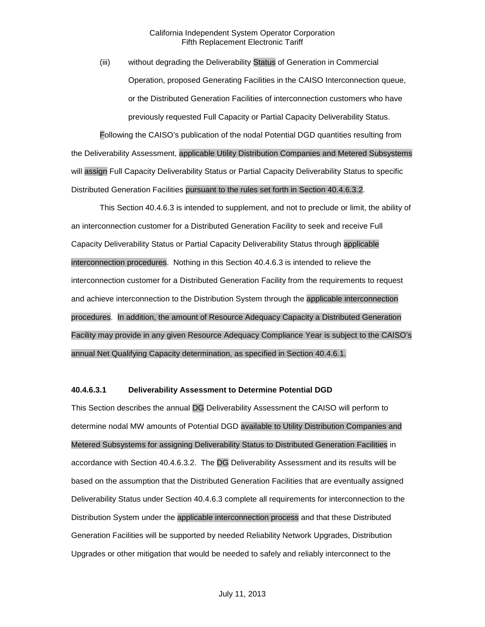(iii) without degrading the Deliverability Status of Generation in Commercial Operation, proposed Generating Facilities in the CAISO Interconnection queue, or the Distributed Generation Facilities of interconnection customers who have previously requested Full Capacity or Partial Capacity Deliverability Status.

Following the CAISO's publication of the nodal Potential DGD quantities resulting from the Deliverability Assessment, applicable Utility Distribution Companies and Metered Subsystems will assign Full Capacity Deliverability Status or Partial Capacity Deliverability Status to specific Distributed Generation Facilities pursuant to the rules set forth in Section 40.4.6.3.2.

This Section 40.4.6.3 is intended to supplement, and not to preclude or limit, the ability of an interconnection customer for a Distributed Generation Facility to seek and receive Full Capacity Deliverability Status or Partial Capacity Deliverability Status through applicable interconnection procedures. Nothing in this Section 40.4.6.3 is intended to relieve the interconnection customer for a Distributed Generation Facility from the requirements to request and achieve interconnection to the Distribution System through the applicable interconnection procedures. In addition, the amount of Resource Adequacy Capacity a Distributed Generation Facility may provide in any given Resource Adequacy Compliance Year is subject to the CAISO's annual Net Qualifying Capacity determination, as specified in Section 40.4.6.1.

#### **40.4.6.3.1 Deliverability Assessment to Determine Potential DGD**

This Section describes the annual DG Deliverability Assessment the CAISO will perform to determine nodal MW amounts of Potential DGD available to Utility Distribution Companies and Metered Subsystems for assigning Deliverability Status to Distributed Generation Facilities in accordance with Section 40.4.6.3.2. The DG Deliverability Assessment and its results will be based on the assumption that the Distributed Generation Facilities that are eventually assigned Deliverability Status under Section 40.4.6.3 complete all requirements for interconnection to the Distribution System under the applicable interconnection process and that these Distributed Generation Facilities will be supported by needed Reliability Network Upgrades, Distribution Upgrades or other mitigation that would be needed to safely and reliably interconnect to the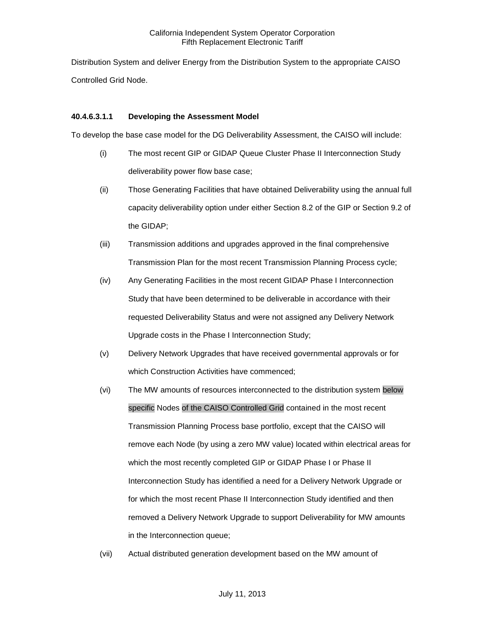Distribution System and deliver Energy from the Distribution System to the appropriate CAISO Controlled Grid Node.

#### **40.4.6.3.1.1 Developing the Assessment Model**

To develop the base case model for the DG Deliverability Assessment, the CAISO will include:

- (i) The most recent GIP or GIDAP Queue Cluster Phase II Interconnection Study deliverability power flow base case;
- (ii) Those Generating Facilities that have obtained Deliverability using the annual full capacity deliverability option under either Section 8.2 of the GIP or Section 9.2 of the GIDAP;
- (iii) Transmission additions and upgrades approved in the final comprehensive Transmission Plan for the most recent Transmission Planning Process cycle;
- (iv) Any Generating Facilities in the most recent GIDAP Phase I Interconnection Study that have been determined to be deliverable in accordance with their requested Deliverability Status and were not assigned any Delivery Network Upgrade costs in the Phase I Interconnection Study;
- (v) Delivery Network Upgrades that have received governmental approvals or for which Construction Activities have commenced;
- (vi) The MW amounts of resources interconnected to the distribution system below specific Nodes of the CAISO Controlled Grid contained in the most recent Transmission Planning Process base portfolio, except that the CAISO will remove each Node (by using a zero MW value) located within electrical areas for which the most recently completed GIP or GIDAP Phase I or Phase II Interconnection Study has identified a need for a Delivery Network Upgrade or for which the most recent Phase II Interconnection Study identified and then removed a Delivery Network Upgrade to support Deliverability for MW amounts in the Interconnection queue;
- (vii) Actual distributed generation development based on the MW amount of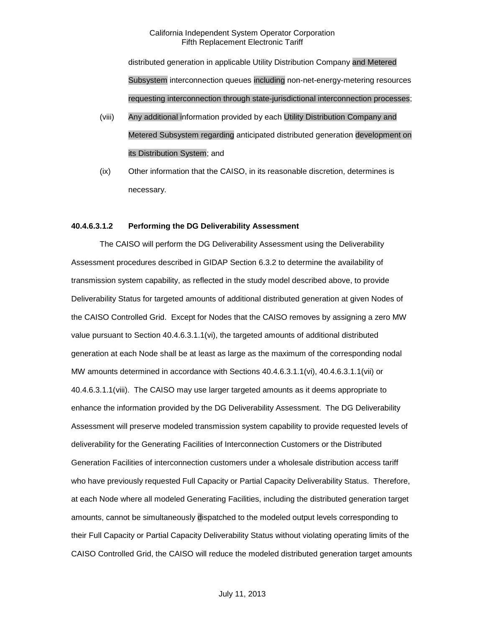distributed generation in applicable Utility Distribution Company and Metered Subsystem interconnection queues including non-net-energy-metering resources requesting interconnection through state-jurisdictional interconnection processes;

- (viii) Any additional information provided by each Utility Distribution Company and Metered Subsystem regarding anticipated distributed generation development on its Distribution System; and
- (ix) Other information that the CAISO, in its reasonable discretion, determines is necessary.

#### **40.4.6.3.1.2 Performing the DG Deliverability Assessment**

The CAISO will perform the DG Deliverability Assessment using the Deliverability Assessment procedures described in GIDAP Section 6.3.2 to determine the availability of transmission system capability, as reflected in the study model described above, to provide Deliverability Status for targeted amounts of additional distributed generation at given Nodes of the CAISO Controlled Grid. Except for Nodes that the CAISO removes by assigning a zero MW value pursuant to Section 40.4.6.3.1.1(vi), the targeted amounts of additional distributed generation at each Node shall be at least as large as the maximum of the corresponding nodal MW amounts determined in accordance with Sections 40.4.6.3.1.1(vi), 40.4.6.3.1.1(vii) or 40.4.6.3.1.1(viii). The CAISO may use larger targeted amounts as it deems appropriate to enhance the information provided by the DG Deliverability Assessment. The DG Deliverability Assessment will preserve modeled transmission system capability to provide requested levels of deliverability for the Generating Facilities of Interconnection Customers or the Distributed Generation Facilities of interconnection customers under a wholesale distribution access tariff who have previously requested Full Capacity or Partial Capacity Deliverability Status. Therefore, at each Node where all modeled Generating Facilities, including the distributed generation target amounts, cannot be simultaneously dispatched to the modeled output levels corresponding to their Full Capacity or Partial Capacity Deliverability Status without violating operating limits of the CAISO Controlled Grid, the CAISO will reduce the modeled distributed generation target amounts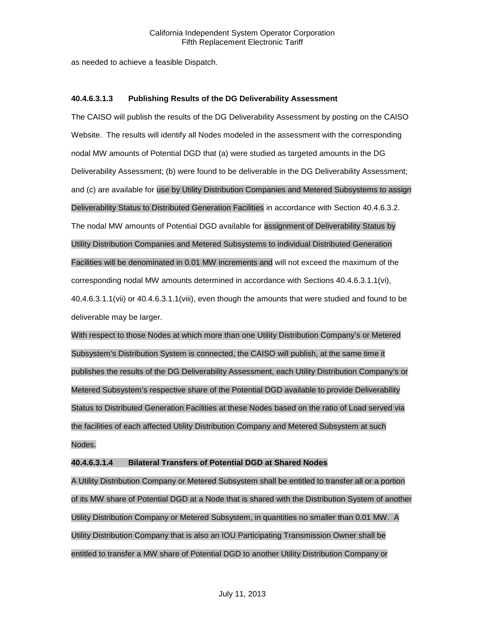as needed to achieve a feasible Dispatch.

## **40.4.6.3.1.3 Publishing Results of the DG Deliverability Assessment**

The CAISO will publish the results of the DG Deliverability Assessment by posting on the CAISO Website. The results will identify all Nodes modeled in the assessment with the corresponding nodal MW amounts of Potential DGD that (a) were studied as targeted amounts in the DG Deliverability Assessment; (b) were found to be deliverable in the DG Deliverability Assessment; and (c) are available for use by Utility Distribution Companies and Metered Subsystems to assign Deliverability Status to Distributed Generation Facilities in accordance with Section 40.4.6.3.2. The nodal MW amounts of Potential DGD available for assignment of Deliverability Status by Utility Distribution Companies and Metered Subsystems to individual Distributed Generation Facilities will be denominated in 0.01 MW increments and will not exceed the maximum of the corresponding nodal MW amounts determined in accordance with Sections 40.4.6.3.1.1(vi), 40.4.6.3.1.1(vii) or 40.4.6.3.1.1(viii), even though the amounts that were studied and found to be deliverable may be larger.

With respect to those Nodes at which more than one Utility Distribution Company's or Metered Subsystem's Distribution System is connected, the CAISO will publish, at the same time it publishes the results of the DG Deliverability Assessment, each Utility Distribution Company's or Metered Subsystem's respective share of the Potential DGD available to provide Deliverability Status to Distributed Generation Facilities at these Nodes based on the ratio of Load served via the facilities of each affected Utility Distribution Company and Metered Subsystem at such Nodes.

## **40.4.6.3.1.4 Bilateral Transfers of Potential DGD at Shared Nodes**

A Utility Distribution Company or Metered Subsystem shall be entitled to transfer all or a portion of its MW share of Potential DGD at a Node that is shared with the Distribution System of another Utility Distribution Company or Metered Subsystem, in quantities no smaller than 0.01 MW. A Utility Distribution Company that is also an IOU Participating Transmission Owner shall be entitled to transfer a MW share of Potential DGD to another Utility Distribution Company or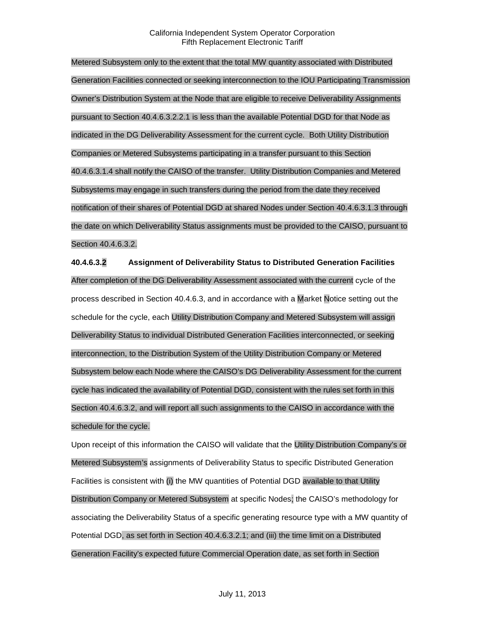Metered Subsystem only to the extent that the total MW quantity associated with Distributed Generation Facilities connected or seeking interconnection to the IOU Participating Transmission Owner's Distribution System at the Node that are eligible to receive Deliverability Assignments pursuant to Section 40.4.6.3.2.2.1 is less than the available Potential DGD for that Node as indicated in the DG Deliverability Assessment for the current cycle. Both Utility Distribution Companies or Metered Subsystems participating in a transfer pursuant to this Section 40.4.6.3.1.4 shall notify the CAISO of the transfer. Utility Distribution Companies and Metered Subsystems may engage in such transfers during the period from the date they received notification of their shares of Potential DGD at shared Nodes under Section 40.4.6.3.1.3 through the date on which Deliverability Status assignments must be provided to the CAISO, pursuant to Section 40.4.6.3.2.

**40.4.6.3.2 Assignment of Deliverability Status to Distributed Generation Facilities** After completion of the DG Deliverability Assessment associated with the current cycle of the process described in Section 40.4.6.3, and in accordance with a Market Notice setting out the schedule for the cycle, each Utility Distribution Company and Metered Subsystem will assign Deliverability Status to individual Distributed Generation Facilities interconnected, or seeking interconnection, to the Distribution System of the Utility Distribution Company or Metered Subsystem below each Node where the CAISO's DG Deliverability Assessment for the current cycle has indicated the availability of Potential DGD, consistent with the rules set forth in this Section 40.4.6.3.2, and will report all such assignments to the CAISO in accordance with the schedule for the cycle.

Upon receipt of this information the CAISO will validate that the Utility Distribution Company's or Metered Subsystem's assignments of Deliverability Status to specific Distributed Generation Facilities is consistent with (i) the MW quantities of Potential DGD available to that Utility Distribution Company or Metered Subsystem at specific Nodes; the CAISO's methodology for associating the Deliverability Status of a specific generating resource type with a MW quantity of Potential DGD, as set forth in Section 40.4.6.3.2.1; and (iii) the time limit on a Distributed Generation Facility's expected future Commercial Operation date, as set forth in Section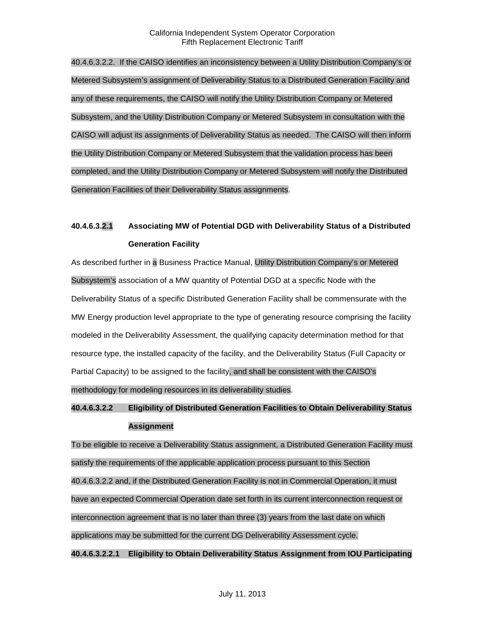40.4.6.3.2.2. If the CAISO identifies an inconsistency between a Utility Distribution Company's or Metered Subsystem's assignment of Deliverability Status to a Distributed Generation Facility and any of these requirements, the CAISO will notify the Utility Distribution Company or Metered Subsystem, and the Utility Distribution Company or Metered Subsystem in consultation with the CAISO will adjust its assignments of Deliverability Status as needed. The CAISO will then inform the Utility Distribution Company or Metered Subsystem that the validation process has been completed, and the Utility Distribution Company or Metered Subsystem will notify the Distributed Generation Facilities of their Deliverability Status assignments.

# **40.4.6.3.2.1 Associating MW of Potential DGD with Deliverability Status of a Distributed Generation Facility**

As described further in a Business Practice Manual, Utility Distribution Company's or Metered Subsystem's association of a MW quantity of Potential DGD at a specific Node with the Deliverability Status of a specific Distributed Generation Facility shall be commensurate with the MW Energy production level appropriate to the type of generating resource comprising the facility modeled in the Deliverability Assessment, the qualifying capacity determination method for that resource type, the installed capacity of the facility, and the Deliverability Status (Full Capacity or Partial Capacity) to be assigned to the facility, and shall be consistent with the CAISO's methodology for modeling resources in its deliverability studies.

## **40.4.6.3.2.2 Eligibility of Distributed Generation Facilities to Obtain Deliverability Status Assignment**

To be eligible to receive a Deliverability Status assignment, a Distributed Generation Facility must satisfy the requirements of the applicable application process pursuant to this Section 40.4.6.3.2.2 and, if the Distributed Generation Facility is not in Commercial Operation, it must have an expected Commercial Operation date set forth in its current interconnection request or interconnection agreement that is no later than three (3) years from the last date on which applications may be submitted for the current DG Deliverability Assessment cycle. **40.4.6.3.2.2.1 Eligibility to Obtain Deliverability Status Assignment from IOU Participating**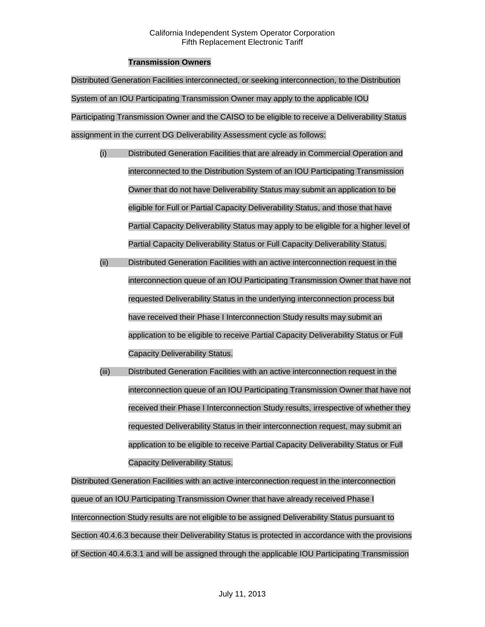## **Transmission Owners**

Distributed Generation Facilities interconnected, or seeking interconnection, to the Distribution System of an IOU Participating Transmission Owner may apply to the applicable IOU Participating Transmission Owner and the CAISO to be eligible to receive a Deliverability Status assignment in the current DG Deliverability Assessment cycle as follows:

- (i) Distributed Generation Facilities that are already in Commercial Operation and interconnected to the Distribution System of an IOU Participating Transmission Owner that do not have Deliverability Status may submit an application to be eligible for Full or Partial Capacity Deliverability Status, and those that have Partial Capacity Deliverability Status may apply to be eligible for a higher level of Partial Capacity Deliverability Status or Full Capacity Deliverability Status.
- (ii) Distributed Generation Facilities with an active interconnection request in the interconnection queue of an IOU Participating Transmission Owner that have not requested Deliverability Status in the underlying interconnection process but have received their Phase I Interconnection Study results may submit an application to be eligible to receive Partial Capacity Deliverability Status or Full Capacity Deliverability Status.
- (iii) Distributed Generation Facilities with an active interconnection request in the interconnection queue of an IOU Participating Transmission Owner that have not received their Phase I Interconnection Study results, irrespective of whether they requested Deliverability Status in their interconnection request, may submit an application to be eligible to receive Partial Capacity Deliverability Status or Full Capacity Deliverability Status.

Distributed Generation Facilities with an active interconnection request in the interconnection queue of an IOU Participating Transmission Owner that have already received Phase I Interconnection Study results are not eligible to be assigned Deliverability Status pursuant to Section 40.4.6.3 because their Deliverability Status is protected in accordance with the provisions of Section 40.4.6.3.1 and will be assigned through the applicable IOU Participating Transmission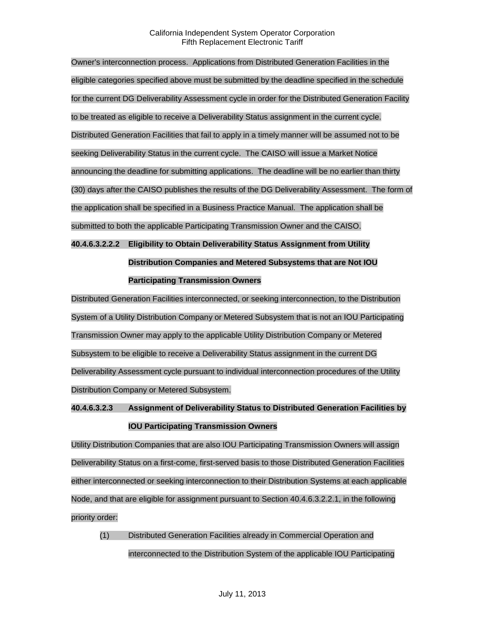Owner's interconnection process. Applications from Distributed Generation Facilities in the eligible categories specified above must be submitted by the deadline specified in the schedule for the current DG Deliverability Assessment cycle in order for the Distributed Generation Facility to be treated as eligible to receive a Deliverability Status assignment in the current cycle. Distributed Generation Facilities that fail to apply in a timely manner will be assumed not to be seeking Deliverability Status in the current cycle. The CAISO will issue a Market Notice announcing the deadline for submitting applications. The deadline will be no earlier than thirty (30) days after the CAISO publishes the results of the DG Deliverability Assessment. The form of the application shall be specified in a Business Practice Manual. The application shall be submitted to both the applicable Participating Transmission Owner and the CAISO.

**40.4.6.3.2.2.2 Eligibility to Obtain Deliverability Status Assignment from Utility Distribution Companies and Metered Subsystems that are Not IOU Participating Transmission Owners**

Distributed Generation Facilities interconnected, or seeking interconnection, to the Distribution System of a Utility Distribution Company or Metered Subsystem that is not an IOU Participating Transmission Owner may apply to the applicable Utility Distribution Company or Metered Subsystem to be eligible to receive a Deliverability Status assignment in the current DG Deliverability Assessment cycle pursuant to individual interconnection procedures of the Utility Distribution Company or Metered Subsystem.

**40.4.6.3.2.3 Assignment of Deliverability Status to Distributed Generation Facilities by IOU Participating Transmission Owners** 

Utility Distribution Companies that are also IOU Participating Transmission Owners will assign Deliverability Status on a first-come, first-served basis to those Distributed Generation Facilities either interconnected or seeking interconnection to their Distribution Systems at each applicable Node, and that are eligible for assignment pursuant to Section 40.4.6.3.2.2.1, in the following priority order:

(1) Distributed Generation Facilities already in Commercial Operation and interconnected to the Distribution System of the applicable IOU Participating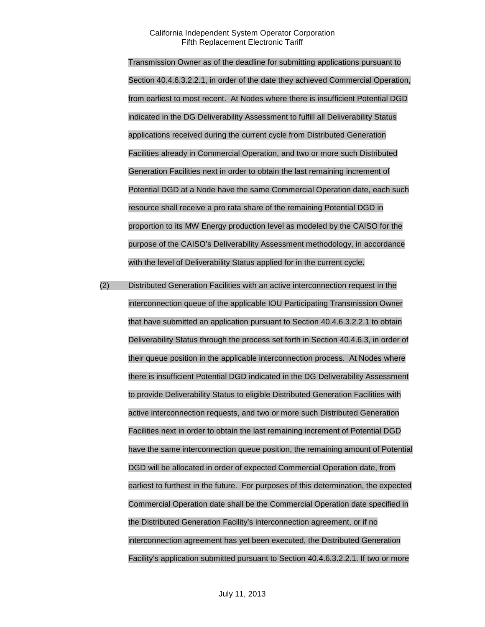Transmission Owner as of the deadline for submitting applications pursuant to Section 40.4.6.3.2.2.1, in order of the date they achieved Commercial Operation, from earliest to most recent. At Nodes where there is insufficient Potential DGD indicated in the DG Deliverability Assessment to fulfill all Deliverability Status applications received during the current cycle from Distributed Generation Facilities already in Commercial Operation, and two or more such Distributed Generation Facilities next in order to obtain the last remaining increment of Potential DGD at a Node have the same Commercial Operation date, each such resource shall receive a pro rata share of the remaining Potential DGD in proportion to its MW Energy production level as modeled by the CAISO for the purpose of the CAISO's Deliverability Assessment methodology, in accordance with the level of Deliverability Status applied for in the current cycle.

(2) Distributed Generation Facilities with an active interconnection request in the interconnection queue of the applicable IOU Participating Transmission Owner that have submitted an application pursuant to Section 40.4.6.3.2.2.1 to obtain Deliverability Status through the process set forth in Section 40.4.6.3, in order of their queue position in the applicable interconnection process. At Nodes where there is insufficient Potential DGD indicated in the DG Deliverability Assessment to provide Deliverability Status to eligible Distributed Generation Facilities with active interconnection requests, and two or more such Distributed Generation Facilities next in order to obtain the last remaining increment of Potential DGD have the same interconnection queue position, the remaining amount of Potential DGD will be allocated in order of expected Commercial Operation date, from earliest to furthest in the future. For purposes of this determination, the expected Commercial Operation date shall be the Commercial Operation date specified in the Distributed Generation Facility's interconnection agreement, or if no interconnection agreement has yet been executed, the Distributed Generation Facility's application submitted pursuant to Section 40.4.6.3.2.2.1. If two or more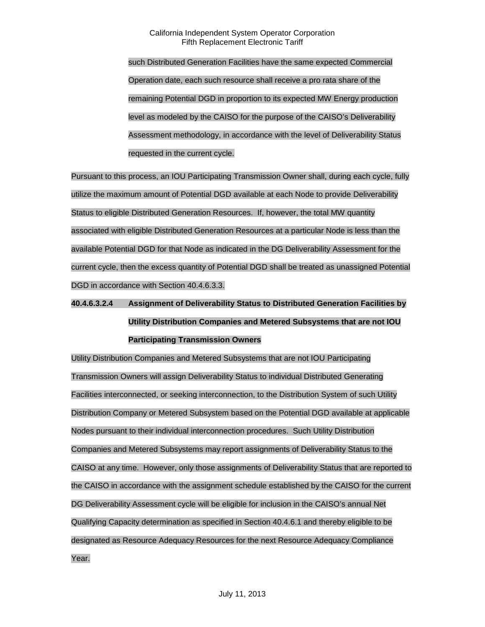such Distributed Generation Facilities have the same expected Commercial Operation date, each such resource shall receive a pro rata share of the remaining Potential DGD in proportion to its expected MW Energy production level as modeled by the CAISO for the purpose of the CAISO's Deliverability Assessment methodology, in accordance with the level of Deliverability Status requested in the current cycle.

Pursuant to this process, an IOU Participating Transmission Owner shall, during each cycle, fully utilize the maximum amount of Potential DGD available at each Node to provide Deliverability Status to eligible Distributed Generation Resources. If, however, the total MW quantity associated with eligible Distributed Generation Resources at a particular Node is less than the available Potential DGD for that Node as indicated in the DG Deliverability Assessment for the current cycle, then the excess quantity of Potential DGD shall be treated as unassigned Potential DGD in accordance with Section 40.4.6.3.3.

## **40.4.6.3.2.4 Assignment of Deliverability Status to Distributed Generation Facilities by Utility Distribution Companies and Metered Subsystems that are not IOU Participating Transmission Owners**

Utility Distribution Companies and Metered Subsystems that are not IOU Participating Transmission Owners will assign Deliverability Status to individual Distributed Generating Facilities interconnected, or seeking interconnection, to the Distribution System of such Utility Distribution Company or Metered Subsystem based on the Potential DGD available at applicable Nodes pursuant to their individual interconnection procedures. Such Utility Distribution Companies and Metered Subsystems may report assignments of Deliverability Status to the CAISO at any time. However, only those assignments of Deliverability Status that are reported to the CAISO in accordance with the assignment schedule established by the CAISO for the current DG Deliverability Assessment cycle will be eligible for inclusion in the CAISO's annual Net Qualifying Capacity determination as specified in Section 40.4.6.1 and thereby eligible to be designated as Resource Adequacy Resources for the next Resource Adequacy Compliance Year.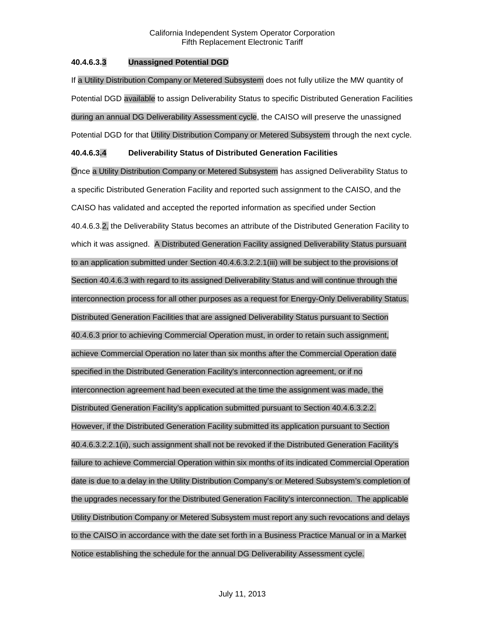## **40.4.6.3.3 Unassigned Potential DGD**

If a Utility Distribution Company or Metered Subsystem does not fully utilize the MW quantity of Potential DGD available to assign Deliverability Status to specific Distributed Generation Facilities during an annual DG Deliverability Assessment cycle, the CAISO will preserve the unassigned Potential DGD for that Utility Distribution Company or Metered Subsystem through the next cycle.

## **40.4.6.3.4 Deliverability Status of Distributed Generation Facilities**

Once a Utility Distribution Company or Metered Subsystem has assigned Deliverability Status to a specific Distributed Generation Facility and reported such assignment to the CAISO, and the CAISO has validated and accepted the reported information as specified under Section 40.4.6.3.2, the Deliverability Status becomes an attribute of the Distributed Generation Facility to which it was assigned. A Distributed Generation Facility assigned Deliverability Status pursuant to an application submitted under Section 40.4.6.3.2.2.1(iii) will be subject to the provisions of Section 40.4.6.3 with regard to its assigned Deliverability Status and will continue through the interconnection process for all other purposes as a request for Energy-Only Deliverability Status. Distributed Generation Facilities that are assigned Deliverability Status pursuant to Section 40.4.6.3 prior to achieving Commercial Operation must, in order to retain such assignment, achieve Commercial Operation no later than six months after the Commercial Operation date specified in the Distributed Generation Facility's interconnection agreement, or if no interconnection agreement had been executed at the time the assignment was made, the Distributed Generation Facility's application submitted pursuant to Section 40.4.6.3.2.2. However, if the Distributed Generation Facility submitted its application pursuant to Section 40.4.6.3.2.2.1(ii), such assignment shall not be revoked if the Distributed Generation Facility's failure to achieve Commercial Operation within six months of its indicated Commercial Operation date is due to a delay in the Utility Distribution Company's or Metered Subsystem's completion of the upgrades necessary for the Distributed Generation Facility's interconnection. The applicable Utility Distribution Company or Metered Subsystem must report any such revocations and delays to the CAISO in accordance with the date set forth in a Business Practice Manual or in a Market Notice establishing the schedule for the annual DG Deliverability Assessment cycle.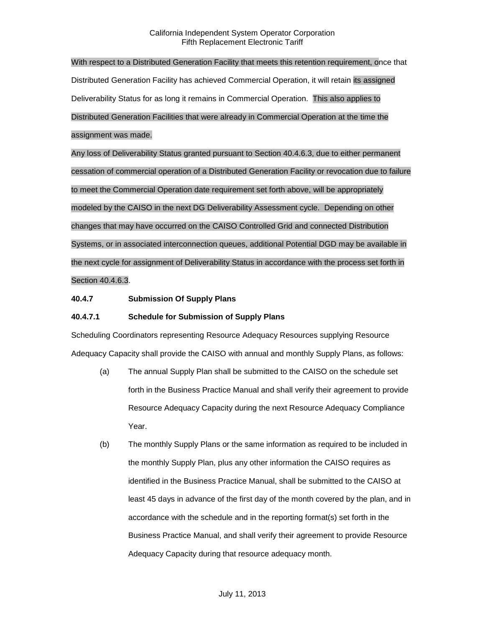With respect to a Distributed Generation Facility that meets this retention requirement, once that Distributed Generation Facility has achieved Commercial Operation, it will retain its assigned Deliverability Status for as long it remains in Commercial Operation. This also applies to Distributed Generation Facilities that were already in Commercial Operation at the time the assignment was made.

Any loss of Deliverability Status granted pursuant to Section 40.4.6.3, due to either permanent cessation of commercial operation of a Distributed Generation Facility or revocation due to failure to meet the Commercial Operation date requirement set forth above, will be appropriately modeled by the CAISO in the next DG Deliverability Assessment cycle. Depending on other changes that may have occurred on the CAISO Controlled Grid and connected Distribution Systems, or in associated interconnection queues, additional Potential DGD may be available in the next cycle for assignment of Deliverability Status in accordance with the process set forth in Section 40.4.6.3.

## **40.4.7 Submission Of Supply Plans**

## **40.4.7.1 Schedule for Submission of Supply Plans**

Scheduling Coordinators representing Resource Adequacy Resources supplying Resource Adequacy Capacity shall provide the CAISO with annual and monthly Supply Plans, as follows:

- (a) The annual Supply Plan shall be submitted to the CAISO on the schedule set forth in the Business Practice Manual and shall verify their agreement to provide Resource Adequacy Capacity during the next Resource Adequacy Compliance Year.
- (b) The monthly Supply Plans or the same information as required to be included in the monthly Supply Plan, plus any other information the CAISO requires as identified in the Business Practice Manual, shall be submitted to the CAISO at least 45 days in advance of the first day of the month covered by the plan, and in accordance with the schedule and in the reporting format(s) set forth in the Business Practice Manual, and shall verify their agreement to provide Resource Adequacy Capacity during that resource adequacy month.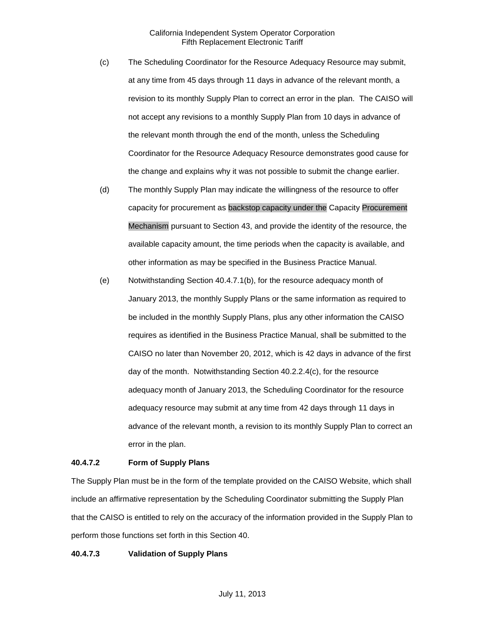- (c) The Scheduling Coordinator for the Resource Adequacy Resource may submit, at any time from 45 days through 11 days in advance of the relevant month, a revision to its monthly Supply Plan to correct an error in the plan. The CAISO will not accept any revisions to a monthly Supply Plan from 10 days in advance of the relevant month through the end of the month, unless the Scheduling Coordinator for the Resource Adequacy Resource demonstrates good cause for the change and explains why it was not possible to submit the change earlier.
- (d) The monthly Supply Plan may indicate the willingness of the resource to offer capacity for procurement as backstop capacity under the Capacity Procurement Mechanism pursuant to Section 43, and provide the identity of the resource, the available capacity amount, the time periods when the capacity is available, and other information as may be specified in the Business Practice Manual.
- (e) Notwithstanding Section 40.4.7.1(b), for the resource adequacy month of January 2013, the monthly Supply Plans or the same information as required to be included in the monthly Supply Plans, plus any other information the CAISO requires as identified in the Business Practice Manual, shall be submitted to the CAISO no later than November 20, 2012, which is 42 days in advance of the first day of the month. Notwithstanding Section 40.2.2.4(c), for the resource adequacy month of January 2013, the Scheduling Coordinator for the resource adequacy resource may submit at any time from 42 days through 11 days in advance of the relevant month, a revision to its monthly Supply Plan to correct an error in the plan.

#### **40.4.7.2 Form of Supply Plans**

The Supply Plan must be in the form of the template provided on the CAISO Website, which shall include an affirmative representation by the Scheduling Coordinator submitting the Supply Plan that the CAISO is entitled to rely on the accuracy of the information provided in the Supply Plan to perform those functions set forth in this Section 40.

#### **40.4.7.3 Validation of Supply Plans**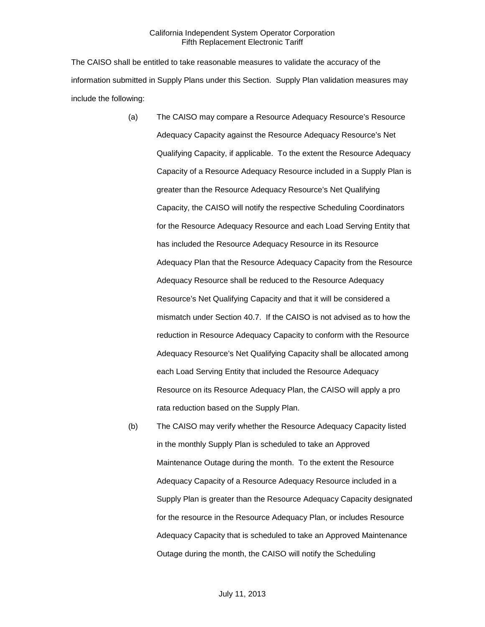The CAISO shall be entitled to take reasonable measures to validate the accuracy of the information submitted in Supply Plans under this Section. Supply Plan validation measures may include the following:

- (a) The CAISO may compare a Resource Adequacy Resource's Resource Adequacy Capacity against the Resource Adequacy Resource's Net Qualifying Capacity, if applicable. To the extent the Resource Adequacy Capacity of a Resource Adequacy Resource included in a Supply Plan is greater than the Resource Adequacy Resource's Net Qualifying Capacity, the CAISO will notify the respective Scheduling Coordinators for the Resource Adequacy Resource and each Load Serving Entity that has included the Resource Adequacy Resource in its Resource Adequacy Plan that the Resource Adequacy Capacity from the Resource Adequacy Resource shall be reduced to the Resource Adequacy Resource's Net Qualifying Capacity and that it will be considered a mismatch under Section 40.7. If the CAISO is not advised as to how the reduction in Resource Adequacy Capacity to conform with the Resource Adequacy Resource's Net Qualifying Capacity shall be allocated among each Load Serving Entity that included the Resource Adequacy Resource on its Resource Adequacy Plan, the CAISO will apply a pro rata reduction based on the Supply Plan.
- (b) The CAISO may verify whether the Resource Adequacy Capacity listed in the monthly Supply Plan is scheduled to take an Approved Maintenance Outage during the month. To the extent the Resource Adequacy Capacity of a Resource Adequacy Resource included in a Supply Plan is greater than the Resource Adequacy Capacity designated for the resource in the Resource Adequacy Plan, or includes Resource Adequacy Capacity that is scheduled to take an Approved Maintenance Outage during the month, the CAISO will notify the Scheduling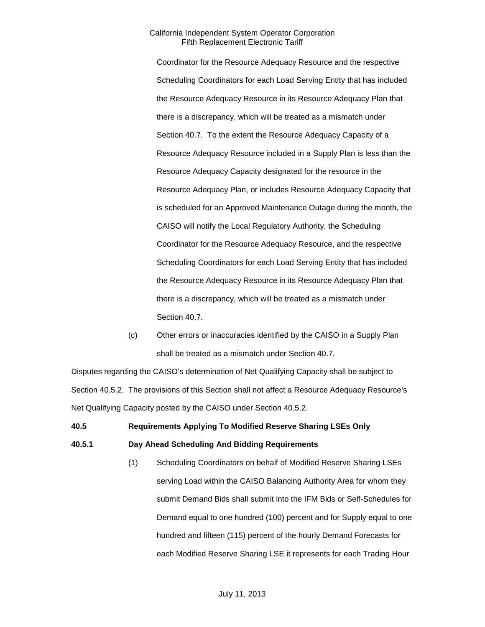Coordinator for the Resource Adequacy Resource and the respective Scheduling Coordinators for each Load Serving Entity that has included the Resource Adequacy Resource in its Resource Adequacy Plan that there is a discrepancy, which will be treated as a mismatch under Section 40.7. To the extent the Resource Adequacy Capacity of a Resource Adequacy Resource included in a Supply Plan is less than the Resource Adequacy Capacity designated for the resource in the Resource Adequacy Plan, or includes Resource Adequacy Capacity that is scheduled for an Approved Maintenance Outage during the month, the CAISO will notify the Local Regulatory Authority, the Scheduling Coordinator for the Resource Adequacy Resource, and the respective Scheduling Coordinators for each Load Serving Entity that has included the Resource Adequacy Resource in its Resource Adequacy Plan that there is a discrepancy, which will be treated as a mismatch under Section 40.7.

(c) Other errors or inaccuracies identified by the CAISO in a Supply Plan shall be treated as a mismatch under Section 40.7.

Disputes regarding the CAISO's determination of Net Qualifying Capacity shall be subject to Section 40.5.2. The provisions of this Section shall not affect a Resource Adequacy Resource's Net Qualifying Capacity posted by the CAISO under Section 40.5.2.

# **40.5 Requirements Applying To Modified Reserve Sharing LSEs Only**

## **40.5.1 Day Ahead Scheduling And Bidding Requirements**

(1) Scheduling Coordinators on behalf of Modified Reserve Sharing LSEs serving Load within the CAISO Balancing Authority Area for whom they submit Demand Bids shall submit into the IFM Bids or Self-Schedules for Demand equal to one hundred (100) percent and for Supply equal to one hundred and fifteen (115) percent of the hourly Demand Forecasts for each Modified Reserve Sharing LSE it represents for each Trading Hour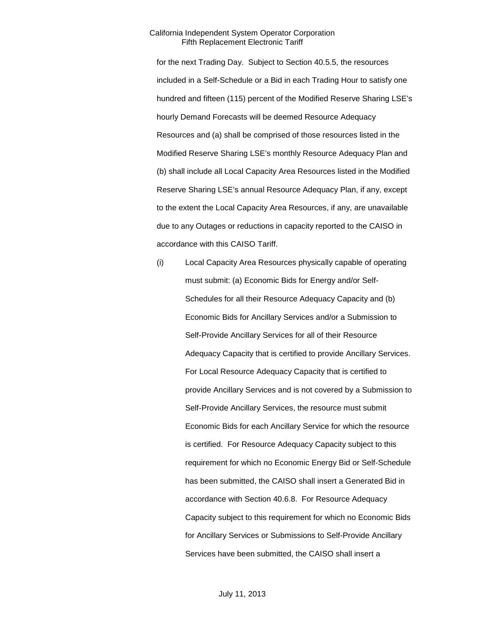for the next Trading Day. Subject to Section 40.5.5, the resources included in a Self-Schedule or a Bid in each Trading Hour to satisfy one hundred and fifteen (115) percent of the Modified Reserve Sharing LSE's hourly Demand Forecasts will be deemed Resource Adequacy Resources and (a) shall be comprised of those resources listed in the Modified Reserve Sharing LSE's monthly Resource Adequacy Plan and (b) shall include all Local Capacity Area Resources listed in the Modified Reserve Sharing LSE's annual Resource Adequacy Plan, if any, except to the extent the Local Capacity Area Resources, if any, are unavailable due to any Outages or reductions in capacity reported to the CAISO in accordance with this CAISO Tariff.

(i) Local Capacity Area Resources physically capable of operating must submit: (a) Economic Bids for Energy and/or Self-Schedules for all their Resource Adequacy Capacity and (b) Economic Bids for Ancillary Services and/or a Submission to Self-Provide Ancillary Services for all of their Resource Adequacy Capacity that is certified to provide Ancillary Services. For Local Resource Adequacy Capacity that is certified to provide Ancillary Services and is not covered by a Submission to Self-Provide Ancillary Services, the resource must submit Economic Bids for each Ancillary Service for which the resource is certified. For Resource Adequacy Capacity subject to this requirement for which no Economic Energy Bid or Self-Schedule has been submitted, the CAISO shall insert a Generated Bid in accordance with Section 40.6.8. For Resource Adequacy Capacity subject to this requirement for which no Economic Bids for Ancillary Services or Submissions to Self-Provide Ancillary Services have been submitted, the CAISO shall insert a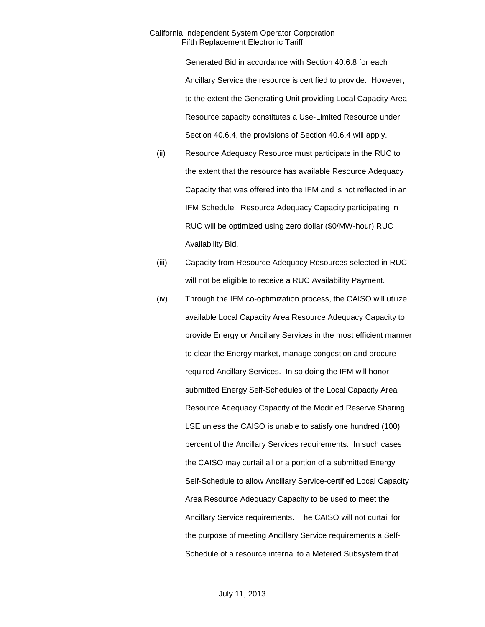Generated Bid in accordance with Section 40.6.8 for each Ancillary Service the resource is certified to provide. However, to the extent the Generating Unit providing Local Capacity Area Resource capacity constitutes a Use-Limited Resource under Section 40.6.4, the provisions of Section 40.6.4 will apply.

- (ii) Resource Adequacy Resource must participate in the RUC to the extent that the resource has available Resource Adequacy Capacity that was offered into the IFM and is not reflected in an IFM Schedule. Resource Adequacy Capacity participating in RUC will be optimized using zero dollar (\$0/MW-hour) RUC Availability Bid.
- (iii) Capacity from Resource Adequacy Resources selected in RUC will not be eligible to receive a RUC Availability Payment.
- (iv) Through the IFM co-optimization process, the CAISO will utilize available Local Capacity Area Resource Adequacy Capacity to provide Energy or Ancillary Services in the most efficient manner to clear the Energy market, manage congestion and procure required Ancillary Services. In so doing the IFM will honor submitted Energy Self-Schedules of the Local Capacity Area Resource Adequacy Capacity of the Modified Reserve Sharing LSE unless the CAISO is unable to satisfy one hundred (100) percent of the Ancillary Services requirements. In such cases the CAISO may curtail all or a portion of a submitted Energy Self-Schedule to allow Ancillary Service-certified Local Capacity Area Resource Adequacy Capacity to be used to meet the Ancillary Service requirements. The CAISO will not curtail for the purpose of meeting Ancillary Service requirements a Self-Schedule of a resource internal to a Metered Subsystem that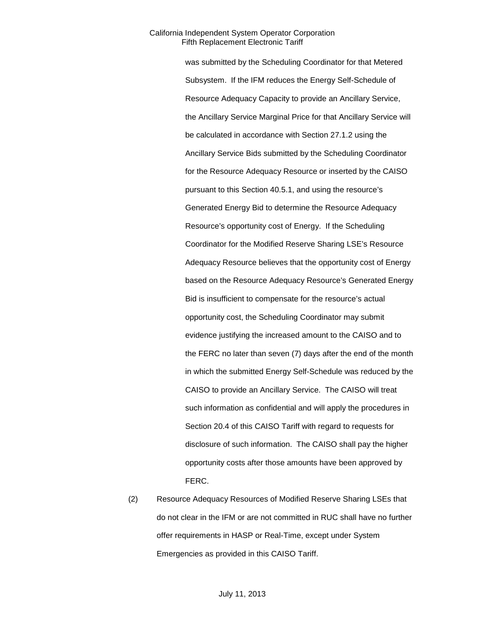was submitted by the Scheduling Coordinator for that Metered Subsystem. If the IFM reduces the Energy Self-Schedule of Resource Adequacy Capacity to provide an Ancillary Service, the Ancillary Service Marginal Price for that Ancillary Service will be calculated in accordance with Section 27.1.2 using the Ancillary Service Bids submitted by the Scheduling Coordinator for the Resource Adequacy Resource or inserted by the CAISO pursuant to this Section 40.5.1, and using the resource's Generated Energy Bid to determine the Resource Adequacy Resource's opportunity cost of Energy. If the Scheduling Coordinator for the Modified Reserve Sharing LSE's Resource Adequacy Resource believes that the opportunity cost of Energy based on the Resource Adequacy Resource's Generated Energy Bid is insufficient to compensate for the resource's actual opportunity cost, the Scheduling Coordinator may submit evidence justifying the increased amount to the CAISO and to the FERC no later than seven (7) days after the end of the month in which the submitted Energy Self-Schedule was reduced by the CAISO to provide an Ancillary Service. The CAISO will treat such information as confidential and will apply the procedures in Section 20.4 of this CAISO Tariff with regard to requests for disclosure of such information. The CAISO shall pay the higher opportunity costs after those amounts have been approved by FERC.

(2) Resource Adequacy Resources of Modified Reserve Sharing LSEs that do not clear in the IFM or are not committed in RUC shall have no further offer requirements in HASP or Real-Time, except under System Emergencies as provided in this CAISO Tariff.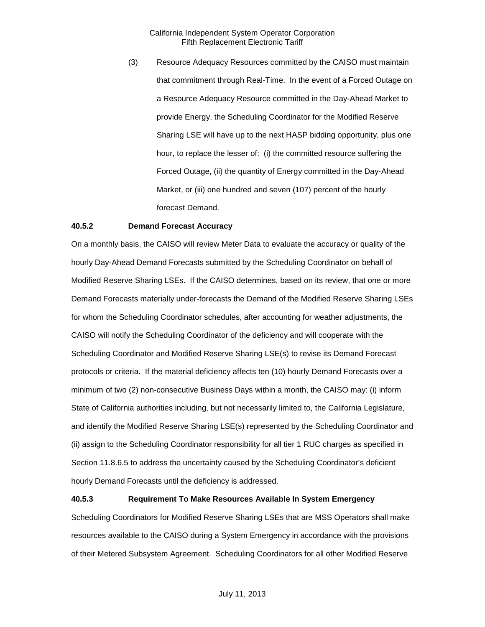(3) Resource Adequacy Resources committed by the CAISO must maintain that commitment through Real-Time. In the event of a Forced Outage on a Resource Adequacy Resource committed in the Day-Ahead Market to provide Energy, the Scheduling Coordinator for the Modified Reserve Sharing LSE will have up to the next HASP bidding opportunity, plus one hour, to replace the lesser of: (i) the committed resource suffering the Forced Outage, (ii) the quantity of Energy committed in the Day-Ahead Market, or (iii) one hundred and seven (107) percent of the hourly forecast Demand.

#### **40.5.2 Demand Forecast Accuracy**

On a monthly basis, the CAISO will review Meter Data to evaluate the accuracy or quality of the hourly Day-Ahead Demand Forecasts submitted by the Scheduling Coordinator on behalf of Modified Reserve Sharing LSEs. If the CAISO determines, based on its review, that one or more Demand Forecasts materially under-forecasts the Demand of the Modified Reserve Sharing LSEs for whom the Scheduling Coordinator schedules, after accounting for weather adjustments, the CAISO will notify the Scheduling Coordinator of the deficiency and will cooperate with the Scheduling Coordinator and Modified Reserve Sharing LSE(s) to revise its Demand Forecast protocols or criteria. If the material deficiency affects ten (10) hourly Demand Forecasts over a minimum of two (2) non-consecutive Business Days within a month, the CAISO may: (i) inform State of California authorities including, but not necessarily limited to, the California Legislature, and identify the Modified Reserve Sharing LSE(s) represented by the Scheduling Coordinator and (ii) assign to the Scheduling Coordinator responsibility for all tier 1 RUC charges as specified in Section 11.8.6.5 to address the uncertainty caused by the Scheduling Coordinator's deficient hourly Demand Forecasts until the deficiency is addressed.

#### **40.5.3 Requirement To Make Resources Available In System Emergency**

Scheduling Coordinators for Modified Reserve Sharing LSEs that are MSS Operators shall make resources available to the CAISO during a System Emergency in accordance with the provisions of their Metered Subsystem Agreement. Scheduling Coordinators for all other Modified Reserve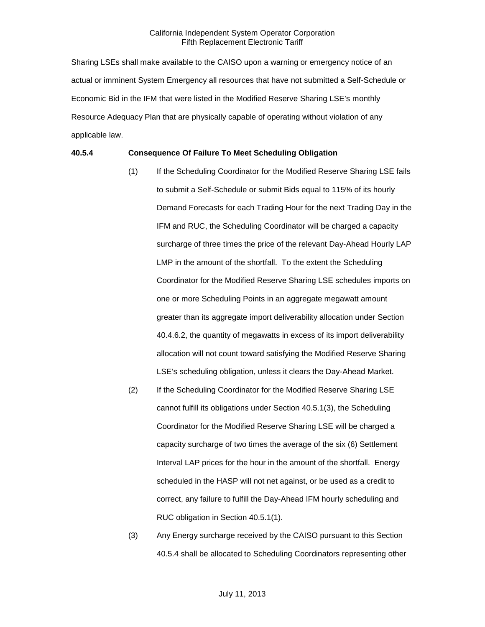Sharing LSEs shall make available to the CAISO upon a warning or emergency notice of an actual or imminent System Emergency all resources that have not submitted a Self-Schedule or Economic Bid in the IFM that were listed in the Modified Reserve Sharing LSE's monthly Resource Adequacy Plan that are physically capable of operating without violation of any applicable law.

#### **40.5.4 Consequence Of Failure To Meet Scheduling Obligation**

- (1) If the Scheduling Coordinator for the Modified Reserve Sharing LSE fails to submit a Self-Schedule or submit Bids equal to 115% of its hourly Demand Forecasts for each Trading Hour for the next Trading Day in the IFM and RUC, the Scheduling Coordinator will be charged a capacity surcharge of three times the price of the relevant Day-Ahead Hourly LAP LMP in the amount of the shortfall. To the extent the Scheduling Coordinator for the Modified Reserve Sharing LSE schedules imports on one or more Scheduling Points in an aggregate megawatt amount greater than its aggregate import deliverability allocation under Section 40.4.6.2, the quantity of megawatts in excess of its import deliverability allocation will not count toward satisfying the Modified Reserve Sharing LSE's scheduling obligation, unless it clears the Day-Ahead Market.
- (2) If the Scheduling Coordinator for the Modified Reserve Sharing LSE cannot fulfill its obligations under Section 40.5.1(3), the Scheduling Coordinator for the Modified Reserve Sharing LSE will be charged a capacity surcharge of two times the average of the six (6) Settlement Interval LAP prices for the hour in the amount of the shortfall. Energy scheduled in the HASP will not net against, or be used as a credit to correct, any failure to fulfill the Day-Ahead IFM hourly scheduling and RUC obligation in Section 40.5.1(1).
- (3) Any Energy surcharge received by the CAISO pursuant to this Section 40.5.4 shall be allocated to Scheduling Coordinators representing other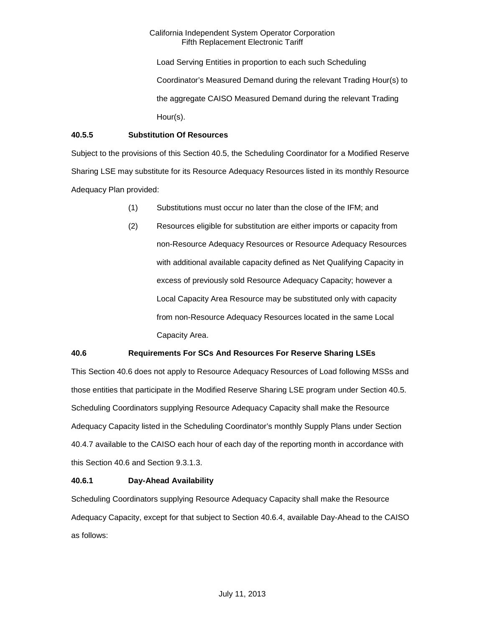Load Serving Entities in proportion to each such Scheduling Coordinator's Measured Demand during the relevant Trading Hour(s) to the aggregate CAISO Measured Demand during the relevant Trading Hour(s).

## **40.5.5 Substitution Of Resources**

Subject to the provisions of this Section 40.5, the Scheduling Coordinator for a Modified Reserve Sharing LSE may substitute for its Resource Adequacy Resources listed in its monthly Resource Adequacy Plan provided:

- (1) Substitutions must occur no later than the close of the IFM; and
- (2) Resources eligible for substitution are either imports or capacity from non-Resource Adequacy Resources or Resource Adequacy Resources with additional available capacity defined as Net Qualifying Capacity in excess of previously sold Resource Adequacy Capacity; however a Local Capacity Area Resource may be substituted only with capacity from non-Resource Adequacy Resources located in the same Local Capacity Area.

## **40.6 Requirements For SCs And Resources For Reserve Sharing LSEs**

This Section 40.6 does not apply to Resource Adequacy Resources of Load following MSSs and those entities that participate in the Modified Reserve Sharing LSE program under Section 40.5. Scheduling Coordinators supplying Resource Adequacy Capacity shall make the Resource Adequacy Capacity listed in the Scheduling Coordinator's monthly Supply Plans under Section 40.4.7 available to the CAISO each hour of each day of the reporting month in accordance with this Section 40.6 and Section 9.3.1.3.

## **40.6.1 Day-Ahead Availability**

Scheduling Coordinators supplying Resource Adequacy Capacity shall make the Resource Adequacy Capacity, except for that subject to Section 40.6.4, available Day-Ahead to the CAISO as follows: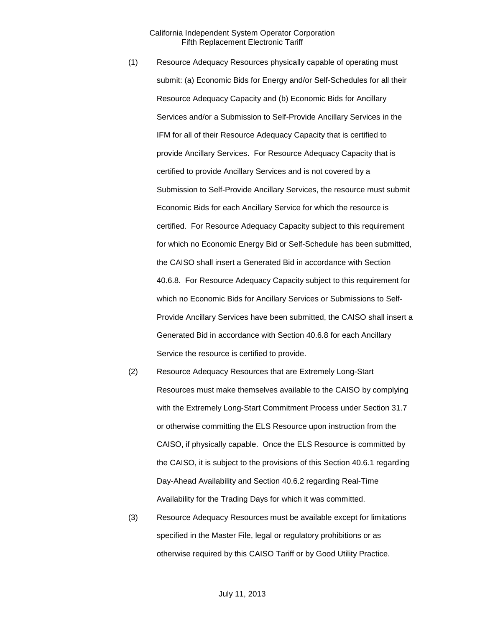- (1) Resource Adequacy Resources physically capable of operating must submit: (a) Economic Bids for Energy and/or Self-Schedules for all their Resource Adequacy Capacity and (b) Economic Bids for Ancillary Services and/or a Submission to Self-Provide Ancillary Services in the IFM for all of their Resource Adequacy Capacity that is certified to provide Ancillary Services. For Resource Adequacy Capacity that is certified to provide Ancillary Services and is not covered by a Submission to Self-Provide Ancillary Services, the resource must submit Economic Bids for each Ancillary Service for which the resource is certified. For Resource Adequacy Capacity subject to this requirement for which no Economic Energy Bid or Self-Schedule has been submitted, the CAISO shall insert a Generated Bid in accordance with Section 40.6.8. For Resource Adequacy Capacity subject to this requirement for which no Economic Bids for Ancillary Services or Submissions to Self-Provide Ancillary Services have been submitted, the CAISO shall insert a Generated Bid in accordance with Section 40.6.8 for each Ancillary Service the resource is certified to provide.
- (2) Resource Adequacy Resources that are Extremely Long-Start Resources must make themselves available to the CAISO by complying with the Extremely Long-Start Commitment Process under Section 31.7 or otherwise committing the ELS Resource upon instruction from the CAISO, if physically capable. Once the ELS Resource is committed by the CAISO, it is subject to the provisions of this Section 40.6.1 regarding Day-Ahead Availability and Section 40.6.2 regarding Real-Time Availability for the Trading Days for which it was committed.
- (3) Resource Adequacy Resources must be available except for limitations specified in the Master File, legal or regulatory prohibitions or as otherwise required by this CAISO Tariff or by Good Utility Practice.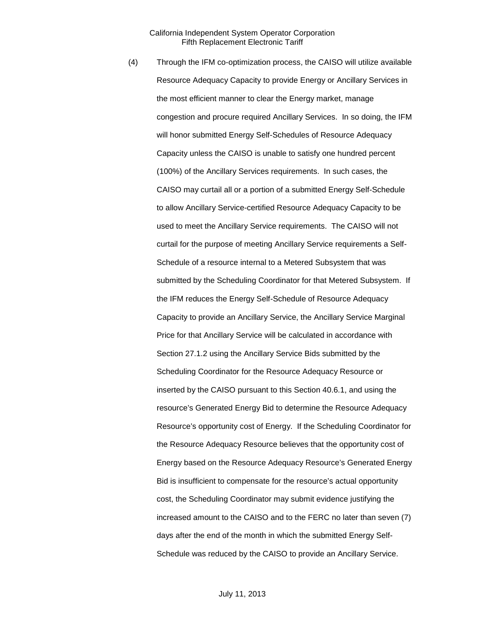(4) Through the IFM co-optimization process, the CAISO will utilize available Resource Adequacy Capacity to provide Energy or Ancillary Services in the most efficient manner to clear the Energy market, manage congestion and procure required Ancillary Services. In so doing, the IFM will honor submitted Energy Self-Schedules of Resource Adequacy Capacity unless the CAISO is unable to satisfy one hundred percent (100%) of the Ancillary Services requirements. In such cases, the CAISO may curtail all or a portion of a submitted Energy Self-Schedule to allow Ancillary Service-certified Resource Adequacy Capacity to be used to meet the Ancillary Service requirements. The CAISO will not curtail for the purpose of meeting Ancillary Service requirements a Self-Schedule of a resource internal to a Metered Subsystem that was submitted by the Scheduling Coordinator for that Metered Subsystem. If the IFM reduces the Energy Self-Schedule of Resource Adequacy Capacity to provide an Ancillary Service, the Ancillary Service Marginal Price for that Ancillary Service will be calculated in accordance with Section 27.1.2 using the Ancillary Service Bids submitted by the Scheduling Coordinator for the Resource Adequacy Resource or inserted by the CAISO pursuant to this Section 40.6.1, and using the resource's Generated Energy Bid to determine the Resource Adequacy Resource's opportunity cost of Energy. If the Scheduling Coordinator for the Resource Adequacy Resource believes that the opportunity cost of Energy based on the Resource Adequacy Resource's Generated Energy Bid is insufficient to compensate for the resource's actual opportunity cost, the Scheduling Coordinator may submit evidence justifying the increased amount to the CAISO and to the FERC no later than seven (7) days after the end of the month in which the submitted Energy Self-Schedule was reduced by the CAISO to provide an Ancillary Service.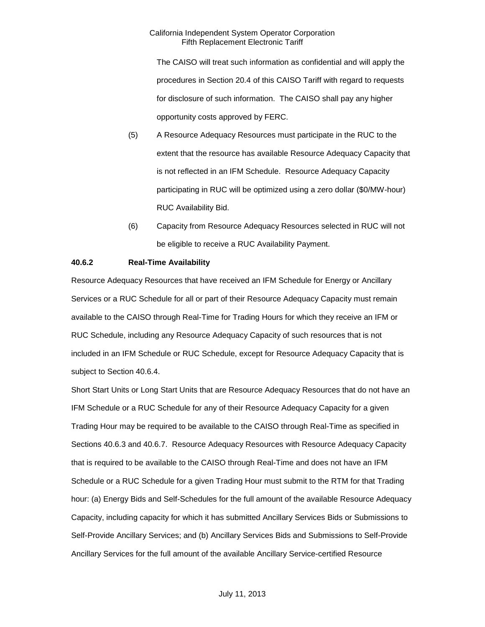The CAISO will treat such information as confidential and will apply the procedures in Section 20.4 of this CAISO Tariff with regard to requests for disclosure of such information. The CAISO shall pay any higher opportunity costs approved by FERC.

- (5) A Resource Adequacy Resources must participate in the RUC to the extent that the resource has available Resource Adequacy Capacity that is not reflected in an IFM Schedule. Resource Adequacy Capacity participating in RUC will be optimized using a zero dollar (\$0/MW-hour) RUC Availability Bid.
- (6) Capacity from Resource Adequacy Resources selected in RUC will not be eligible to receive a RUC Availability Payment.

#### **40.6.2 Real-Time Availability**

Resource Adequacy Resources that have received an IFM Schedule for Energy or Ancillary Services or a RUC Schedule for all or part of their Resource Adequacy Capacity must remain available to the CAISO through Real-Time for Trading Hours for which they receive an IFM or RUC Schedule, including any Resource Adequacy Capacity of such resources that is not included in an IFM Schedule or RUC Schedule, except for Resource Adequacy Capacity that is subject to Section 40.6.4.

Short Start Units or Long Start Units that are Resource Adequacy Resources that do not have an IFM Schedule or a RUC Schedule for any of their Resource Adequacy Capacity for a given Trading Hour may be required to be available to the CAISO through Real-Time as specified in Sections 40.6.3 and 40.6.7. Resource Adequacy Resources with Resource Adequacy Capacity that is required to be available to the CAISO through Real-Time and does not have an IFM Schedule or a RUC Schedule for a given Trading Hour must submit to the RTM for that Trading hour: (a) Energy Bids and Self-Schedules for the full amount of the available Resource Adequacy Capacity, including capacity for which it has submitted Ancillary Services Bids or Submissions to Self-Provide Ancillary Services; and (b) Ancillary Services Bids and Submissions to Self-Provide Ancillary Services for the full amount of the available Ancillary Service-certified Resource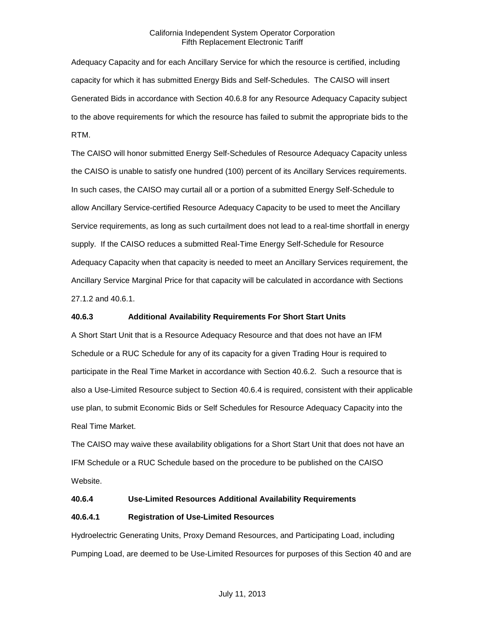Adequacy Capacity and for each Ancillary Service for which the resource is certified, including capacity for which it has submitted Energy Bids and Self-Schedules. The CAISO will insert Generated Bids in accordance with Section 40.6.8 for any Resource Adequacy Capacity subject to the above requirements for which the resource has failed to submit the appropriate bids to the RTM.

The CAISO will honor submitted Energy Self-Schedules of Resource Adequacy Capacity unless the CAISO is unable to satisfy one hundred (100) percent of its Ancillary Services requirements. In such cases, the CAISO may curtail all or a portion of a submitted Energy Self-Schedule to allow Ancillary Service-certified Resource Adequacy Capacity to be used to meet the Ancillary Service requirements, as long as such curtailment does not lead to a real-time shortfall in energy supply. If the CAISO reduces a submitted Real-Time Energy Self-Schedule for Resource Adequacy Capacity when that capacity is needed to meet an Ancillary Services requirement, the Ancillary Service Marginal Price for that capacity will be calculated in accordance with Sections 27.1.2 and 40.6.1.

## **40.6.3 Additional Availability Requirements For Short Start Units**

A Short Start Unit that is a Resource Adequacy Resource and that does not have an IFM Schedule or a RUC Schedule for any of its capacity for a given Trading Hour is required to participate in the Real Time Market in accordance with Section 40.6.2. Such a resource that is also a Use-Limited Resource subject to Section 40.6.4 is required, consistent with their applicable use plan, to submit Economic Bids or Self Schedules for Resource Adequacy Capacity into the Real Time Market.

The CAISO may waive these availability obligations for a Short Start Unit that does not have an IFM Schedule or a RUC Schedule based on the procedure to be published on the CAISO Website.

## **40.6.4 Use-Limited Resources Additional Availability Requirements**

#### **40.6.4.1 Registration of Use-Limited Resources**

Hydroelectric Generating Units, Proxy Demand Resources, and Participating Load, including Pumping Load, are deemed to be Use-Limited Resources for purposes of this Section 40 and are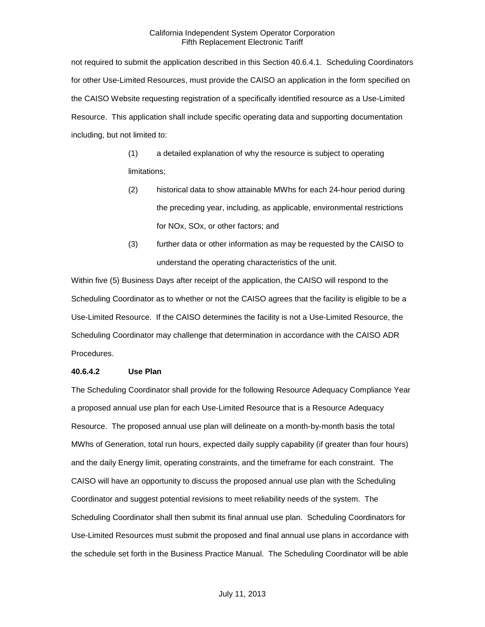not required to submit the application described in this Section 40.6.4.1. Scheduling Coordinators for other Use-Limited Resources, must provide the CAISO an application in the form specified on the CAISO Website requesting registration of a specifically identified resource as a Use-Limited Resource. This application shall include specific operating data and supporting documentation including, but not limited to:

> (1) a detailed explanation of why the resource is subject to operating limitations;

- (2) historical data to show attainable MWhs for each 24-hour period during the preceding year, including, as applicable, environmental restrictions for NOx, SOx, or other factors; and
- (3) further data or other information as may be requested by the CAISO to understand the operating characteristics of the unit.

Within five (5) Business Days after receipt of the application, the CAISO will respond to the Scheduling Coordinator as to whether or not the CAISO agrees that the facility is eligible to be a Use-Limited Resource. If the CAISO determines the facility is not a Use-Limited Resource, the Scheduling Coordinator may challenge that determination in accordance with the CAISO ADR Procedures.

#### **40.6.4.2 Use Plan**

The Scheduling Coordinator shall provide for the following Resource Adequacy Compliance Year a proposed annual use plan for each Use-Limited Resource that is a Resource Adequacy Resource. The proposed annual use plan will delineate on a month-by-month basis the total MWhs of Generation, total run hours, expected daily supply capability (if greater than four hours) and the daily Energy limit, operating constraints, and the timeframe for each constraint. The CAISO will have an opportunity to discuss the proposed annual use plan with the Scheduling Coordinator and suggest potential revisions to meet reliability needs of the system. The Scheduling Coordinator shall then submit its final annual use plan. Scheduling Coordinators for Use-Limited Resources must submit the proposed and final annual use plans in accordance with the schedule set forth in the Business Practice Manual. The Scheduling Coordinator will be able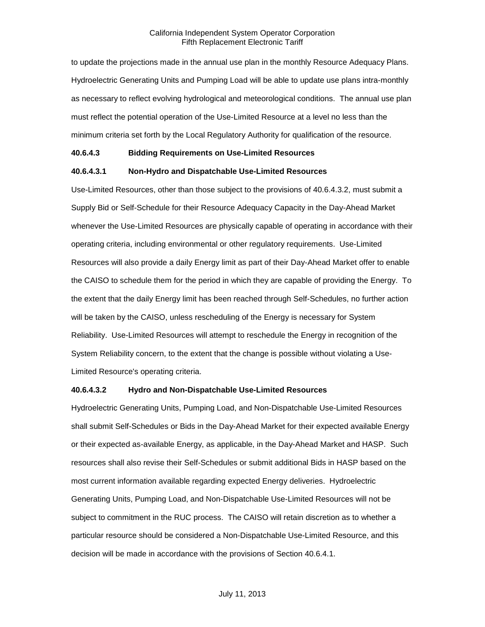to update the projections made in the annual use plan in the monthly Resource Adequacy Plans. Hydroelectric Generating Units and Pumping Load will be able to update use plans intra-monthly as necessary to reflect evolving hydrological and meteorological conditions. The annual use plan must reflect the potential operation of the Use-Limited Resource at a level no less than the minimum criteria set forth by the Local Regulatory Authority for qualification of the resource.

#### **40.6.4.3 Bidding Requirements on Use-Limited Resources**

#### **40.6.4.3.1 Non-Hydro and Dispatchable Use-Limited Resources**

Use-Limited Resources, other than those subject to the provisions of 40.6.4.3.2, must submit a Supply Bid or Self-Schedule for their Resource Adequacy Capacity in the Day-Ahead Market whenever the Use-Limited Resources are physically capable of operating in accordance with their operating criteria, including environmental or other regulatory requirements. Use-Limited Resources will also provide a daily Energy limit as part of their Day-Ahead Market offer to enable the CAISO to schedule them for the period in which they are capable of providing the Energy. To the extent that the daily Energy limit has been reached through Self-Schedules, no further action will be taken by the CAISO, unless rescheduling of the Energy is necessary for System Reliability. Use-Limited Resources will attempt to reschedule the Energy in recognition of the System Reliability concern, to the extent that the change is possible without violating a Use-Limited Resource's operating criteria.

#### **40.6.4.3.2 Hydro and Non-Dispatchable Use-Limited Resources**

Hydroelectric Generating Units, Pumping Load, and Non-Dispatchable Use-Limited Resources shall submit Self-Schedules or Bids in the Day-Ahead Market for their expected available Energy or their expected as-available Energy, as applicable, in the Day-Ahead Market and HASP. Such resources shall also revise their Self-Schedules or submit additional Bids in HASP based on the most current information available regarding expected Energy deliveries. Hydroelectric Generating Units, Pumping Load, and Non-Dispatchable Use-Limited Resources will not be subject to commitment in the RUC process. The CAISO will retain discretion as to whether a particular resource should be considered a Non-Dispatchable Use-Limited Resource, and this decision will be made in accordance with the provisions of Section 40.6.4.1.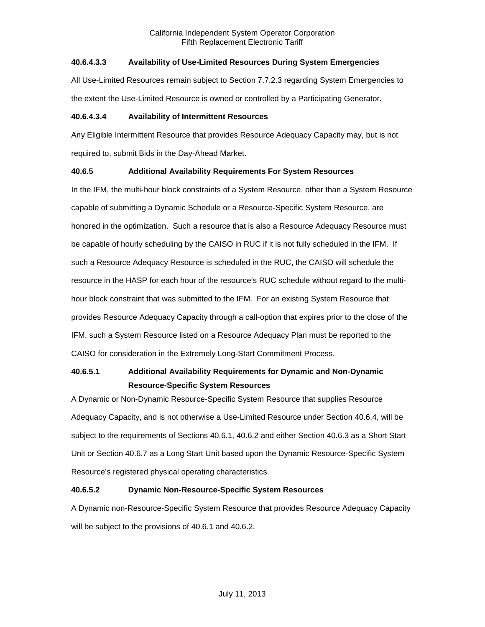## **40.6.4.3.3 Availability of Use-Limited Resources During System Emergencies**

All Use-Limited Resources remain subject to Section 7.7.2.3 regarding System Emergencies to the extent the Use-Limited Resource is owned or controlled by a Participating Generator.

## **40.6.4.3.4 Availability of Intermittent Resources**

Any Eligible Intermittent Resource that provides Resource Adequacy Capacity may, but is not required to, submit Bids in the Day-Ahead Market.

## **40.6.5 Additional Availability Requirements For System Resources**

In the IFM, the multi-hour block constraints of a System Resource, other than a System Resource capable of submitting a Dynamic Schedule or a Resource-Specific System Resource, are honored in the optimization. Such a resource that is also a Resource Adequacy Resource must be capable of hourly scheduling by the CAISO in RUC if it is not fully scheduled in the IFM. If such a Resource Adequacy Resource is scheduled in the RUC, the CAISO will schedule the resource in the HASP for each hour of the resource's RUC schedule without regard to the multihour block constraint that was submitted to the IFM. For an existing System Resource that provides Resource Adequacy Capacity through a call-option that expires prior to the close of the IFM, such a System Resource listed on a Resource Adequacy Plan must be reported to the CAISO for consideration in the Extremely Long-Start Commitment Process.

## **40.6.5.1 Additional Availability Requirements for Dynamic and Non-Dynamic Resource-Specific System Resources**

A Dynamic or Non-Dynamic Resource-Specific System Resource that supplies Resource Adequacy Capacity, and is not otherwise a Use-Limited Resource under Section 40.6.4, will be subject to the requirements of Sections 40.6.1, 40.6.2 and either Section 40.6.3 as a Short Start Unit or Section 40.6.7 as a Long Start Unit based upon the Dynamic Resource-Specific System Resource's registered physical operating characteristics.

## **40.6.5.2 Dynamic Non-Resource-Specific System Resources**

A Dynamic non-Resource-Specific System Resource that provides Resource Adequacy Capacity will be subject to the provisions of 40.6.1 and 40.6.2.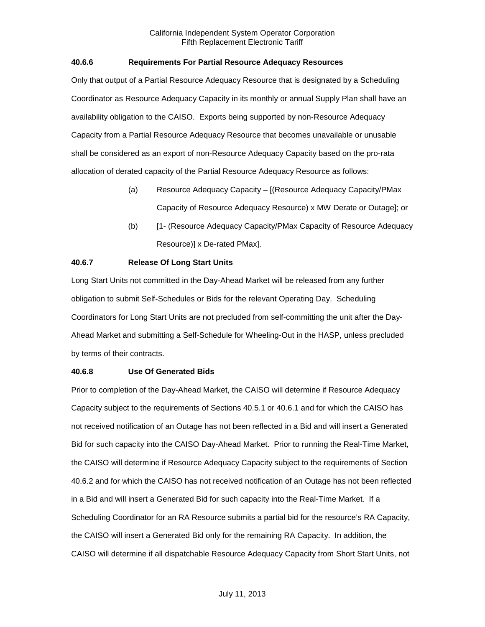## **40.6.6 Requirements For Partial Resource Adequacy Resources**

Only that output of a Partial Resource Adequacy Resource that is designated by a Scheduling Coordinator as Resource Adequacy Capacity in its monthly or annual Supply Plan shall have an availability obligation to the CAISO. Exports being supported by non-Resource Adequacy Capacity from a Partial Resource Adequacy Resource that becomes unavailable or unusable shall be considered as an export of non-Resource Adequacy Capacity based on the pro-rata allocation of derated capacity of the Partial Resource Adequacy Resource as follows:

- (a) Resource Adequacy Capacity [(Resource Adequacy Capacity/PMax Capacity of Resource Adequacy Resource) x MW Derate or Outage]; or
- (b) [1- (Resource Adequacy Capacity/PMax Capacity of Resource Adequacy Resource)] x De-rated PMax].

## **40.6.7 Release Of Long Start Units**

Long Start Units not committed in the Day-Ahead Market will be released from any further obligation to submit Self-Schedules or Bids for the relevant Operating Day. Scheduling Coordinators for Long Start Units are not precluded from self-committing the unit after the Day-Ahead Market and submitting a Self-Schedule for Wheeling-Out in the HASP, unless precluded by terms of their contracts.

#### **40.6.8 Use Of Generated Bids**

Prior to completion of the Day-Ahead Market, the CAISO will determine if Resource Adequacy Capacity subject to the requirements of Sections 40.5.1 or 40.6.1 and for which the CAISO has not received notification of an Outage has not been reflected in a Bid and will insert a Generated Bid for such capacity into the CAISO Day-Ahead Market. Prior to running the Real-Time Market, the CAISO will determine if Resource Adequacy Capacity subject to the requirements of Section 40.6.2 and for which the CAISO has not received notification of an Outage has not been reflected in a Bid and will insert a Generated Bid for such capacity into the Real-Time Market. If a Scheduling Coordinator for an RA Resource submits a partial bid for the resource's RA Capacity, the CAISO will insert a Generated Bid only for the remaining RA Capacity. In addition, the CAISO will determine if all dispatchable Resource Adequacy Capacity from Short Start Units, not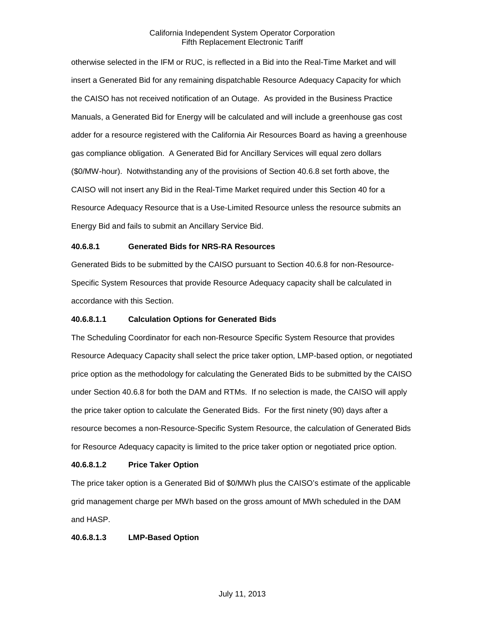otherwise selected in the IFM or RUC, is reflected in a Bid into the Real-Time Market and will insert a Generated Bid for any remaining dispatchable Resource Adequacy Capacity for which the CAISO has not received notification of an Outage. As provided in the Business Practice Manuals, a Generated Bid for Energy will be calculated and will include a greenhouse gas cost adder for a resource registered with the California Air Resources Board as having a greenhouse gas compliance obligation. A Generated Bid for Ancillary Services will equal zero dollars (\$0/MW-hour). Notwithstanding any of the provisions of Section 40.6.8 set forth above, the CAISO will not insert any Bid in the Real-Time Market required under this Section 40 for a Resource Adequacy Resource that is a Use-Limited Resource unless the resource submits an Energy Bid and fails to submit an Ancillary Service Bid.

## **40.6.8.1 Generated Bids for NRS-RA Resources**

Generated Bids to be submitted by the CAISO pursuant to Section 40.6.8 for non-Resource-Specific System Resources that provide Resource Adequacy capacity shall be calculated in accordance with this Section.

#### **40.6.8.1.1 Calculation Options for Generated Bids**

The Scheduling Coordinator for each non-Resource Specific System Resource that provides Resource Adequacy Capacity shall select the price taker option, LMP-based option, or negotiated price option as the methodology for calculating the Generated Bids to be submitted by the CAISO under Section 40.6.8 for both the DAM and RTMs. If no selection is made, the CAISO will apply the price taker option to calculate the Generated Bids. For the first ninety (90) days after a resource becomes a non-Resource-Specific System Resource, the calculation of Generated Bids for Resource Adequacy capacity is limited to the price taker option or negotiated price option.

#### **40.6.8.1.2 Price Taker Option**

The price taker option is a Generated Bid of \$0/MWh plus the CAISO's estimate of the applicable grid management charge per MWh based on the gross amount of MWh scheduled in the DAM and HASP.

## **40.6.8.1.3 LMP-Based Option**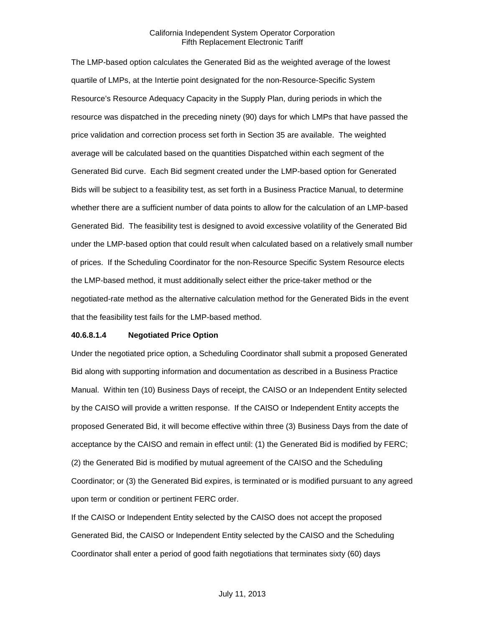The LMP-based option calculates the Generated Bid as the weighted average of the lowest quartile of LMPs, at the Intertie point designated for the non-Resource-Specific System Resource's Resource Adequacy Capacity in the Supply Plan, during periods in which the resource was dispatched in the preceding ninety (90) days for which LMPs that have passed the price validation and correction process set forth in Section 35 are available. The weighted average will be calculated based on the quantities Dispatched within each segment of the Generated Bid curve. Each Bid segment created under the LMP-based option for Generated Bids will be subject to a feasibility test, as set forth in a Business Practice Manual, to determine whether there are a sufficient number of data points to allow for the calculation of an LMP-based Generated Bid. The feasibility test is designed to avoid excessive volatility of the Generated Bid under the LMP-based option that could result when calculated based on a relatively small number of prices. If the Scheduling Coordinator for the non-Resource Specific System Resource elects the LMP-based method, it must additionally select either the price-taker method or the negotiated-rate method as the alternative calculation method for the Generated Bids in the event that the feasibility test fails for the LMP-based method.

#### **40.6.8.1.4 Negotiated Price Option**

Under the negotiated price option, a Scheduling Coordinator shall submit a proposed Generated Bid along with supporting information and documentation as described in a Business Practice Manual. Within ten (10) Business Days of receipt, the CAISO or an Independent Entity selected by the CAISO will provide a written response. If the CAISO or Independent Entity accepts the proposed Generated Bid, it will become effective within three (3) Business Days from the date of acceptance by the CAISO and remain in effect until: (1) the Generated Bid is modified by FERC; (2) the Generated Bid is modified by mutual agreement of the CAISO and the Scheduling Coordinator; or (3) the Generated Bid expires, is terminated or is modified pursuant to any agreed upon term or condition or pertinent FERC order.

If the CAISO or Independent Entity selected by the CAISO does not accept the proposed Generated Bid, the CAISO or Independent Entity selected by the CAISO and the Scheduling Coordinator shall enter a period of good faith negotiations that terminates sixty (60) days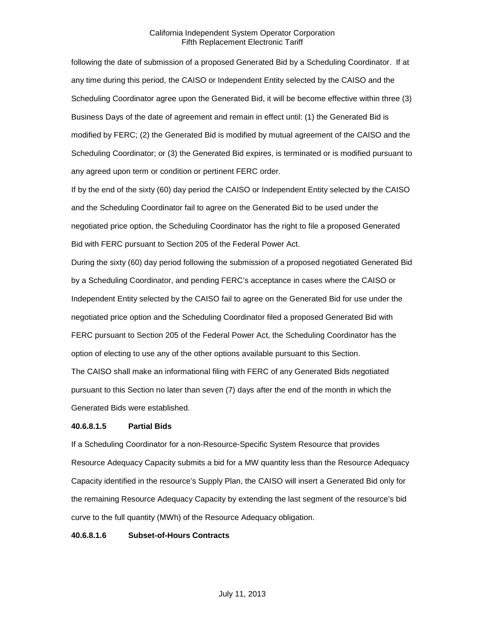following the date of submission of a proposed Generated Bid by a Scheduling Coordinator. If at any time during this period, the CAISO or Independent Entity selected by the CAISO and the Scheduling Coordinator agree upon the Generated Bid, it will be become effective within three (3) Business Days of the date of agreement and remain in effect until: (1) the Generated Bid is modified by FERC; (2) the Generated Bid is modified by mutual agreement of the CAISO and the Scheduling Coordinator; or (3) the Generated Bid expires, is terminated or is modified pursuant to any agreed upon term or condition or pertinent FERC order.

If by the end of the sixty (60) day period the CAISO or Independent Entity selected by the CAISO and the Scheduling Coordinator fail to agree on the Generated Bid to be used under the negotiated price option, the Scheduling Coordinator has the right to file a proposed Generated Bid with FERC pursuant to Section 205 of the Federal Power Act.

During the sixty (60) day period following the submission of a proposed negotiated Generated Bid by a Scheduling Coordinator, and pending FERC's acceptance in cases where the CAISO or Independent Entity selected by the CAISO fail to agree on the Generated Bid for use under the negotiated price option and the Scheduling Coordinator filed a proposed Generated Bid with FERC pursuant to Section 205 of the Federal Power Act, the Scheduling Coordinator has the option of electing to use any of the other options available pursuant to this Section.

The CAISO shall make an informational filing with FERC of any Generated Bids negotiated pursuant to this Section no later than seven (7) days after the end of the month in which the Generated Bids were established.

#### **40.6.8.1.5 Partial Bids**

If a Scheduling Coordinator for a non-Resource-Specific System Resource that provides Resource Adequacy Capacity submits a bid for a MW quantity less than the Resource Adequacy Capacity identified in the resource's Supply Plan, the CAISO will insert a Generated Bid only for the remaining Resource Adequacy Capacity by extending the last segment of the resource's bid curve to the full quantity (MWh) of the Resource Adequacy obligation.

#### **40.6.8.1.6 Subset-of-Hours Contracts**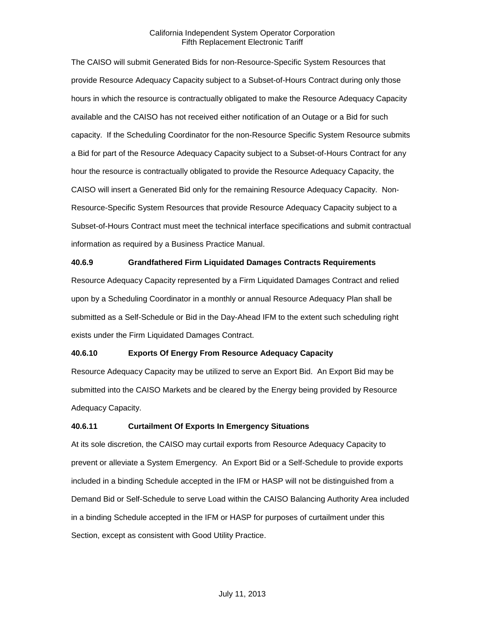The CAISO will submit Generated Bids for non-Resource-Specific System Resources that provide Resource Adequacy Capacity subject to a Subset-of-Hours Contract during only those hours in which the resource is contractually obligated to make the Resource Adequacy Capacity available and the CAISO has not received either notification of an Outage or a Bid for such capacity. If the Scheduling Coordinator for the non-Resource Specific System Resource submits a Bid for part of the Resource Adequacy Capacity subject to a Subset-of-Hours Contract for any hour the resource is contractually obligated to provide the Resource Adequacy Capacity, the CAISO will insert a Generated Bid only for the remaining Resource Adequacy Capacity. Non-Resource-Specific System Resources that provide Resource Adequacy Capacity subject to a Subset-of-Hours Contract must meet the technical interface specifications and submit contractual information as required by a Business Practice Manual.

#### **40.6.9 Grandfathered Firm Liquidated Damages Contracts Requirements**

Resource Adequacy Capacity represented by a Firm Liquidated Damages Contract and relied upon by a Scheduling Coordinator in a monthly or annual Resource Adequacy Plan shall be submitted as a Self-Schedule or Bid in the Day-Ahead IFM to the extent such scheduling right exists under the Firm Liquidated Damages Contract.

#### **40.6.10 Exports Of Energy From Resource Adequacy Capacity**

Resource Adequacy Capacity may be utilized to serve an Export Bid. An Export Bid may be submitted into the CAISO Markets and be cleared by the Energy being provided by Resource Adequacy Capacity.

#### **40.6.11 Curtailment Of Exports In Emergency Situations**

At its sole discretion, the CAISO may curtail exports from Resource Adequacy Capacity to prevent or alleviate a System Emergency. An Export Bid or a Self-Schedule to provide exports included in a binding Schedule accepted in the IFM or HASP will not be distinguished from a Demand Bid or Self-Schedule to serve Load within the CAISO Balancing Authority Area included in a binding Schedule accepted in the IFM or HASP for purposes of curtailment under this Section, except as consistent with Good Utility Practice.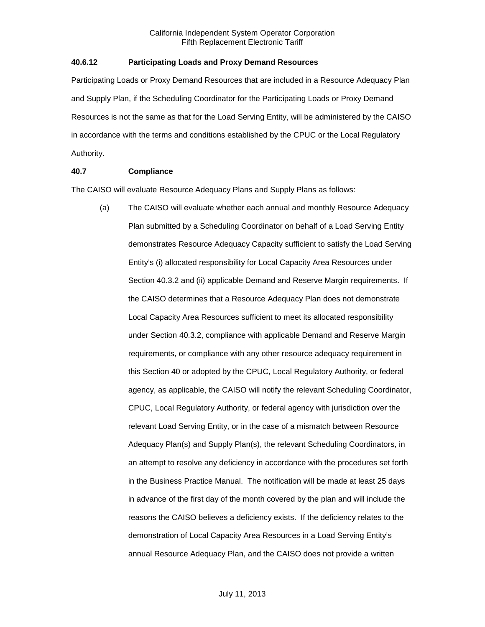#### **40.6.12 Participating Loads and Proxy Demand Resources**

Participating Loads or Proxy Demand Resources that are included in a Resource Adequacy Plan and Supply Plan, if the Scheduling Coordinator for the Participating Loads or Proxy Demand Resources is not the same as that for the Load Serving Entity, will be administered by the CAISO in accordance with the terms and conditions established by the CPUC or the Local Regulatory Authority.

#### **40.7 Compliance**

The CAISO will evaluate Resource Adequacy Plans and Supply Plans as follows:

(a) The CAISO will evaluate whether each annual and monthly Resource Adequacy Plan submitted by a Scheduling Coordinator on behalf of a Load Serving Entity demonstrates Resource Adequacy Capacity sufficient to satisfy the Load Serving Entity's (i) allocated responsibility for Local Capacity Area Resources under Section 40.3.2 and (ii) applicable Demand and Reserve Margin requirements. If the CAISO determines that a Resource Adequacy Plan does not demonstrate Local Capacity Area Resources sufficient to meet its allocated responsibility under Section 40.3.2, compliance with applicable Demand and Reserve Margin requirements, or compliance with any other resource adequacy requirement in this Section 40 or adopted by the CPUC, Local Regulatory Authority, or federal agency, as applicable, the CAISO will notify the relevant Scheduling Coordinator, CPUC, Local Regulatory Authority, or federal agency with jurisdiction over the relevant Load Serving Entity, or in the case of a mismatch between Resource Adequacy Plan(s) and Supply Plan(s), the relevant Scheduling Coordinators, in an attempt to resolve any deficiency in accordance with the procedures set forth in the Business Practice Manual. The notification will be made at least 25 days in advance of the first day of the month covered by the plan and will include the reasons the CAISO believes a deficiency exists. If the deficiency relates to the demonstration of Local Capacity Area Resources in a Load Serving Entity's annual Resource Adequacy Plan, and the CAISO does not provide a written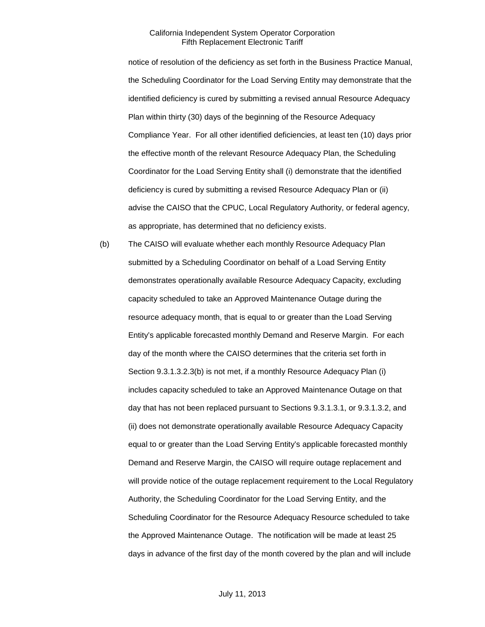notice of resolution of the deficiency as set forth in the Business Practice Manual, the Scheduling Coordinator for the Load Serving Entity may demonstrate that the identified deficiency is cured by submitting a revised annual Resource Adequacy Plan within thirty (30) days of the beginning of the Resource Adequacy Compliance Year. For all other identified deficiencies, at least ten (10) days prior the effective month of the relevant Resource Adequacy Plan, the Scheduling Coordinator for the Load Serving Entity shall (i) demonstrate that the identified deficiency is cured by submitting a revised Resource Adequacy Plan or (ii) advise the CAISO that the CPUC, Local Regulatory Authority, or federal agency, as appropriate, has determined that no deficiency exists.

(b) The CAISO will evaluate whether each monthly Resource Adequacy Plan submitted by a Scheduling Coordinator on behalf of a Load Serving Entity demonstrates operationally available Resource Adequacy Capacity, excluding capacity scheduled to take an Approved Maintenance Outage during the resource adequacy month, that is equal to or greater than the Load Serving Entity's applicable forecasted monthly Demand and Reserve Margin. For each day of the month where the CAISO determines that the criteria set forth in Section 9.3.1.3.2.3(b) is not met, if a monthly Resource Adequacy Plan (i) includes capacity scheduled to take an Approved Maintenance Outage on that day that has not been replaced pursuant to Sections 9.3.1.3.1, or 9.3.1.3.2, and (ii) does not demonstrate operationally available Resource Adequacy Capacity equal to or greater than the Load Serving Entity's applicable forecasted monthly Demand and Reserve Margin, the CAISO will require outage replacement and will provide notice of the outage replacement requirement to the Local Regulatory Authority, the Scheduling Coordinator for the Load Serving Entity, and the Scheduling Coordinator for the Resource Adequacy Resource scheduled to take the Approved Maintenance Outage. The notification will be made at least 25 days in advance of the first day of the month covered by the plan and will include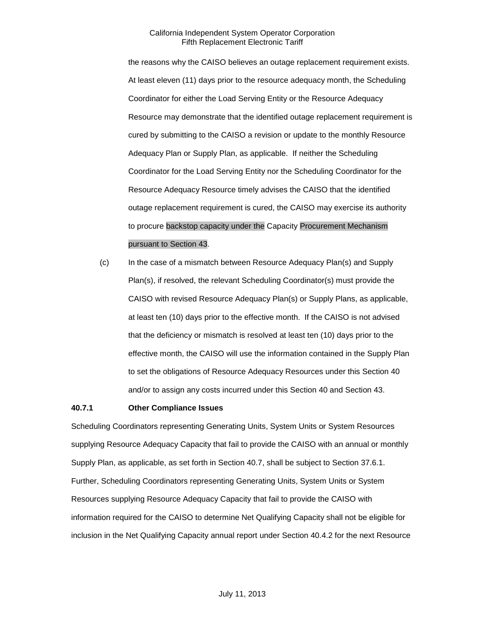the reasons why the CAISO believes an outage replacement requirement exists. At least eleven (11) days prior to the resource adequacy month, the Scheduling Coordinator for either the Load Serving Entity or the Resource Adequacy Resource may demonstrate that the identified outage replacement requirement is cured by submitting to the CAISO a revision or update to the monthly Resource Adequacy Plan or Supply Plan, as applicable. If neither the Scheduling Coordinator for the Load Serving Entity nor the Scheduling Coordinator for the Resource Adequacy Resource timely advises the CAISO that the identified outage replacement requirement is cured, the CAISO may exercise its authority to procure backstop capacity under the Capacity Procurement Mechanism pursuant to Section 43.

(c) In the case of a mismatch between Resource Adequacy Plan(s) and Supply Plan(s), if resolved, the relevant Scheduling Coordinator(s) must provide the CAISO with revised Resource Adequacy Plan(s) or Supply Plans, as applicable, at least ten (10) days prior to the effective month. If the CAISO is not advised that the deficiency or mismatch is resolved at least ten (10) days prior to the effective month, the CAISO will use the information contained in the Supply Plan to set the obligations of Resource Adequacy Resources under this Section 40 and/or to assign any costs incurred under this Section 40 and Section 43.

#### **40.7.1 Other Compliance Issues**

Scheduling Coordinators representing Generating Units, System Units or System Resources supplying Resource Adequacy Capacity that fail to provide the CAISO with an annual or monthly Supply Plan, as applicable, as set forth in Section 40.7, shall be subject to Section 37.6.1. Further, Scheduling Coordinators representing Generating Units, System Units or System Resources supplying Resource Adequacy Capacity that fail to provide the CAISO with information required for the CAISO to determine Net Qualifying Capacity shall not be eligible for inclusion in the Net Qualifying Capacity annual report under Section 40.4.2 for the next Resource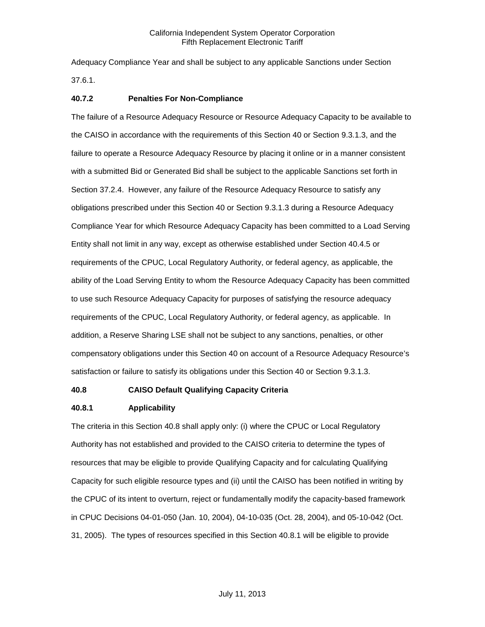Adequacy Compliance Year and shall be subject to any applicable Sanctions under Section 37.6.1.

#### **40.7.2 Penalties For Non-Compliance**

The failure of a Resource Adequacy Resource or Resource Adequacy Capacity to be available to the CAISO in accordance with the requirements of this Section 40 or Section 9.3.1.3, and the failure to operate a Resource Adequacy Resource by placing it online or in a manner consistent with a submitted Bid or Generated Bid shall be subject to the applicable Sanctions set forth in Section 37.2.4. However, any failure of the Resource Adequacy Resource to satisfy any obligations prescribed under this Section 40 or Section 9.3.1.3 during a Resource Adequacy Compliance Year for which Resource Adequacy Capacity has been committed to a Load Serving Entity shall not limit in any way, except as otherwise established under Section 40.4.5 or requirements of the CPUC, Local Regulatory Authority, or federal agency, as applicable, the ability of the Load Serving Entity to whom the Resource Adequacy Capacity has been committed to use such Resource Adequacy Capacity for purposes of satisfying the resource adequacy requirements of the CPUC, Local Regulatory Authority, or federal agency, as applicable. In addition, a Reserve Sharing LSE shall not be subject to any sanctions, penalties, or other compensatory obligations under this Section 40 on account of a Resource Adequacy Resource's satisfaction or failure to satisfy its obligations under this Section 40 or Section 9.3.1.3.

#### **40.8 CAISO Default Qualifying Capacity Criteria**

#### **40.8.1 Applicability**

The criteria in this Section 40.8 shall apply only: (i) where the CPUC or Local Regulatory Authority has not established and provided to the CAISO criteria to determine the types of resources that may be eligible to provide Qualifying Capacity and for calculating Qualifying Capacity for such eligible resource types and (ii) until the CAISO has been notified in writing by the CPUC of its intent to overturn, reject or fundamentally modify the capacity-based framework in CPUC Decisions 04-01-050 (Jan. 10, 2004), 04-10-035 (Oct. 28, 2004), and 05-10-042 (Oct. 31, 2005). The types of resources specified in this Section 40.8.1 will be eligible to provide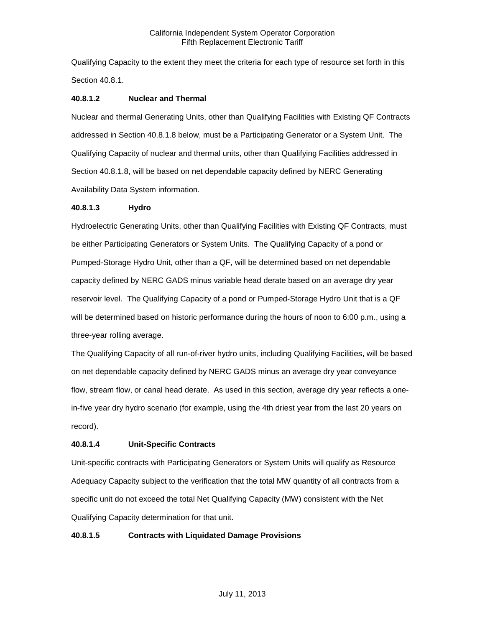Qualifying Capacity to the extent they meet the criteria for each type of resource set forth in this Section 40.8.1.

## **40.8.1.2 Nuclear and Thermal**

Nuclear and thermal Generating Units, other than Qualifying Facilities with Existing QF Contracts addressed in Section 40.8.1.8 below, must be a Participating Generator or a System Unit. The Qualifying Capacity of nuclear and thermal units, other than Qualifying Facilities addressed in Section 40.8.1.8, will be based on net dependable capacity defined by NERC Generating Availability Data System information.

#### **40.8.1.3 Hydro**

Hydroelectric Generating Units, other than Qualifying Facilities with Existing QF Contracts, must be either Participating Generators or System Units. The Qualifying Capacity of a pond or Pumped-Storage Hydro Unit, other than a QF, will be determined based on net dependable capacity defined by NERC GADS minus variable head derate based on an average dry year reservoir level. The Qualifying Capacity of a pond or Pumped-Storage Hydro Unit that is a QF will be determined based on historic performance during the hours of noon to 6:00 p.m., using a three-year rolling average.

The Qualifying Capacity of all run-of-river hydro units, including Qualifying Facilities, will be based on net dependable capacity defined by NERC GADS minus an average dry year conveyance flow, stream flow, or canal head derate. As used in this section, average dry year reflects a onein-five year dry hydro scenario (for example, using the 4th driest year from the last 20 years on record).

## **40.8.1.4 Unit-Specific Contracts**

Unit-specific contracts with Participating Generators or System Units will qualify as Resource Adequacy Capacity subject to the verification that the total MW quantity of all contracts from a specific unit do not exceed the total Net Qualifying Capacity (MW) consistent with the Net Qualifying Capacity determination for that unit.

#### **40.8.1.5 Contracts with Liquidated Damage Provisions**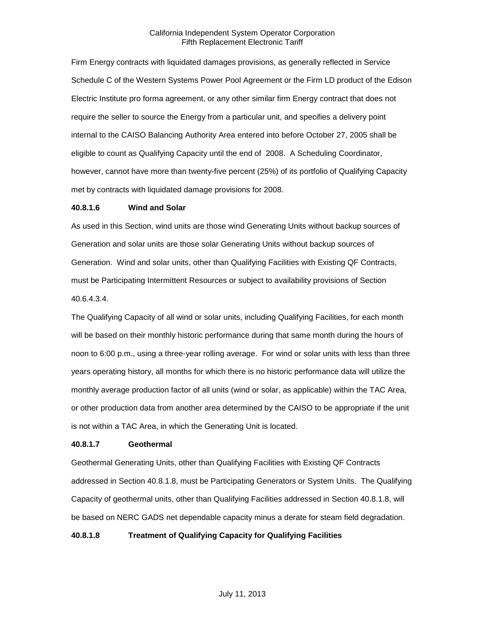Firm Energy contracts with liquidated damages provisions, as generally reflected in Service Schedule C of the Western Systems Power Pool Agreement or the Firm LD product of the Edison Electric Institute pro forma agreement, or any other similar firm Energy contract that does not require the seller to source the Energy from a particular unit, and specifies a delivery point internal to the CAISO Balancing Authority Area entered into before October 27, 2005 shall be eligible to count as Qualifying Capacity until the end of 2008. A Scheduling Coordinator, however, cannot have more than twenty-five percent (25%) of its portfolio of Qualifying Capacity met by contracts with liquidated damage provisions for 2008.

#### **40.8.1.6 Wind and Solar**

As used in this Section, wind units are those wind Generating Units without backup sources of Generation and solar units are those solar Generating Units without backup sources of Generation. Wind and solar units, other than Qualifying Facilities with Existing QF Contracts, must be Participating Intermittent Resources or subject to availability provisions of Section 40.6.4.3.4.

The Qualifying Capacity of all wind or solar units, including Qualifying Facilities, for each month will be based on their monthly historic performance during that same month during the hours of noon to 6:00 p.m., using a three-year rolling average. For wind or solar units with less than three years operating history, all months for which there is no historic performance data will utilize the monthly average production factor of all units (wind or solar, as applicable) within the TAC Area, or other production data from another area determined by the CAISO to be appropriate if the unit is not within a TAC Area, in which the Generating Unit is located.

#### **40.8.1.7 Geothermal**

Geothermal Generating Units, other than Qualifying Facilities with Existing QF Contracts addressed in Section 40.8.1.8, must be Participating Generators or System Units. The Qualifying Capacity of geothermal units, other than Qualifying Facilities addressed in Section 40.8.1.8, will be based on NERC GADS net dependable capacity minus a derate for steam field degradation.

**40.8.1.8 Treatment of Qualifying Capacity for Qualifying Facilities**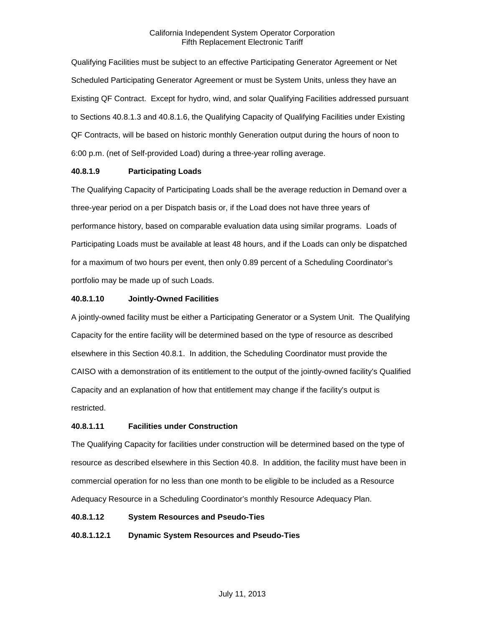Qualifying Facilities must be subject to an effective Participating Generator Agreement or Net Scheduled Participating Generator Agreement or must be System Units, unless they have an Existing QF Contract. Except for hydro, wind, and solar Qualifying Facilities addressed pursuant to Sections 40.8.1.3 and 40.8.1.6, the Qualifying Capacity of Qualifying Facilities under Existing QF Contracts, will be based on historic monthly Generation output during the hours of noon to 6:00 p.m. (net of Self-provided Load) during a three-year rolling average.

## **40.8.1.9 Participating Loads**

The Qualifying Capacity of Participating Loads shall be the average reduction in Demand over a three-year period on a per Dispatch basis or, if the Load does not have three years of performance history, based on comparable evaluation data using similar programs. Loads of Participating Loads must be available at least 48 hours, and if the Loads can only be dispatched for a maximum of two hours per event, then only 0.89 percent of a Scheduling Coordinator's portfolio may be made up of such Loads.

## **40.8.1.10 Jointly-Owned Facilities**

A jointly-owned facility must be either a Participating Generator or a System Unit. The Qualifying Capacity for the entire facility will be determined based on the type of resource as described elsewhere in this Section 40.8.1. In addition, the Scheduling Coordinator must provide the CAISO with a demonstration of its entitlement to the output of the jointly-owned facility's Qualified Capacity and an explanation of how that entitlement may change if the facility's output is restricted.

## **40.8.1.11 Facilities under Construction**

The Qualifying Capacity for facilities under construction will be determined based on the type of resource as described elsewhere in this Section 40.8. In addition, the facility must have been in commercial operation for no less than one month to be eligible to be included as a Resource Adequacy Resource in a Scheduling Coordinator's monthly Resource Adequacy Plan.

#### **40.8.1.12 System Resources and Pseudo-Ties**

## **40.8.1.12.1 Dynamic System Resources and Pseudo-Ties**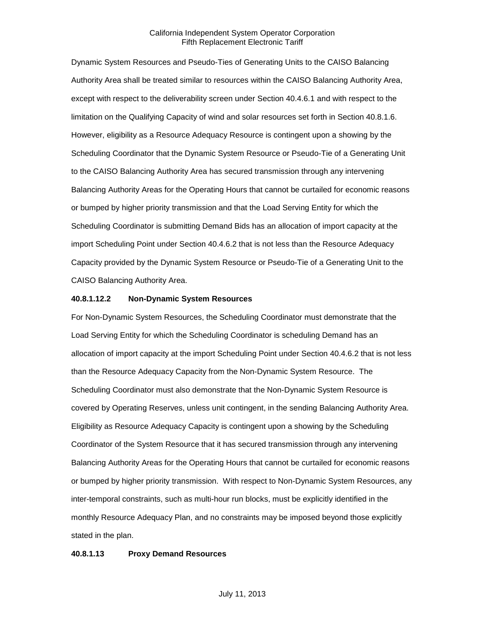Dynamic System Resources and Pseudo-Ties of Generating Units to the CAISO Balancing Authority Area shall be treated similar to resources within the CAISO Balancing Authority Area, except with respect to the deliverability screen under Section 40.4.6.1 and with respect to the limitation on the Qualifying Capacity of wind and solar resources set forth in Section 40.8.1.6. However, eligibility as a Resource Adequacy Resource is contingent upon a showing by the Scheduling Coordinator that the Dynamic System Resource or Pseudo-Tie of a Generating Unit to the CAISO Balancing Authority Area has secured transmission through any intervening Balancing Authority Areas for the Operating Hours that cannot be curtailed for economic reasons or bumped by higher priority transmission and that the Load Serving Entity for which the Scheduling Coordinator is submitting Demand Bids has an allocation of import capacity at the import Scheduling Point under Section 40.4.6.2 that is not less than the Resource Adequacy Capacity provided by the Dynamic System Resource or Pseudo-Tie of a Generating Unit to the CAISO Balancing Authority Area.

#### **40.8.1.12.2 Non-Dynamic System Resources**

For Non-Dynamic System Resources, the Scheduling Coordinator must demonstrate that the Load Serving Entity for which the Scheduling Coordinator is scheduling Demand has an allocation of import capacity at the import Scheduling Point under Section 40.4.6.2 that is not less than the Resource Adequacy Capacity from the Non-Dynamic System Resource. The Scheduling Coordinator must also demonstrate that the Non-Dynamic System Resource is covered by Operating Reserves, unless unit contingent, in the sending Balancing Authority Area. Eligibility as Resource Adequacy Capacity is contingent upon a showing by the Scheduling Coordinator of the System Resource that it has secured transmission through any intervening Balancing Authority Areas for the Operating Hours that cannot be curtailed for economic reasons or bumped by higher priority transmission. With respect to Non-Dynamic System Resources, any inter-temporal constraints, such as multi-hour run blocks, must be explicitly identified in the monthly Resource Adequacy Plan, and no constraints may be imposed beyond those explicitly stated in the plan.

#### **40.8.1.13 Proxy Demand Resources**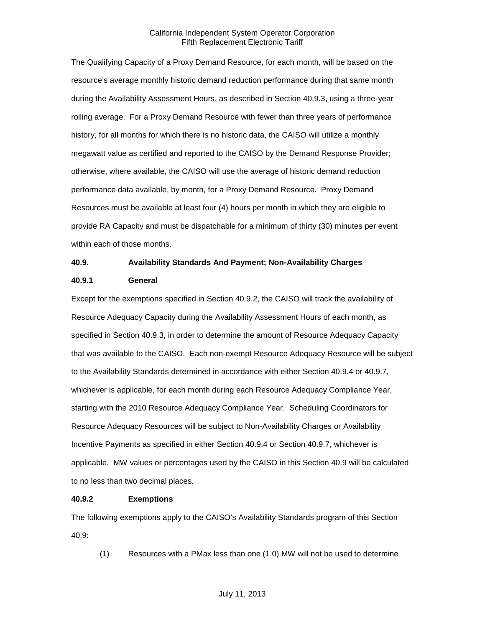The Qualifying Capacity of a Proxy Demand Resource, for each month, will be based on the resource's average monthly historic demand reduction performance during that same month during the Availability Assessment Hours, as described in Section 40.9.3, using a three-year rolling average. For a Proxy Demand Resource with fewer than three years of performance history, for all months for which there is no historic data, the CAISO will utilize a monthly megawatt value as certified and reported to the CAISO by the Demand Response Provider; otherwise, where available, the CAISO will use the average of historic demand reduction performance data available, by month, for a Proxy Demand Resource. Proxy Demand Resources must be available at least four (4) hours per month in which they are eligible to provide RA Capacity and must be dispatchable for a minimum of thirty (30) minutes per event within each of those months.

#### **40.9. Availability Standards And Payment; Non-Availability Charges**

#### **40.9.1 General**

Except for the exemptions specified in Section 40.9.2, the CAISO will track the availability of Resource Adequacy Capacity during the Availability Assessment Hours of each month, as specified in Section 40.9.3, in order to determine the amount of Resource Adequacy Capacity that was available to the CAISO. Each non-exempt Resource Adequacy Resource will be subject to the Availability Standards determined in accordance with either Section 40.9.4 or 40.9.7, whichever is applicable, for each month during each Resource Adequacy Compliance Year, starting with the 2010 Resource Adequacy Compliance Year. Scheduling Coordinators for Resource Adequacy Resources will be subject to Non-Availability Charges or Availability Incentive Payments as specified in either Section 40.9.4 or Section 40.9.7, whichever is applicable. MW values or percentages used by the CAISO in this Section 40.9 will be calculated to no less than two decimal places.

#### **40.9.2 Exemptions**

The following exemptions apply to the CAISO's Availability Standards program of this Section 40.9:

(1) Resources with a PMax less than one (1.0) MW will not be used to determine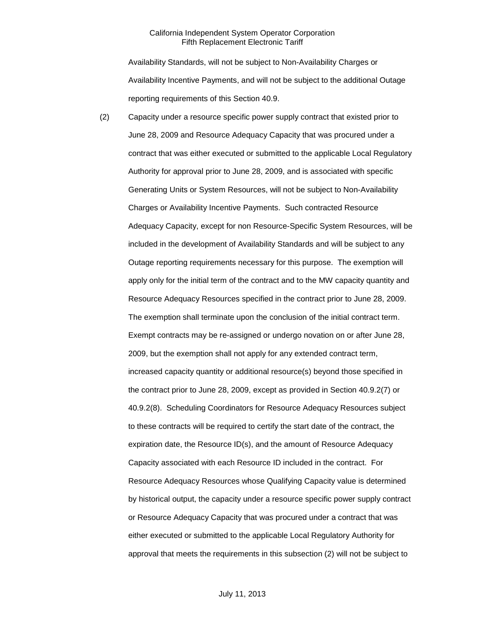Availability Standards, will not be subject to Non-Availability Charges or Availability Incentive Payments, and will not be subject to the additional Outage reporting requirements of this Section 40.9.

(2) Capacity under a resource specific power supply contract that existed prior to June 28, 2009 and Resource Adequacy Capacity that was procured under a contract that was either executed or submitted to the applicable Local Regulatory Authority for approval prior to June 28, 2009, and is associated with specific Generating Units or System Resources, will not be subject to Non-Availability Charges or Availability Incentive Payments. Such contracted Resource Adequacy Capacity, except for non Resource-Specific System Resources, will be included in the development of Availability Standards and will be subject to any Outage reporting requirements necessary for this purpose. The exemption will apply only for the initial term of the contract and to the MW capacity quantity and Resource Adequacy Resources specified in the contract prior to June 28, 2009. The exemption shall terminate upon the conclusion of the initial contract term. Exempt contracts may be re-assigned or undergo novation on or after June 28, 2009, but the exemption shall not apply for any extended contract term, increased capacity quantity or additional resource(s) beyond those specified in the contract prior to June 28, 2009, except as provided in Section 40.9.2(7) or 40.9.2(8). Scheduling Coordinators for Resource Adequacy Resources subject to these contracts will be required to certify the start date of the contract, the expiration date, the Resource ID(s), and the amount of Resource Adequacy Capacity associated with each Resource ID included in the contract. For Resource Adequacy Resources whose Qualifying Capacity value is determined by historical output, the capacity under a resource specific power supply contract or Resource Adequacy Capacity that was procured under a contract that was either executed or submitted to the applicable Local Regulatory Authority for approval that meets the requirements in this subsection (2) will not be subject to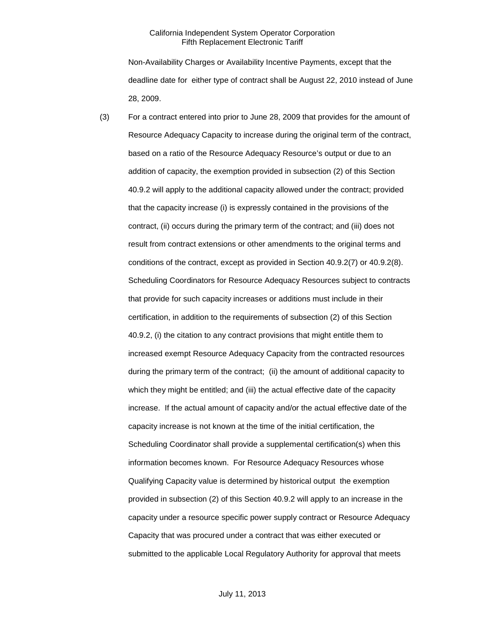Non-Availability Charges or Availability Incentive Payments, except that the deadline date for either type of contract shall be August 22, 2010 instead of June 28, 2009.

(3) For a contract entered into prior to June 28, 2009 that provides for the amount of Resource Adequacy Capacity to increase during the original term of the contract, based on a ratio of the Resource Adequacy Resource's output or due to an addition of capacity, the exemption provided in subsection (2) of this Section 40.9.2 will apply to the additional capacity allowed under the contract; provided that the capacity increase (i) is expressly contained in the provisions of the contract, (ii) occurs during the primary term of the contract; and (iii) does not result from contract extensions or other amendments to the original terms and conditions of the contract, except as provided in Section 40.9.2(7) or 40.9.2(8). Scheduling Coordinators for Resource Adequacy Resources subject to contracts that provide for such capacity increases or additions must include in their certification, in addition to the requirements of subsection (2) of this Section 40.9.2, (i) the citation to any contract provisions that might entitle them to increased exempt Resource Adequacy Capacity from the contracted resources during the primary term of the contract; (ii) the amount of additional capacity to which they might be entitled; and (iii) the actual effective date of the capacity increase. If the actual amount of capacity and/or the actual effective date of the capacity increase is not known at the time of the initial certification, the Scheduling Coordinator shall provide a supplemental certification(s) when this information becomes known. For Resource Adequacy Resources whose Qualifying Capacity value is determined by historical output the exemption provided in subsection (2) of this Section 40.9.2 will apply to an increase in the capacity under a resource specific power supply contract or Resource Adequacy Capacity that was procured under a contract that was either executed or submitted to the applicable Local Regulatory Authority for approval that meets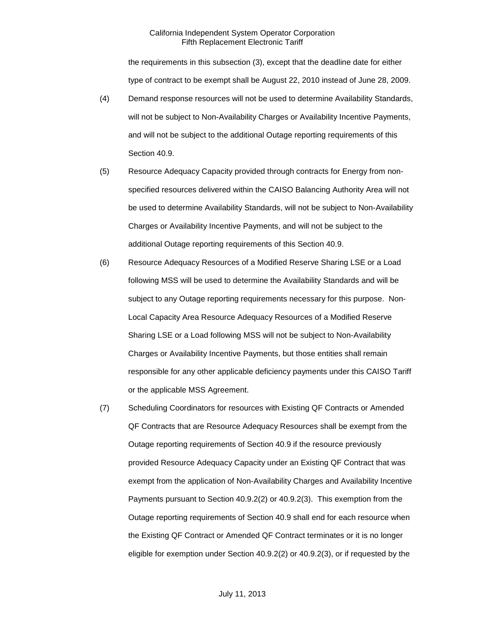the requirements in this subsection (3), except that the deadline date for either type of contract to be exempt shall be August 22, 2010 instead of June 28, 2009.

- (4) Demand response resources will not be used to determine Availability Standards, will not be subject to Non-Availability Charges or Availability Incentive Payments, and will not be subject to the additional Outage reporting requirements of this Section 40.9.
- (5) Resource Adequacy Capacity provided through contracts for Energy from nonspecified resources delivered within the CAISO Balancing Authority Area will not be used to determine Availability Standards, will not be subject to Non-Availability Charges or Availability Incentive Payments, and will not be subject to the additional Outage reporting requirements of this Section 40.9.
- (6) Resource Adequacy Resources of a Modified Reserve Sharing LSE or a Load following MSS will be used to determine the Availability Standards and will be subject to any Outage reporting requirements necessary for this purpose. Non-Local Capacity Area Resource Adequacy Resources of a Modified Reserve Sharing LSE or a Load following MSS will not be subject to Non-Availability Charges or Availability Incentive Payments, but those entities shall remain responsible for any other applicable deficiency payments under this CAISO Tariff or the applicable MSS Agreement.
- (7) Scheduling Coordinators for resources with Existing QF Contracts or Amended QF Contracts that are Resource Adequacy Resources shall be exempt from the Outage reporting requirements of Section 40.9 if the resource previously provided Resource Adequacy Capacity under an Existing QF Contract that was exempt from the application of Non-Availability Charges and Availability Incentive Payments pursuant to Section 40.9.2(2) or 40.9.2(3). This exemption from the Outage reporting requirements of Section 40.9 shall end for each resource when the Existing QF Contract or Amended QF Contract terminates or it is no longer eligible for exemption under Section 40.9.2(2) or 40.9.2(3), or if requested by the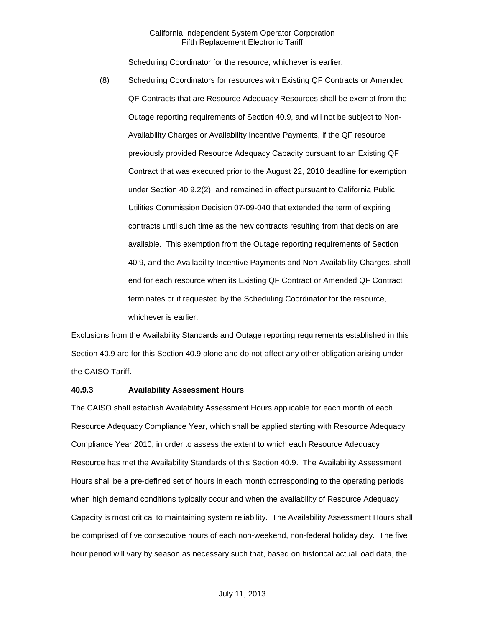Scheduling Coordinator for the resource, whichever is earlier.

(8) Scheduling Coordinators for resources with Existing QF Contracts or Amended QF Contracts that are Resource Adequacy Resources shall be exempt from the Outage reporting requirements of Section 40.9, and will not be subject to Non-Availability Charges or Availability Incentive Payments, if the QF resource previously provided Resource Adequacy Capacity pursuant to an Existing QF Contract that was executed prior to the August 22, 2010 deadline for exemption under Section 40.9.2(2), and remained in effect pursuant to California Public Utilities Commission Decision 07-09-040 that extended the term of expiring contracts until such time as the new contracts resulting from that decision are available. This exemption from the Outage reporting requirements of Section 40.9, and the Availability Incentive Payments and Non-Availability Charges, shall end for each resource when its Existing QF Contract or Amended QF Contract terminates or if requested by the Scheduling Coordinator for the resource, whichever is earlier.

Exclusions from the Availability Standards and Outage reporting requirements established in this Section 40.9 are for this Section 40.9 alone and do not affect any other obligation arising under the CAISO Tariff.

### **40.9.3 Availability Assessment Hours**

The CAISO shall establish Availability Assessment Hours applicable for each month of each Resource Adequacy Compliance Year, which shall be applied starting with Resource Adequacy Compliance Year 2010, in order to assess the extent to which each Resource Adequacy Resource has met the Availability Standards of this Section 40.9. The Availability Assessment Hours shall be a pre-defined set of hours in each month corresponding to the operating periods when high demand conditions typically occur and when the availability of Resource Adequacy Capacity is most critical to maintaining system reliability. The Availability Assessment Hours shall be comprised of five consecutive hours of each non-weekend, non-federal holiday day. The five hour period will vary by season as necessary such that, based on historical actual load data, the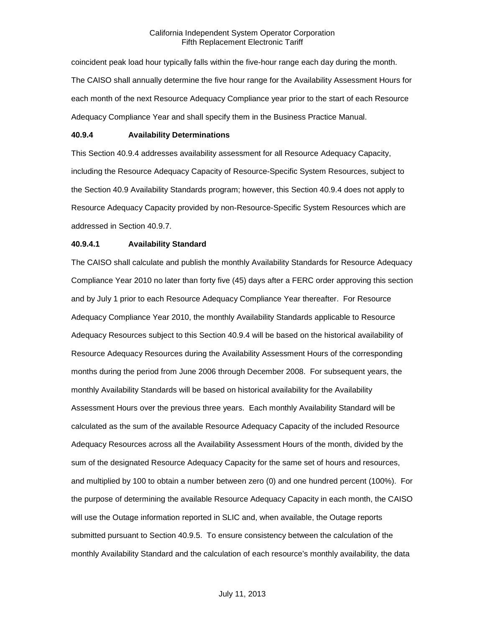coincident peak load hour typically falls within the five-hour range each day during the month. The CAISO shall annually determine the five hour range for the Availability Assessment Hours for each month of the next Resource Adequacy Compliance year prior to the start of each Resource Adequacy Compliance Year and shall specify them in the Business Practice Manual.

### **40.9.4 Availability Determinations**

This Section 40.9.4 addresses availability assessment for all Resource Adequacy Capacity, including the Resource Adequacy Capacity of Resource-Specific System Resources, subject to the Section 40.9 Availability Standards program; however, this Section 40.9.4 does not apply to Resource Adequacy Capacity provided by non-Resource-Specific System Resources which are addressed in Section 40.9.7.

### **40.9.4.1 Availability Standard**

The CAISO shall calculate and publish the monthly Availability Standards for Resource Adequacy Compliance Year 2010 no later than forty five (45) days after a FERC order approving this section and by July 1 prior to each Resource Adequacy Compliance Year thereafter. For Resource Adequacy Compliance Year 2010, the monthly Availability Standards applicable to Resource Adequacy Resources subject to this Section 40.9.4 will be based on the historical availability of Resource Adequacy Resources during the Availability Assessment Hours of the corresponding months during the period from June 2006 through December 2008. For subsequent years, the monthly Availability Standards will be based on historical availability for the Availability Assessment Hours over the previous three years. Each monthly Availability Standard will be calculated as the sum of the available Resource Adequacy Capacity of the included Resource Adequacy Resources across all the Availability Assessment Hours of the month, divided by the sum of the designated Resource Adequacy Capacity for the same set of hours and resources, and multiplied by 100 to obtain a number between zero (0) and one hundred percent (100%). For the purpose of determining the available Resource Adequacy Capacity in each month, the CAISO will use the Outage information reported in SLIC and, when available, the Outage reports submitted pursuant to Section 40.9.5. To ensure consistency between the calculation of the monthly Availability Standard and the calculation of each resource's monthly availability, the data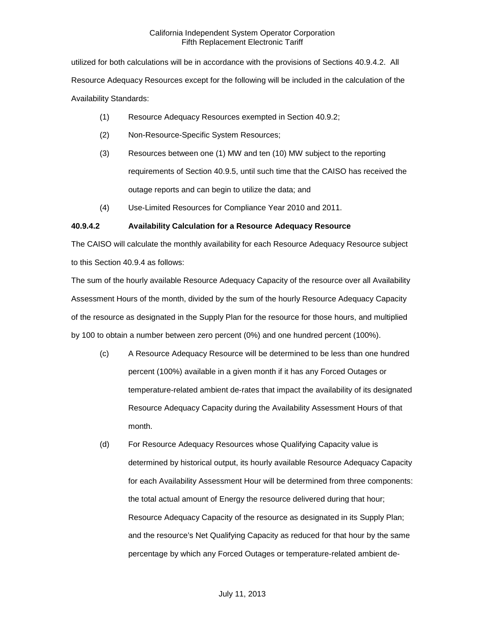utilized for both calculations will be in accordance with the provisions of Sections 40.9.4.2. All Resource Adequacy Resources except for the following will be included in the calculation of the Availability Standards:

- (1) Resource Adequacy Resources exempted in Section 40.9.2;
- (2) Non-Resource-Specific System Resources;
- (3) Resources between one (1) MW and ten (10) MW subject to the reporting requirements of Section 40.9.5, until such time that the CAISO has received the outage reports and can begin to utilize the data; and
- (4) Use-Limited Resources for Compliance Year 2010 and 2011.

### **40.9.4.2 Availability Calculation for a Resource Adequacy Resource**

The CAISO will calculate the monthly availability for each Resource Adequacy Resource subject to this Section 40.9.4 as follows:

The sum of the hourly available Resource Adequacy Capacity of the resource over all Availability Assessment Hours of the month, divided by the sum of the hourly Resource Adequacy Capacity of the resource as designated in the Supply Plan for the resource for those hours, and multiplied by 100 to obtain a number between zero percent (0%) and one hundred percent (100%).

- (c) A Resource Adequacy Resource will be determined to be less than one hundred percent (100%) available in a given month if it has any Forced Outages or temperature-related ambient de-rates that impact the availability of its designated Resource Adequacy Capacity during the Availability Assessment Hours of that month.
- (d) For Resource Adequacy Resources whose Qualifying Capacity value is determined by historical output, its hourly available Resource Adequacy Capacity for each Availability Assessment Hour will be determined from three components: the total actual amount of Energy the resource delivered during that hour; Resource Adequacy Capacity of the resource as designated in its Supply Plan; and the resource's Net Qualifying Capacity as reduced for that hour by the same percentage by which any Forced Outages or temperature-related ambient de-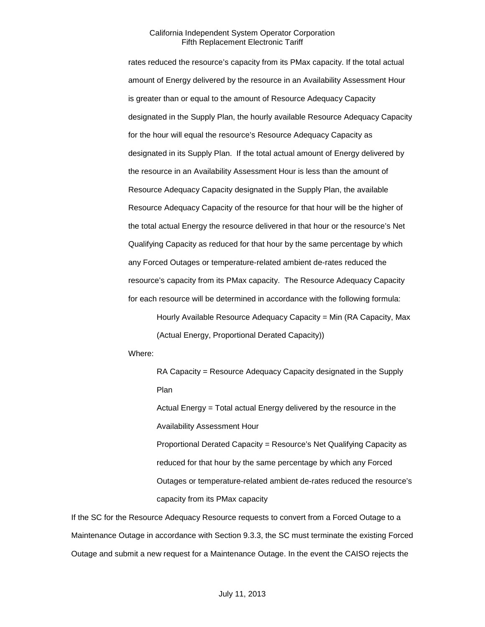rates reduced the resource's capacity from its PMax capacity. If the total actual amount of Energy delivered by the resource in an Availability Assessment Hour is greater than or equal to the amount of Resource Adequacy Capacity designated in the Supply Plan, the hourly available Resource Adequacy Capacity for the hour will equal the resource's Resource Adequacy Capacity as designated in its Supply Plan. If the total actual amount of Energy delivered by the resource in an Availability Assessment Hour is less than the amount of Resource Adequacy Capacity designated in the Supply Plan, the available Resource Adequacy Capacity of the resource for that hour will be the higher of the total actual Energy the resource delivered in that hour or the resource's Net Qualifying Capacity as reduced for that hour by the same percentage by which any Forced Outages or temperature-related ambient de-rates reduced the resource's capacity from its PMax capacity. The Resource Adequacy Capacity for each resource will be determined in accordance with the following formula:

Hourly Available Resource Adequacy Capacity = Min (RA Capacity, Max (Actual Energy, Proportional Derated Capacity))

Where:

RA Capacity = Resource Adequacy Capacity designated in the Supply Plan

Actual Energy = Total actual Energy delivered by the resource in the Availability Assessment Hour

Proportional Derated Capacity = Resource's Net Qualifying Capacity as reduced for that hour by the same percentage by which any Forced Outages or temperature-related ambient de-rates reduced the resource's capacity from its PMax capacity

If the SC for the Resource Adequacy Resource requests to convert from a Forced Outage to a Maintenance Outage in accordance with Section 9.3.3, the SC must terminate the existing Forced Outage and submit a new request for a Maintenance Outage. In the event the CAISO rejects the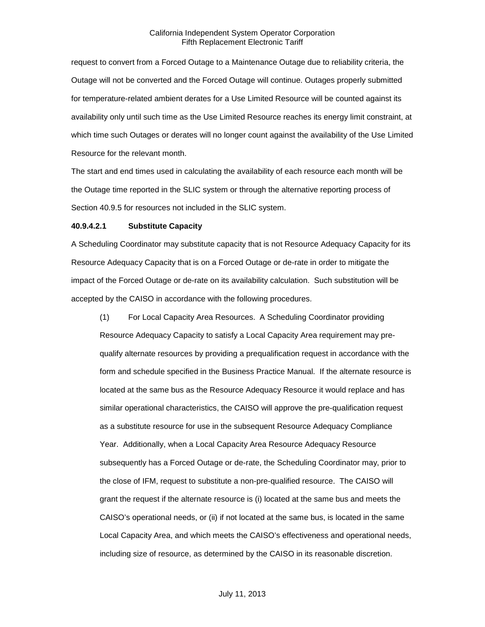request to convert from a Forced Outage to a Maintenance Outage due to reliability criteria, the Outage will not be converted and the Forced Outage will continue. Outages properly submitted for temperature-related ambient derates for a Use Limited Resource will be counted against its availability only until such time as the Use Limited Resource reaches its energy limit constraint, at which time such Outages or derates will no longer count against the availability of the Use Limited Resource for the relevant month.

The start and end times used in calculating the availability of each resource each month will be the Outage time reported in the SLIC system or through the alternative reporting process of Section 40.9.5 for resources not included in the SLIC system.

### **40.9.4.2.1 Substitute Capacity**

A Scheduling Coordinator may substitute capacity that is not Resource Adequacy Capacity for its Resource Adequacy Capacity that is on a Forced Outage or de-rate in order to mitigate the impact of the Forced Outage or de-rate on its availability calculation. Such substitution will be accepted by the CAISO in accordance with the following procedures.

(1) For Local Capacity Area Resources. A Scheduling Coordinator providing Resource Adequacy Capacity to satisfy a Local Capacity Area requirement may prequalify alternate resources by providing a prequalification request in accordance with the form and schedule specified in the Business Practice Manual. If the alternate resource is located at the same bus as the Resource Adequacy Resource it would replace and has similar operational characteristics, the CAISO will approve the pre-qualification request as a substitute resource for use in the subsequent Resource Adequacy Compliance Year. Additionally, when a Local Capacity Area Resource Adequacy Resource subsequently has a Forced Outage or de-rate, the Scheduling Coordinator may, prior to the close of IFM, request to substitute a non-pre-qualified resource. The CAISO will grant the request if the alternate resource is (i) located at the same bus and meets the CAISO's operational needs, or (ii) if not located at the same bus, is located in the same Local Capacity Area, and which meets the CAISO's effectiveness and operational needs, including size of resource, as determined by the CAISO in its reasonable discretion.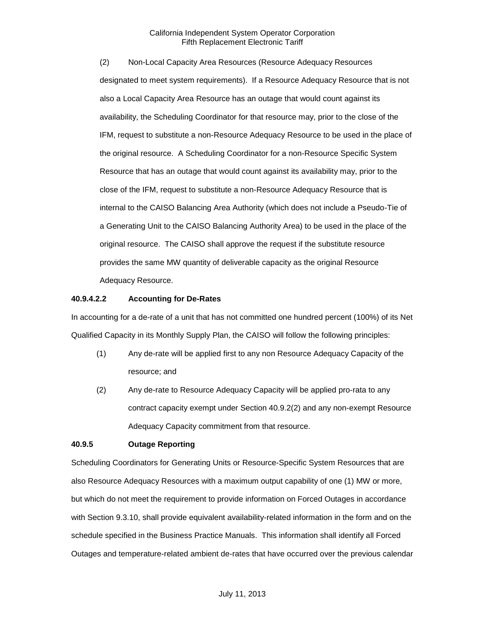(2) Non-Local Capacity Area Resources (Resource Adequacy Resources designated to meet system requirements). If a Resource Adequacy Resource that is not also a Local Capacity Area Resource has an outage that would count against its availability, the Scheduling Coordinator for that resource may, prior to the close of the IFM, request to substitute a non-Resource Adequacy Resource to be used in the place of the original resource. A Scheduling Coordinator for a non-Resource Specific System Resource that has an outage that would count against its availability may, prior to the close of the IFM, request to substitute a non-Resource Adequacy Resource that is internal to the CAISO Balancing Area Authority (which does not include a Pseudo-Tie of a Generating Unit to the CAISO Balancing Authority Area) to be used in the place of the original resource. The CAISO shall approve the request if the substitute resource provides the same MW quantity of deliverable capacity as the original Resource Adequacy Resource.

### **40.9.4.2.2 Accounting for De-Rates**

In accounting for a de-rate of a unit that has not committed one hundred percent (100%) of its Net Qualified Capacity in its Monthly Supply Plan, the CAISO will follow the following principles:

- (1) Any de-rate will be applied first to any non Resource Adequacy Capacity of the resource; and
- (2) Any de-rate to Resource Adequacy Capacity will be applied pro-rata to any contract capacity exempt under Section 40.9.2(2) and any non-exempt Resource Adequacy Capacity commitment from that resource.

### **40.9.5 Outage Reporting**

Scheduling Coordinators for Generating Units or Resource-Specific System Resources that are also Resource Adequacy Resources with a maximum output capability of one (1) MW or more, but which do not meet the requirement to provide information on Forced Outages in accordance with Section 9.3.10, shall provide equivalent availability-related information in the form and on the schedule specified in the Business Practice Manuals. This information shall identify all Forced Outages and temperature-related ambient de-rates that have occurred over the previous calendar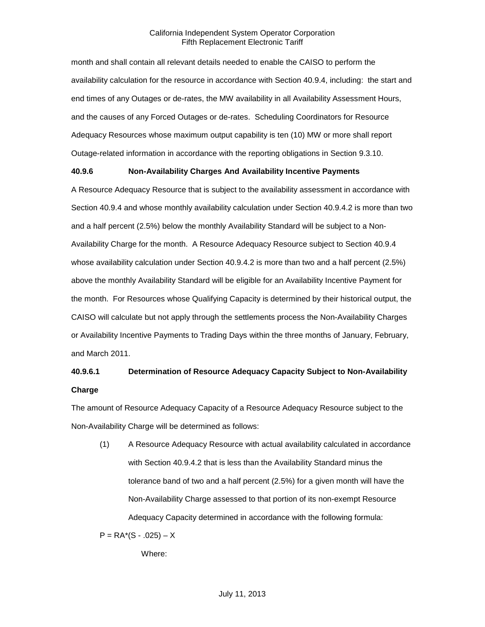month and shall contain all relevant details needed to enable the CAISO to perform the availability calculation for the resource in accordance with Section 40.9.4, including: the start and end times of any Outages or de-rates, the MW availability in all Availability Assessment Hours, and the causes of any Forced Outages or de-rates. Scheduling Coordinators for Resource Adequacy Resources whose maximum output capability is ten (10) MW or more shall report Outage-related information in accordance with the reporting obligations in Section 9.3.10.

### **40.9.6 Non-Availability Charges And Availability Incentive Payments**

A Resource Adequacy Resource that is subject to the availability assessment in accordance with Section 40.9.4 and whose monthly availability calculation under Section 40.9.4.2 is more than two and a half percent (2.5%) below the monthly Availability Standard will be subject to a Non-Availability Charge for the month. A Resource Adequacy Resource subject to Section 40.9.4 whose availability calculation under Section 40.9.4.2 is more than two and a half percent (2.5%) above the monthly Availability Standard will be eligible for an Availability Incentive Payment for the month. For Resources whose Qualifying Capacity is determined by their historical output, the CAISO will calculate but not apply through the settlements process the Non-Availability Charges or Availability Incentive Payments to Trading Days within the three months of January, February, and March 2011.

# **40.9.6.1 Determination of Resource Adequacy Capacity Subject to Non-Availability Charge**

The amount of Resource Adequacy Capacity of a Resource Adequacy Resource subject to the Non-Availability Charge will be determined as follows:

(1) A Resource Adequacy Resource with actual availability calculated in accordance with Section 40.9.4.2 that is less than the Availability Standard minus the tolerance band of two and a half percent (2.5%) for a given month will have the Non-Availability Charge assessed to that portion of its non-exempt Resource Adequacy Capacity determined in accordance with the following formula:

 $P = RA<sup>*</sup>(S - .025) - X$ 

Where: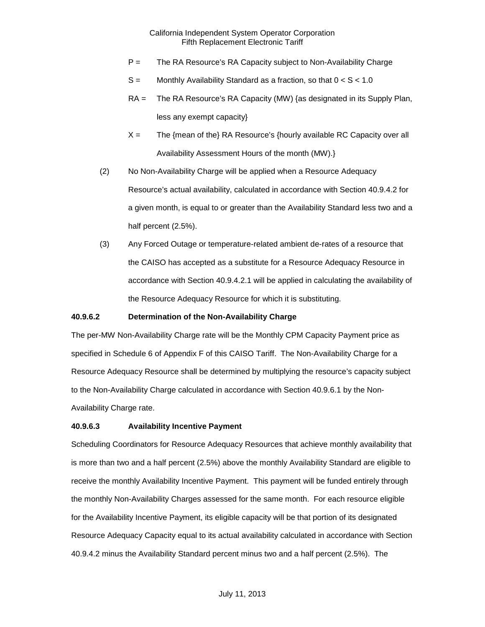- P = The RA Resource's RA Capacity subject to Non-Availability Charge
- $S =$  Monthly Availability Standard as a fraction, so that  $0 < S < 1.0$
- RA = The RA Resource's RA Capacity (MW) {as designated in its Supply Plan, less any exempt capacity}
- $X =$  The {mean of the} RA Resource's {hourly available RC Capacity over all Availability Assessment Hours of the month (MW).}
- (2) No Non-Availability Charge will be applied when a Resource Adequacy Resource's actual availability, calculated in accordance with Section 40.9.4.2 for a given month, is equal to or greater than the Availability Standard less two and a half percent (2.5%).
- (3) Any Forced Outage or temperature-related ambient de-rates of a resource that the CAISO has accepted as a substitute for a Resource Adequacy Resource in accordance with Section 40.9.4.2.1 will be applied in calculating the availability of the Resource Adequacy Resource for which it is substituting.

### **40.9.6.2 Determination of the Non-Availability Charge**

The per-MW Non-Availability Charge rate will be the Monthly CPM Capacity Payment price as specified in Schedule 6 of Appendix F of this CAISO Tariff. The Non-Availability Charge for a Resource Adequacy Resource shall be determined by multiplying the resource's capacity subject to the Non-Availability Charge calculated in accordance with Section 40.9.6.1 by the Non-Availability Charge rate.

### **40.9.6.3 Availability Incentive Payment**

Scheduling Coordinators for Resource Adequacy Resources that achieve monthly availability that is more than two and a half percent (2.5%) above the monthly Availability Standard are eligible to receive the monthly Availability Incentive Payment. This payment will be funded entirely through the monthly Non-Availability Charges assessed for the same month. For each resource eligible for the Availability Incentive Payment, its eligible capacity will be that portion of its designated Resource Adequacy Capacity equal to its actual availability calculated in accordance with Section 40.9.4.2 minus the Availability Standard percent minus two and a half percent (2.5%). The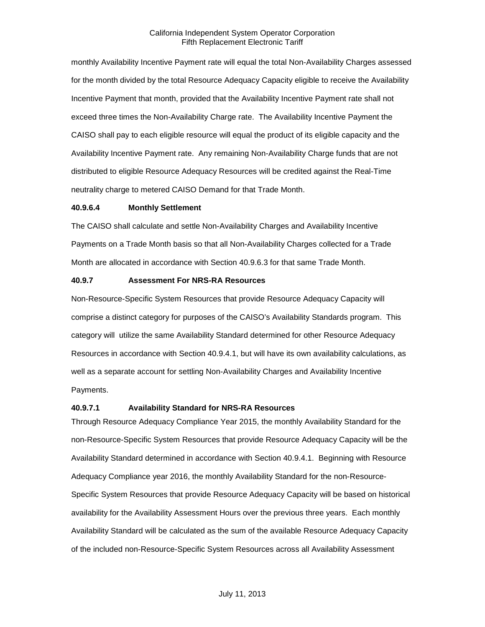monthly Availability Incentive Payment rate will equal the total Non-Availability Charges assessed for the month divided by the total Resource Adequacy Capacity eligible to receive the Availability Incentive Payment that month, provided that the Availability Incentive Payment rate shall not exceed three times the Non-Availability Charge rate. The Availability Incentive Payment the CAISO shall pay to each eligible resource will equal the product of its eligible capacity and the Availability Incentive Payment rate. Any remaining Non-Availability Charge funds that are not distributed to eligible Resource Adequacy Resources will be credited against the Real-Time neutrality charge to metered CAISO Demand for that Trade Month.

### **40.9.6.4 Monthly Settlement**

The CAISO shall calculate and settle Non-Availability Charges and Availability Incentive Payments on a Trade Month basis so that all Non-Availability Charges collected for a Trade Month are allocated in accordance with Section 40.9.6.3 for that same Trade Month.

### **40.9.7 Assessment For NRS-RA Resources**

Non-Resource-Specific System Resources that provide Resource Adequacy Capacity will comprise a distinct category for purposes of the CAISO's Availability Standards program. This category will utilize the same Availability Standard determined for other Resource Adequacy Resources in accordance with Section 40.9.4.1, but will have its own availability calculations, as well as a separate account for settling Non-Availability Charges and Availability Incentive Payments.

### **40.9.7.1 Availability Standard for NRS-RA Resources**

Through Resource Adequacy Compliance Year 2015, the monthly Availability Standard for the non-Resource-Specific System Resources that provide Resource Adequacy Capacity will be the Availability Standard determined in accordance with Section 40.9.4.1. Beginning with Resource Adequacy Compliance year 2016, the monthly Availability Standard for the non-Resource-Specific System Resources that provide Resource Adequacy Capacity will be based on historical availability for the Availability Assessment Hours over the previous three years. Each monthly Availability Standard will be calculated as the sum of the available Resource Adequacy Capacity of the included non-Resource-Specific System Resources across all Availability Assessment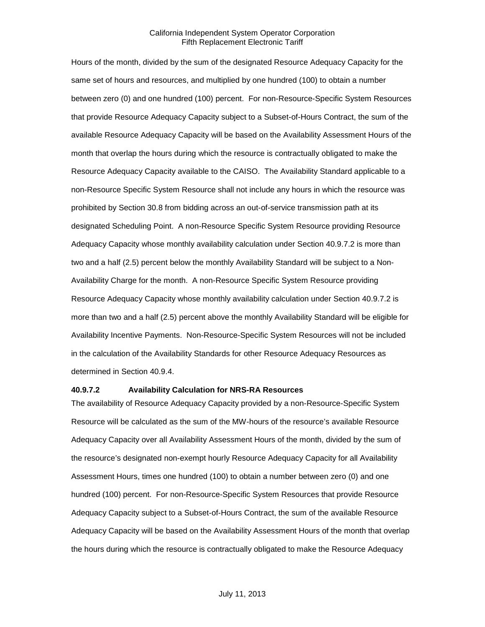Hours of the month, divided by the sum of the designated Resource Adequacy Capacity for the same set of hours and resources, and multiplied by one hundred (100) to obtain a number between zero (0) and one hundred (100) percent. For non-Resource-Specific System Resources that provide Resource Adequacy Capacity subject to a Subset-of-Hours Contract, the sum of the available Resource Adequacy Capacity will be based on the Availability Assessment Hours of the month that overlap the hours during which the resource is contractually obligated to make the Resource Adequacy Capacity available to the CAISO. The Availability Standard applicable to a non-Resource Specific System Resource shall not include any hours in which the resource was prohibited by Section 30.8 from bidding across an out-of-service transmission path at its designated Scheduling Point. A non-Resource Specific System Resource providing Resource Adequacy Capacity whose monthly availability calculation under Section 40.9.7.2 is more than two and a half (2.5) percent below the monthly Availability Standard will be subject to a Non-Availability Charge for the month. A non-Resource Specific System Resource providing Resource Adequacy Capacity whose monthly availability calculation under Section 40.9.7.2 is more than two and a half (2.5) percent above the monthly Availability Standard will be eligible for Availability Incentive Payments. Non-Resource-Specific System Resources will not be included in the calculation of the Availability Standards for other Resource Adequacy Resources as determined in Section 40.9.4.

### **40.9.7.2 Availability Calculation for NRS-RA Resources**

The availability of Resource Adequacy Capacity provided by a non-Resource-Specific System Resource will be calculated as the sum of the MW-hours of the resource's available Resource Adequacy Capacity over all Availability Assessment Hours of the month, divided by the sum of the resource's designated non-exempt hourly Resource Adequacy Capacity for all Availability Assessment Hours, times one hundred (100) to obtain a number between zero (0) and one hundred (100) percent. For non-Resource-Specific System Resources that provide Resource Adequacy Capacity subject to a Subset-of-Hours Contract, the sum of the available Resource Adequacy Capacity will be based on the Availability Assessment Hours of the month that overlap the hours during which the resource is contractually obligated to make the Resource Adequacy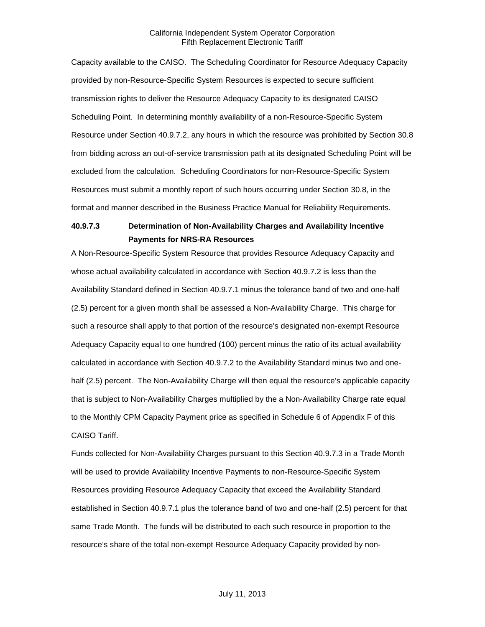Capacity available to the CAISO. The Scheduling Coordinator for Resource Adequacy Capacity provided by non-Resource-Specific System Resources is expected to secure sufficient transmission rights to deliver the Resource Adequacy Capacity to its designated CAISO Scheduling Point. In determining monthly availability of a non-Resource-Specific System Resource under Section 40.9.7.2, any hours in which the resource was prohibited by Section 30.8 from bidding across an out-of-service transmission path at its designated Scheduling Point will be excluded from the calculation. Scheduling Coordinators for non-Resource-Specific System Resources must submit a monthly report of such hours occurring under Section 30.8, in the format and manner described in the Business Practice Manual for Reliability Requirements.

# **40.9.7.3 Determination of Non-Availability Charges and Availability Incentive Payments for NRS-RA Resources**

A Non-Resource-Specific System Resource that provides Resource Adequacy Capacity and whose actual availability calculated in accordance with Section 40.9.7.2 is less than the Availability Standard defined in Section 40.9.7.1 minus the tolerance band of two and one-half (2.5) percent for a given month shall be assessed a Non-Availability Charge. This charge for such a resource shall apply to that portion of the resource's designated non-exempt Resource Adequacy Capacity equal to one hundred (100) percent minus the ratio of its actual availability calculated in accordance with Section 40.9.7.2 to the Availability Standard minus two and onehalf (2.5) percent. The Non-Availability Charge will then equal the resource's applicable capacity that is subject to Non-Availability Charges multiplied by the a Non-Availability Charge rate equal to the Monthly CPM Capacity Payment price as specified in Schedule 6 of Appendix F of this CAISO Tariff.

Funds collected for Non-Availability Charges pursuant to this Section 40.9.7.3 in a Trade Month will be used to provide Availability Incentive Payments to non-Resource-Specific System Resources providing Resource Adequacy Capacity that exceed the Availability Standard established in Section 40.9.7.1 plus the tolerance band of two and one-half (2.5) percent for that same Trade Month. The funds will be distributed to each such resource in proportion to the resource's share of the total non-exempt Resource Adequacy Capacity provided by non